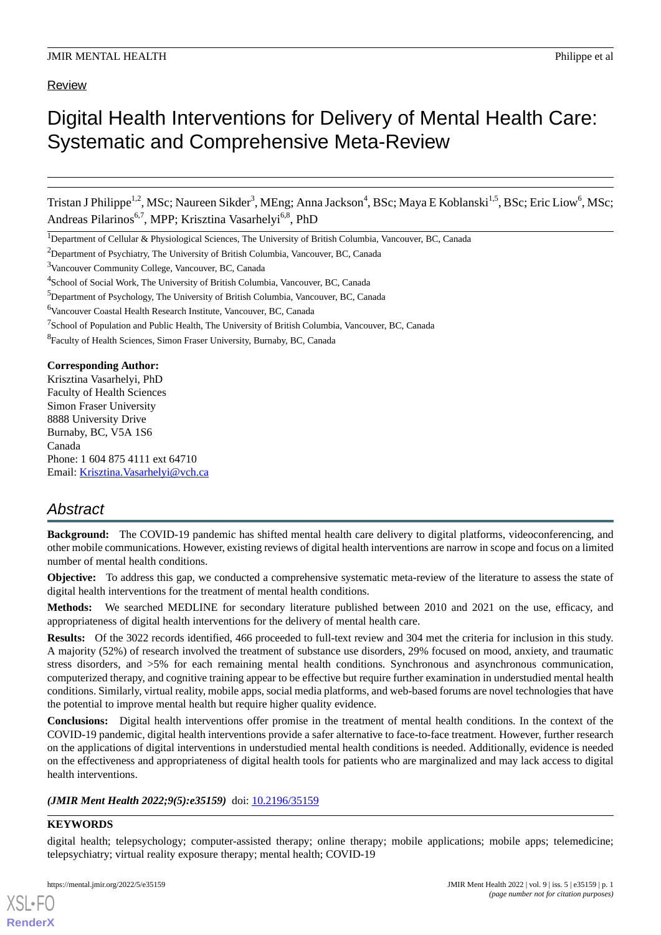# Review

# Digital Health Interventions for Delivery of Mental Health Care: Systematic and Comprehensive Meta-Review

Tristan J Philippe<sup>1,2</sup>, MSc; Naureen Sikder<sup>3</sup>, MEng; Anna Jackson<sup>4</sup>, BSc; Maya E Koblanski<sup>1,5</sup>, BSc; Eric Liow<sup>6</sup>, MSc; Andreas Pilarinos<sup>6,7</sup>, MPP; Krisztina Vasarhelyi<sup>6,8</sup>, PhD

<sup>1</sup>Department of Cellular & Physiological Sciences, The University of British Columbia, Vancouver, BC, Canada

<sup>3</sup>Vancouver Community College, Vancouver, BC, Canada

<sup>6</sup>Vancouver Coastal Health Research Institute, Vancouver, BC, Canada

**Corresponding Author:** Krisztina Vasarhelyi, PhD Faculty of Health Sciences Simon Fraser University 8888 University Drive Burnaby, BC, V5A 1S6 Canada Phone: 1 604 875 4111 ext 64710

Email: [Krisztina.Vasarhelyi@vch.ca](mailto:Krisztina.Vasarhelyi@vch.ca)

# *Abstract*

**Background:** The COVID-19 pandemic has shifted mental health care delivery to digital platforms, videoconferencing, and other mobile communications. However, existing reviews of digital health interventions are narrow in scope and focus on a limited number of mental health conditions.

**Objective:** To address this gap, we conducted a comprehensive systematic meta-review of the literature to assess the state of digital health interventions for the treatment of mental health conditions.

**Methods:** We searched MEDLINE for secondary literature published between 2010 and 2021 on the use, efficacy, and appropriateness of digital health interventions for the delivery of mental health care.

**Results:** Of the 3022 records identified, 466 proceeded to full-text review and 304 met the criteria for inclusion in this study. A majority (52%) of research involved the treatment of substance use disorders, 29% focused on mood, anxiety, and traumatic stress disorders, and >5% for each remaining mental health conditions. Synchronous and asynchronous communication, computerized therapy, and cognitive training appear to be effective but require further examination in understudied mental health conditions. Similarly, virtual reality, mobile apps, social media platforms, and web-based forums are novel technologies that have the potential to improve mental health but require higher quality evidence.

**Conclusions:** Digital health interventions offer promise in the treatment of mental health conditions. In the context of the COVID-19 pandemic, digital health interventions provide a safer alternative to face-to-face treatment. However, further research on the applications of digital interventions in understudied mental health conditions is needed. Additionally, evidence is needed on the effectiveness and appropriateness of digital health tools for patients who are marginalized and may lack access to digital health interventions.

*(JMIR Ment Health 2022;9(5):e35159)* doi: [10.2196/35159](http://dx.doi.org/10.2196/35159)

# **KEYWORDS**

[XSL](http://www.w3.org/Style/XSL)•FO **[RenderX](http://www.renderx.com/)**

digital health; telepsychology; computer-assisted therapy; online therapy; mobile applications; mobile apps; telemedicine; telepsychiatry; virtual reality exposure therapy; mental health; COVID-19

<sup>&</sup>lt;sup>2</sup>Department of Psychiatry, The University of British Columbia, Vancouver, BC, Canada

<sup>&</sup>lt;sup>4</sup>School of Social Work, The University of British Columbia, Vancouver, BC, Canada

<sup>5</sup>Department of Psychology, The University of British Columbia, Vancouver, BC, Canada

<sup>&</sup>lt;sup>7</sup>School of Population and Public Health, The University of British Columbia, Vancouver, BC, Canada

<sup>&</sup>lt;sup>8</sup> Faculty of Health Sciences, Simon Fraser University, Burnaby, BC, Canada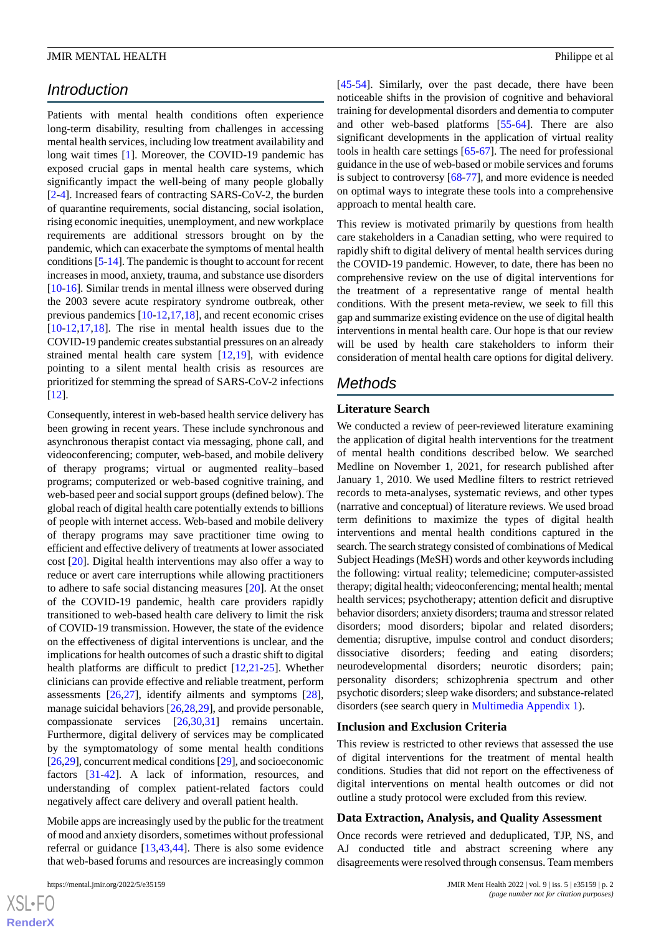# *Introduction*

Patients with mental health conditions often experience long-term disability, resulting from challenges in accessing mental health services, including low treatment availability and long wait times [\[1](#page-14-0)]. Moreover, the COVID-19 pandemic has exposed crucial gaps in mental health care systems, which significantly impact the well-being of many people globally [[2](#page-14-1)[-4](#page-14-2)]. Increased fears of contracting SARS-CoV-2, the burden of quarantine requirements, social distancing, social isolation, rising economic inequities, unemployment, and new workplace requirements are additional stressors brought on by the pandemic, which can exacerbate the symptoms of mental health conditions [[5-](#page-14-3)[14\]](#page-14-4). The pandemic is thought to account for recent increases in mood, anxiety, trauma, and substance use disorders [[10](#page-14-5)[-16](#page-14-6)]. Similar trends in mental illness were observed during the 2003 severe acute respiratory syndrome outbreak, other previous pandemics [[10-](#page-14-5)[12](#page-14-7)[,17](#page-14-8),[18\]](#page-14-9), and recent economic crises [[10](#page-14-5)[-12](#page-14-7),[17,](#page-14-8)[18](#page-14-9)]. The rise in mental health issues due to the COVID-19 pandemic creates substantial pressures on an already strained mental health care system [[12](#page-14-7)[,19](#page-14-10)], with evidence pointing to a silent mental health crisis as resources are prioritized for stemming the spread of SARS-CoV-2 infections [[12\]](#page-14-7).

Consequently, interest in web-based health service delivery has been growing in recent years. These include synchronous and asynchronous therapist contact via messaging, phone call, and videoconferencing; computer, web-based, and mobile delivery of therapy programs; virtual or augmented reality–based programs; computerized or web-based cognitive training, and web-based peer and social support groups (defined below). The global reach of digital health care potentially extends to billions of people with internet access. Web-based and mobile delivery of therapy programs may save practitioner time owing to efficient and effective delivery of treatments at lower associated cost [[20\]](#page-14-11). Digital health interventions may also offer a way to reduce or avert care interruptions while allowing practitioners to adhere to safe social distancing measures [\[20](#page-14-11)]. At the onset of the COVID-19 pandemic, health care providers rapidly transitioned to web-based health care delivery to limit the risk of COVID-19 transmission. However, the state of the evidence on the effectiveness of digital interventions is unclear, and the implications for health outcomes of such a drastic shift to digital health platforms are difficult to predict [[12,](#page-14-7)[21](#page-15-0)-[25\]](#page-15-1). Whether clinicians can provide effective and reliable treatment, perform assessments [\[26](#page-15-2),[27\]](#page-15-3), identify ailments and symptoms [[28\]](#page-15-4), manage suicidal behaviors [\[26](#page-15-2),[28](#page-15-4)[,29](#page-15-5)], and provide personable, compassionate services [\[26](#page-15-2),[30](#page-15-6)[,31](#page-15-7)] remains uncertain. Furthermore, digital delivery of services may be complicated by the symptomatology of some mental health conditions [[26,](#page-15-2)[29\]](#page-15-5), concurrent medical conditions [[29\]](#page-15-5), and socioeconomic factors [\[31](#page-15-7)-[42\]](#page-15-8). A lack of information, resources, and understanding of complex patient-related factors could negatively affect care delivery and overall patient health.

Mobile apps are increasingly used by the public for the treatment of mood and anxiety disorders, sometimes without professional referral or guidance [\[13](#page-14-12),[43](#page-15-9)[,44](#page-16-0)]. There is also some evidence that web-based forums and resources are increasingly common

[[45](#page-16-1)[-54](#page-16-2)]. Similarly, over the past decade, there have been noticeable shifts in the provision of cognitive and behavioral training for developmental disorders and dementia to computer and other web-based platforms [[55](#page-16-3)[-64](#page-16-4)]. There are also significant developments in the application of virtual reality tools in health care settings [\[65](#page-17-0)-[67\]](#page-17-1). The need for professional guidance in the use of web-based or mobile services and forums is subject to controversy [\[68](#page-17-2)-[77\]](#page-17-3), and more evidence is needed on optimal ways to integrate these tools into a comprehensive approach to mental health care.

This review is motivated primarily by questions from health care stakeholders in a Canadian setting, who were required to rapidly shift to digital delivery of mental health services during the COVID-19 pandemic. However, to date, there has been no comprehensive review on the use of digital interventions for the treatment of a representative range of mental health conditions. With the present meta-review, we seek to fill this gap and summarize existing evidence on the use of digital health interventions in mental health care. Our hope is that our review will be used by health care stakeholders to inform their consideration of mental health care options for digital delivery.

# *Methods*

# **Literature Search**

We conducted a review of peer-reviewed literature examining the application of digital health interventions for the treatment of mental health conditions described below. We searched Medline on November 1, 2021, for research published after January 1, 2010. We used Medline filters to restrict retrieved records to meta-analyses, systematic reviews, and other types (narrative and conceptual) of literature reviews. We used broad term definitions to maximize the types of digital health interventions and mental health conditions captured in the search. The search strategy consisted of combinations of Medical Subject Headings (MeSH) words and other keywords including the following: virtual reality; telemedicine; computer-assisted therapy; digital health; videoconferencing; mental health; mental health services; psychotherapy; attention deficit and disruptive behavior disorders; anxiety disorders; trauma and stressor related disorders; mood disorders; bipolar and related disorders; dementia; disruptive, impulse control and conduct disorders; dissociative disorders; feeding and eating disorders; neurodevelopmental disorders; neurotic disorders; pain; personality disorders; schizophrenia spectrum and other psychotic disorders; sleep wake disorders; and substance-related disorders (see search query in [Multimedia Appendix 1](#page-13-0)).

#### **Inclusion and Exclusion Criteria**

This review is restricted to other reviews that assessed the use of digital interventions for the treatment of mental health conditions. Studies that did not report on the effectiveness of digital interventions on mental health outcomes or did not outline a study protocol were excluded from this review.

#### **Data Extraction, Analysis, and Quality Assessment**

Once records were retrieved and deduplicated, TJP, NS, and AJ conducted title and abstract screening where any disagreements were resolved through consensus. Team members

 $XS$ -FO **[RenderX](http://www.renderx.com/)**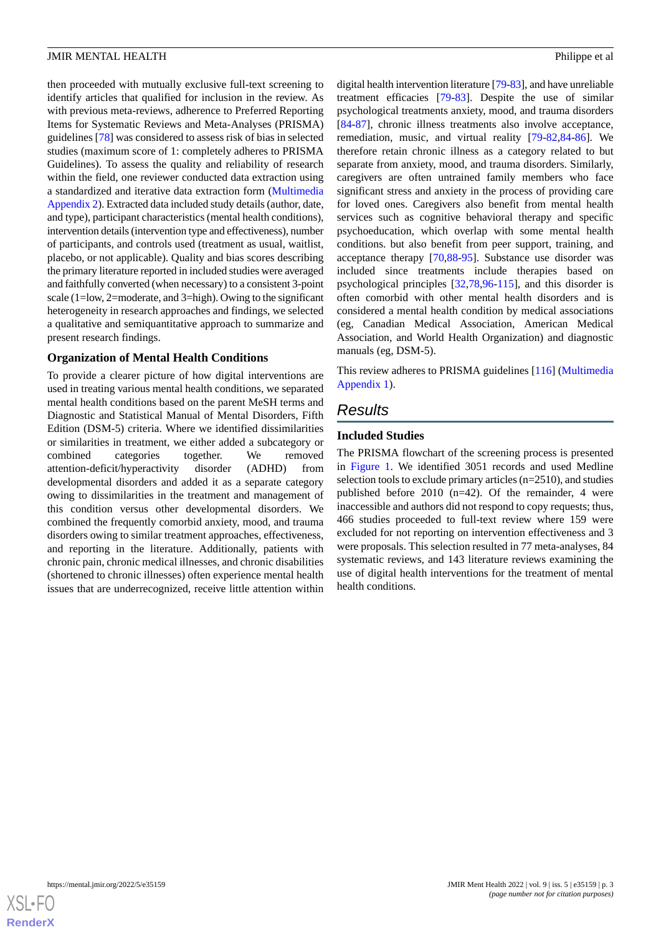then proceeded with mutually exclusive full-text screening to identify articles that qualified for inclusion in the review. As with previous meta-reviews, adherence to Preferred Reporting Items for Systematic Reviews and Meta-Analyses (PRISMA) guidelines [\[78](#page-17-4)] was considered to assess risk of bias in selected studies (maximum score of 1: completely adheres to PRISMA Guidelines). To assess the quality and reliability of research within the field, one reviewer conducted data extraction using a standardized and iterative data extraction form ([Multimedia](#page-14-13) [Appendix 2](#page-14-13)). Extracted data included study details (author, date, and type), participant characteristics (mental health conditions), intervention details (intervention type and effectiveness), number of participants, and controls used (treatment as usual, waitlist, placebo, or not applicable). Quality and bias scores describing the primary literature reported in included studies were averaged and faithfully converted (when necessary) to a consistent 3-point scale (1=low, 2=moderate, and 3=high). Owing to the significant heterogeneity in research approaches and findings, we selected a qualitative and semiquantitative approach to summarize and present research findings.

# **Organization of Mental Health Conditions**

To provide a clearer picture of how digital interventions are used in treating various mental health conditions, we separated mental health conditions based on the parent MeSH terms and Diagnostic and Statistical Manual of Mental Disorders, Fifth Edition (DSM-5) criteria. Where we identified dissimilarities or similarities in treatment, we either added a subcategory or combined categories together. We removed attention-deficit/hyperactivity disorder (ADHD) from developmental disorders and added it as a separate category owing to dissimilarities in the treatment and management of this condition versus other developmental disorders. We combined the frequently comorbid anxiety, mood, and trauma disorders owing to similar treatment approaches, effectiveness, and reporting in the literature. Additionally, patients with chronic pain, chronic medical illnesses, and chronic disabilities (shortened to chronic illnesses) often experience mental health issues that are underrecognized, receive little attention within

digital health intervention literature [\[79](#page-17-5)-[83\]](#page-17-6), and have unreliable treatment efficacies [\[79](#page-17-5)-[83\]](#page-17-6). Despite the use of similar psychological treatments anxiety, mood, and trauma disorders [[84](#page-17-7)[-87](#page-17-8)], chronic illness treatments also involve acceptance, remediation, music, and virtual reality [[79](#page-17-5)[-82](#page-17-9),[84-](#page-17-7)[86](#page-17-10)]. We therefore retain chronic illness as a category related to but separate from anxiety, mood, and trauma disorders. Similarly, caregivers are often untrained family members who face significant stress and anxiety in the process of providing care for loved ones. Caregivers also benefit from mental health services such as cognitive behavioral therapy and specific psychoeducation, which overlap with some mental health conditions. but also benefit from peer support, training, and acceptance therapy [\[70](#page-17-11),[88-](#page-18-0)[95\]](#page-18-1). Substance use disorder was included since treatments include therapies based on psychological principles [[32,](#page-15-10)[78](#page-17-4),[96-](#page-18-2)[115](#page-19-0)], and this disorder is often comorbid with other mental health disorders and is considered a mental health condition by medical associations (eg, Canadian Medical Association, American Medical Association, and World Health Organization) and diagnostic manuals (eg, DSM-5).

This review adheres to PRISMA guidelines [\[116](#page-19-1)] [\(Multimedia](#page-13-0) [Appendix 1\)](#page-13-0).

# *Results*

# **Included Studies**

The PRISMA flowchart of the screening process is presented in [Figure 1.](#page-3-0) We identified 3051 records and used Medline selection tools to exclude primary articles (n=2510), and studies published before 2010 (n=42). Of the remainder, 4 were inaccessible and authors did not respond to copy requests; thus, 466 studies proceeded to full-text review where 159 were excluded for not reporting on intervention effectiveness and 3 were proposals. This selection resulted in 77 meta-analyses, 84 systematic reviews, and 143 literature reviews examining the use of digital health interventions for the treatment of mental health conditions.

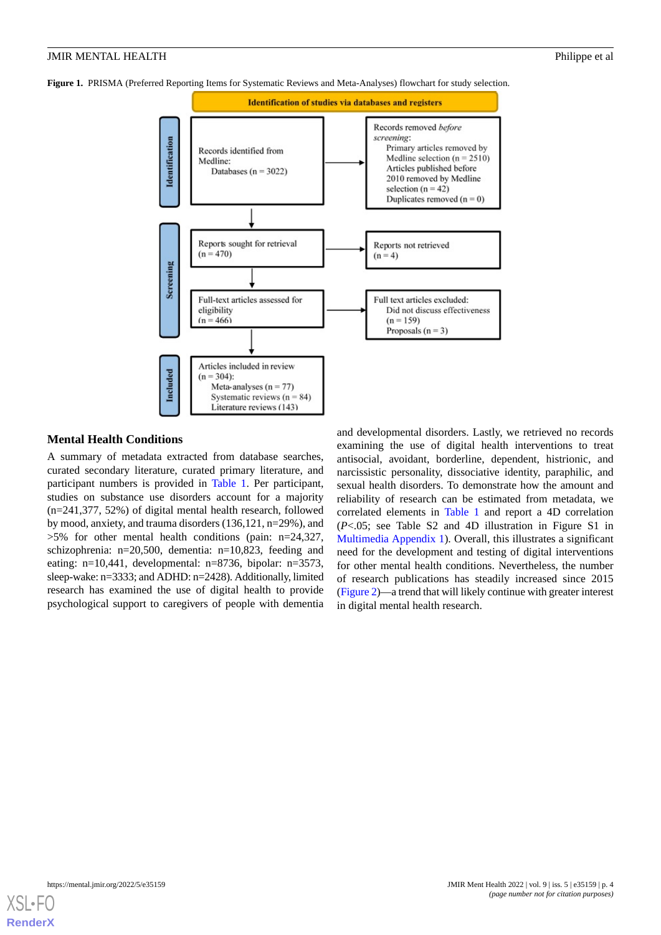<span id="page-3-0"></span>**Figure 1.** PRISMA (Preferred Reporting Items for Systematic Reviews and Meta-Analyses) flowchart for study selection.



# **Mental Health Conditions**

A summary of metadata extracted from database searches, curated secondary literature, curated primary literature, and participant numbers is provided in [Table 1](#page-4-0). Per participant, studies on substance use disorders account for a majority (n=241,377, 52%) of digital mental health research, followed by mood, anxiety, and trauma disorders (136,121, n=29%), and >5% for other mental health conditions (pain: n=24,327, schizophrenia: n=20,500, dementia: n=10,823, feeding and eating: n=10,441, developmental: n=8736, bipolar: n=3573, sleep-wake: n=3333; and ADHD: n=2428). Additionally, limited research has examined the use of digital health to provide psychological support to caregivers of people with dementia

and developmental disorders. Lastly, we retrieved no records examining the use of digital health interventions to treat antisocial, avoidant, borderline, dependent, histrionic, and narcissistic personality, dissociative identity, paraphilic, and sexual health disorders. To demonstrate how the amount and reliability of research can be estimated from metadata, we correlated elements in [Table 1](#page-4-0) and report a 4D correlation (*P*<.05; see Table S2 and 4D illustration in Figure S1 in [Multimedia Appendix 1](#page-13-0)). Overall, this illustrates a significant need for the development and testing of digital interventions for other mental health conditions. Nevertheless, the number of research publications has steadily increased since 2015 ([Figure 2\)](#page-4-1)—a trend that will likely continue with greater interest in digital mental health research.

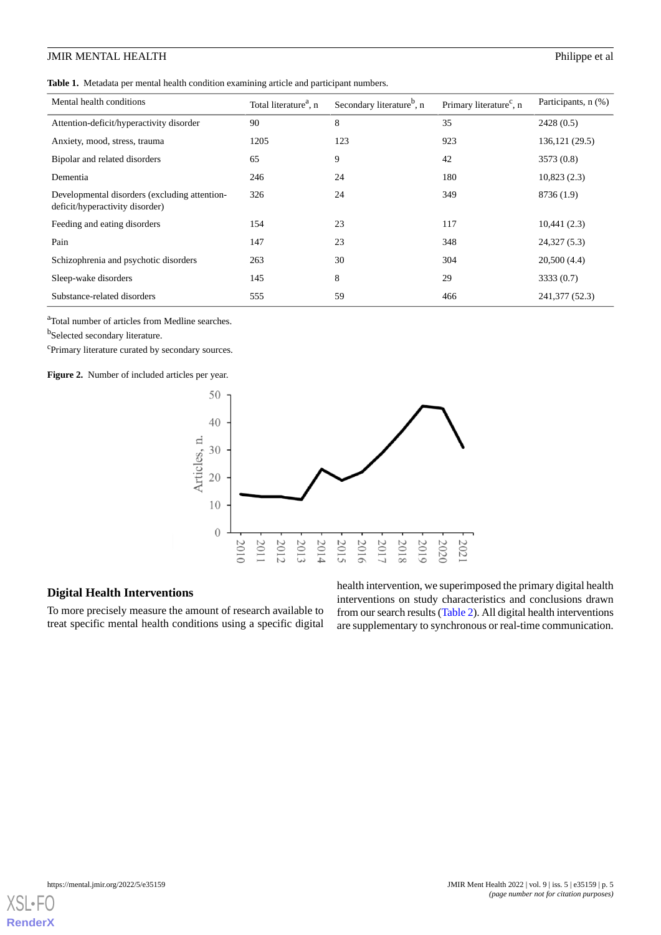<span id="page-4-0"></span>**Table 1.** Metadata per mental health condition examining article and participant numbers.

| Mental health conditions                                                         | Total literature <sup>a</sup> , n | Secondary literature <sup>b</sup> , n | Primary literature <sup>c</sup> , n | Participants, n (%) |
|----------------------------------------------------------------------------------|-----------------------------------|---------------------------------------|-------------------------------------|---------------------|
| Attention-deficit/hyperactivity disorder                                         | 90                                | 8                                     | 35                                  | 2428(0.5)           |
| Anxiety, mood, stress, trauma                                                    | 1205                              | 123                                   | 923                                 | 136, 121 (29.5)     |
| Bipolar and related disorders                                                    | 65                                | 9                                     | 42                                  | 3573 (0.8)          |
| Dementia                                                                         | 246                               | 24                                    | 180                                 | 10,823(2.3)         |
| Developmental disorders (excluding attention-<br>deficit/hyperactivity disorder) | 326                               | 24                                    | 349                                 | 8736 (1.9)          |
| Feeding and eating disorders                                                     | 154                               | 23                                    | 117                                 | 10,441(2.3)         |
| Pain                                                                             | 147                               | 23                                    | 348                                 | 24,327(5.3)         |
| Schizophrenia and psychotic disorders                                            | 263                               | 30                                    | 304                                 | 20,500(4.4)         |
| Sleep-wake disorders                                                             | 145                               | 8                                     | 29                                  | 3333 (0.7)          |
| Substance-related disorders                                                      | 555                               | 59                                    | 466                                 | 241, 377 (52.3)     |

<sup>a</sup>Total number of articles from Medline searches.

<span id="page-4-1"></span>**b**Selected secondary literature.

<sup>c</sup>Primary literature curated by secondary sources.

**Figure 2.** Number of included articles per year.



# **Digital Health Interventions**

To more precisely measure the amount of research available to treat specific mental health conditions using a specific digital

health intervention, we superimposed the primary digital health interventions on study characteristics and conclusions drawn from our search results ([Table 2](#page-5-0)). All digital health interventions are supplementary to synchronous or real-time communication.

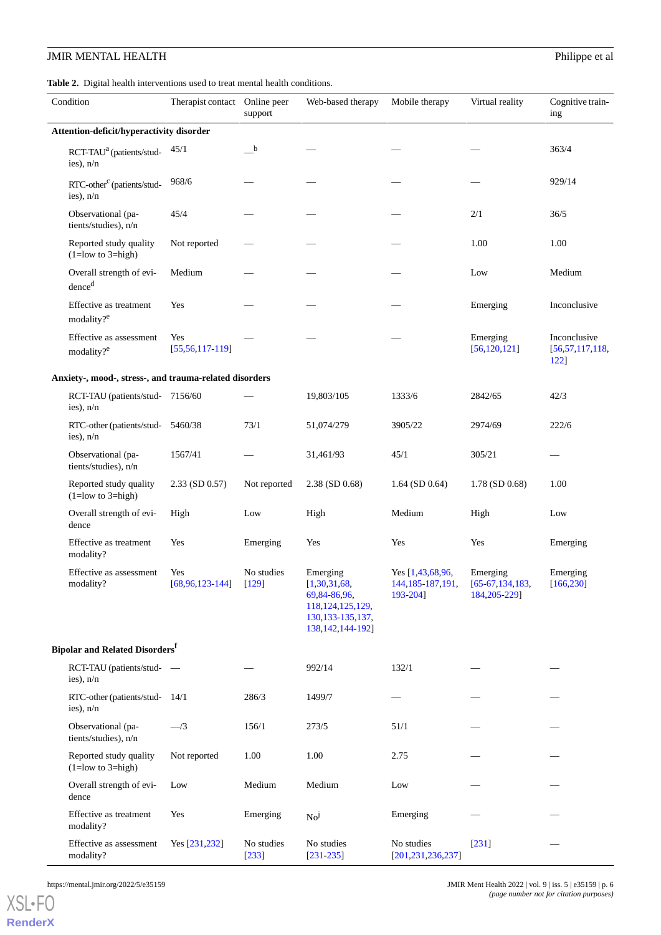<span id="page-5-0"></span>**Table 2.** Digital health interventions used to treat mental health conditions.

| Condition                                              | Therapist contact Online peer | support               | Web-based therapy                                                                                             | Mobile therapy                                         | Virtual reality                                 | Cognitive train-<br>ing                    |  |  |
|--------------------------------------------------------|-------------------------------|-----------------------|---------------------------------------------------------------------------------------------------------------|--------------------------------------------------------|-------------------------------------------------|--------------------------------------------|--|--|
| Attention-deficit/hyperactivity disorder               |                               |                       |                                                                                                               |                                                        |                                                 |                                            |  |  |
| RCT-TAU <sup>a</sup> (patients/stud-<br>ies), n/n      | 45/1                          | $\mathbf{b}$          |                                                                                                               |                                                        |                                                 | 363/4                                      |  |  |
| RTC-other <sup>c</sup> (patients/stud-<br>ies), n/n    | 968/6                         |                       |                                                                                                               |                                                        |                                                 | 929/14                                     |  |  |
| Observational (pa-<br>tients/studies), n/n             | 45/4                          |                       |                                                                                                               |                                                        | 2/1                                             | 36/5                                       |  |  |
| Reported study quality<br>$(1 = low to 3 = high)$      | Not reported                  |                       |                                                                                                               |                                                        | 1.00                                            | 1.00                                       |  |  |
| Overall strength of evi-<br>dence <sup>d</sup>         | Medium                        |                       |                                                                                                               |                                                        | Low                                             | Medium                                     |  |  |
| Effective as treatment<br>modality? <sup>e</sup>       | Yes                           |                       |                                                                                                               |                                                        | Emerging                                        | Inconclusive                               |  |  |
| Effective as assessment<br>modality? <sup>e</sup>      | Yes<br>$[55, 56, 117 - 119]$  |                       |                                                                                                               |                                                        | Emerging<br>[56, 120, 121]                      | Inconclusive<br>[56, 57, 117, 118,<br>122] |  |  |
| Anxiety-, mood-, stress-, and trauma-related disorders |                               |                       |                                                                                                               |                                                        |                                                 |                                            |  |  |
| RCT-TAU (patients/stud- 7156/60<br>ies), $n/n$         |                               |                       | 19,803/105                                                                                                    | 1333/6                                                 | 2842/65                                         | 42/3                                       |  |  |
| RTC-other (patients/stud-5460/38<br>ies), n/n          |                               | 73/1                  | 51,074/279                                                                                                    | 3905/22                                                | 2974/69                                         | 222/6                                      |  |  |
| Observational (pa-<br>tients/studies), n/n             | 1567/41                       |                       | 31,461/93                                                                                                     | 45/1                                                   | 305/21                                          |                                            |  |  |
| Reported study quality<br>$(1 = low to 3 = high)$      | $2.33$ (SD 0.57)              | Not reported          | $2.38$ (SD 0.68)                                                                                              | $1.64$ (SD 0.64)                                       | $1.78$ (SD 0.68)                                | 1.00                                       |  |  |
| Overall strength of evi-<br>dence                      | High                          | Low                   | High                                                                                                          | Medium                                                 | High                                            | Low                                        |  |  |
| Effective as treatment<br>modality?                    | Yes                           | Emerging              | Yes                                                                                                           | Yes                                                    | Yes                                             | Emerging                                   |  |  |
| Effective as assessment<br>modality?                   | Yes<br>$[68,96,123-144]$      | No studies<br>$[129]$ | Emerging<br>[1,30,31,68]<br>69,84-86,96,<br>118, 124, 125, 129,<br>130, 133 - 135, 137,<br>138, 142, 144-192] | Yes $[1,43,68,96,$<br>144, 185 - 187, 191,<br>193-2041 | Emerging<br>$[65-67, 134, 183,$<br>184,205-229] | Emerging<br>[166, 230]                     |  |  |
| <b>Bipolar and Related Disorders</b>                   |                               |                       |                                                                                                               |                                                        |                                                 |                                            |  |  |
| RCT-TAU (patients/stud-<br>ies), $n/n$                 |                               |                       | 992/14                                                                                                        | 132/1                                                  |                                                 |                                            |  |  |
| RTC-other (patients/stud-14/1<br>ies), $n/n$           |                               | 286/3                 | 1499/7                                                                                                        |                                                        |                                                 |                                            |  |  |
| Observational (pa-<br>tients/studies), n/n             | $-$ /3                        | 156/1                 | 273/5                                                                                                         | 51/1                                                   |                                                 |                                            |  |  |
| Reported study quality<br>$(1 = low to 3 = high)$      | Not reported                  | 1.00                  | 1.00                                                                                                          | 2.75                                                   |                                                 |                                            |  |  |
| Overall strength of evi-<br>dence                      | Low                           | Medium                | Medium                                                                                                        | Low                                                    |                                                 |                                            |  |  |
| Effective as treatment<br>modality?                    | Yes                           | Emerging              | No <sup>j</sup>                                                                                               | Emerging                                               |                                                 |                                            |  |  |
| Effective as assessment<br>modality?                   | Yes [231,232]                 | No studies<br>$[233]$ | No studies<br>$[231 - 235]$                                                                                   | No studies<br>[201, 231, 236, 237]                     | $[231]$                                         |                                            |  |  |

[XSL](http://www.w3.org/Style/XSL)•FO **[RenderX](http://www.renderx.com/)**

https://mental.jmir.org/2022/5/e35159 JMIR Ment Health 2022 | vol. 9 | iss. 5 | e35159 | p. 6 *(page number not for citation purposes)*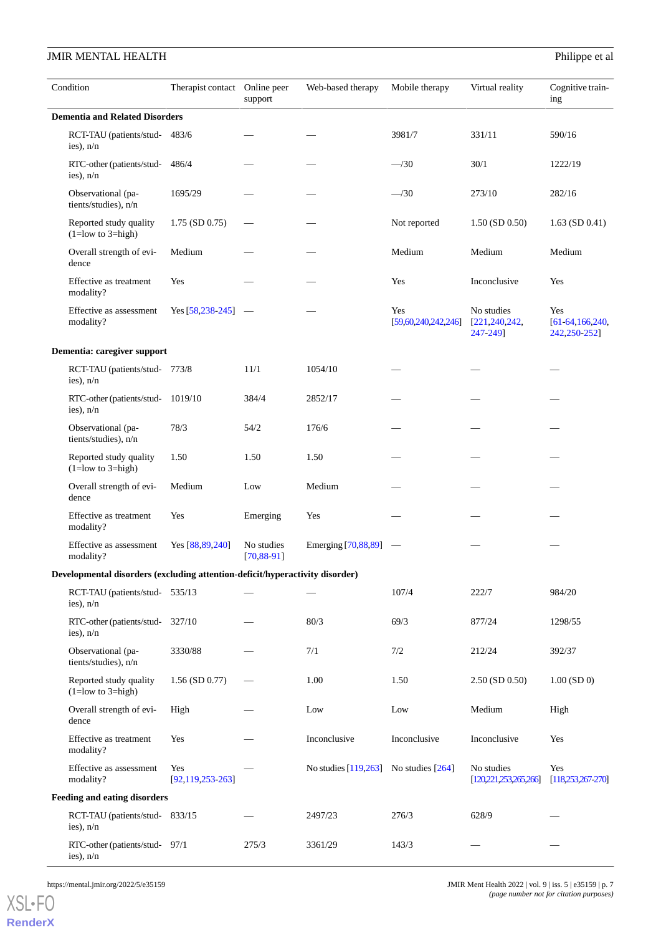| Condition                                                                    | Therapist contact Online peer | support                       | Web-based therapy                         | Mobile therapy             | Virtual reality                           | Cognitive train-<br>ing                      |  |
|------------------------------------------------------------------------------|-------------------------------|-------------------------------|-------------------------------------------|----------------------------|-------------------------------------------|----------------------------------------------|--|
| <b>Dementia and Related Disorders</b>                                        |                               |                               |                                           |                            |                                           |                                              |  |
| RCT-TAU (patients/stud- 483/6<br>ies), $n/n$                                 |                               |                               |                                           | 3981/7                     | 331/11                                    | 590/16                                       |  |
| RTC-other (patients/stud-486/4<br>ies), n/n                                  |                               |                               |                                           | $-$ /30                    | 30/1                                      | 1222/19                                      |  |
| Observational (pa-<br>tients/studies), n/n                                   | 1695/29                       |                               |                                           | $-$ /30                    | 273/10                                    | 282/16                                       |  |
| Reported study quality<br>$(1 = low to 3 = high)$                            | $1.75$ (SD 0.75)              |                               |                                           | Not reported               | $1.50$ (SD 0.50)                          | $1.63$ (SD 0.41)                             |  |
| Overall strength of evi-<br>dence                                            | Medium                        |                               |                                           | Medium                     | Medium                                    | Medium                                       |  |
| Effective as treatment<br>modality?                                          | Yes                           |                               |                                           | Yes                        | Inconclusive                              | Yes                                          |  |
| Effective as assessment<br>modality?                                         | Yes $[58, 238, 245]$          | $\hspace{0.1mm}$              |                                           | Yes<br>[59,60,240,242,246] | No studies<br>[221, 240, 242,<br>247-249] | Yes<br>$[61 - 64, 166, 240,$<br>242,250-252] |  |
| Dementia: caregiver support                                                  |                               |                               |                                           |                            |                                           |                                              |  |
| RCT-TAU (patients/stud- 773/8<br>ies), $n/n$                                 |                               | 11/1                          | 1054/10                                   |                            |                                           |                                              |  |
| RTC-other (patients/stud-1019/10<br>ies), n/n                                |                               | 384/4                         | 2852/17                                   |                            |                                           |                                              |  |
| Observational (pa-<br>tients/studies), n/n                                   | 78/3                          | 54/2                          | 176/6                                     |                            |                                           |                                              |  |
| Reported study quality<br>$(1 = low to 3 = high)$                            | 1.50                          | 1.50                          | 1.50                                      |                            |                                           |                                              |  |
| Overall strength of evi-<br>dence                                            | Medium                        | Low                           | Medium                                    |                            |                                           |                                              |  |
| Effective as treatment<br>modality?                                          | Yes                           | Emerging                      | Yes                                       |                            |                                           |                                              |  |
| Effective as assessment<br>modality?                                         | Yes [88,89,240]               | No studies<br>$[70, 88 - 91]$ | Emerging [70,88,89]                       |                            |                                           |                                              |  |
| Developmental disorders (excluding attention-deficit/hyperactivity disorder) |                               |                               |                                           |                            |                                           |                                              |  |
| RCT-TAU (patients/stud-535/13)<br>ies), $n/n$                                |                               |                               |                                           | 107/4                      | 222/7                                     | 984/20                                       |  |
| RTC-other (patients/stud-327/10)<br>ies), $n/n$                              |                               |                               | 80/3                                      | 69/3                       | 877/24                                    | 1298/55                                      |  |
| Observational (pa-<br>tients/studies), n/n                                   | 3330/88                       |                               | 7/1                                       | 7/2                        | 212/24                                    | 392/37                                       |  |
| Reported study quality<br>$(1 = low to 3 = high)$                            | $1.56$ (SD 0.77)              |                               | 1.00                                      | 1.50                       | $2.50$ (SD 0.50)                          | $1.00$ (SD 0)                                |  |
| Overall strength of evi-<br>dence                                            | High                          |                               | Low                                       | Low                        | Medium                                    | High                                         |  |
| Effective as treatment<br>modality?                                          | Yes                           |                               | Inconclusive                              | Inconclusive               | Inconclusive                              | Yes                                          |  |
| Effective as assessment<br>modality?                                         | Yes<br>[92, 119, 253, 263]    |                               | No studies $[119,263]$ No studies $[264]$ |                            | No studies<br>[120,221,253,265,266]       | Yes<br>[118, 253, 267, 270]                  |  |
| <b>Feeding and eating disorders</b>                                          |                               |                               |                                           |                            |                                           |                                              |  |
| RCT-TAU (patients/stud-833/15<br>ies), $n/n$                                 |                               |                               | 2497/23                                   | 276/3                      | 628/9                                     |                                              |  |
| RTC-other (patients/stud-97/1<br>ies), $n/n$                                 |                               | 275/3                         | 3361/29                                   | 143/3                      |                                           |                                              |  |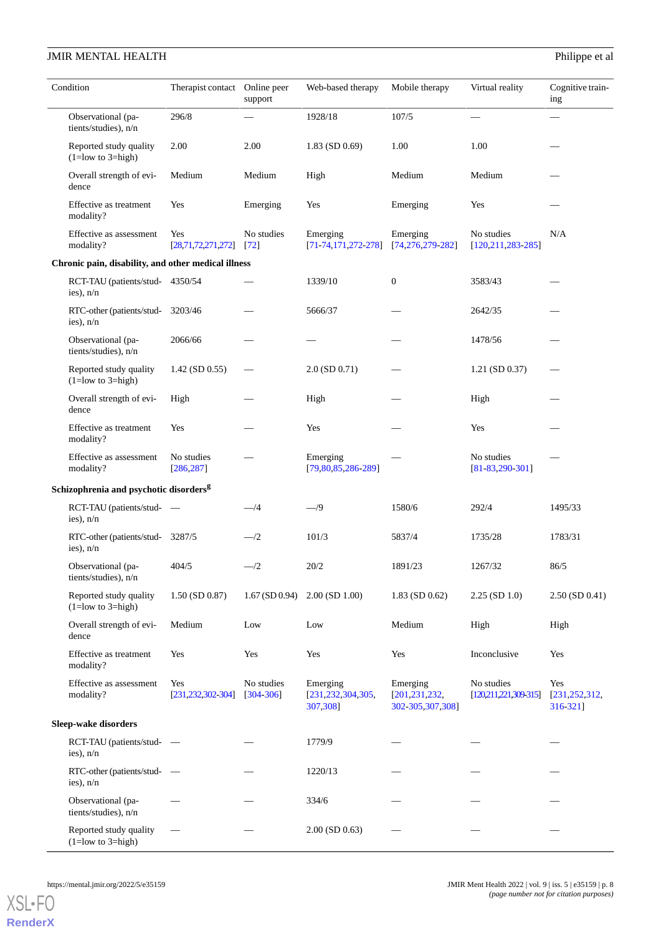|                      | Condition                                           | Therapist contact           | Online peer<br>support      | Web-based therapy                         | Mobile therapy                                  | Virtual reality                       | Cognitive train-<br>ing            |
|----------------------|-----------------------------------------------------|-----------------------------|-----------------------------|-------------------------------------------|-------------------------------------------------|---------------------------------------|------------------------------------|
|                      | Observational (pa-<br>tients/studies), n/n          | 296/8                       |                             | 1928/18                                   | 107/5                                           |                                       |                                    |
|                      | Reported study quality<br>$(1 = low to 3 = high)$   | 2.00                        | 2.00                        | 1.83 (SD 0.69)                            | 1.00                                            | 1.00                                  |                                    |
|                      | Overall strength of evi-<br>dence                   | Medium                      | Medium                      | High                                      | Medium                                          | Medium                                |                                    |
|                      | Effective as treatment<br>modality?                 | Yes                         | Emerging                    | Yes                                       | Emerging                                        | Yes                                   |                                    |
|                      | Effective as assessment<br>modality?                | Yes<br>[28,71,72,271,272]   | No studies<br>[72]          | Emerging<br>$[71-74, 171, 272-278]$       | Emerging<br>$[74, 276, 279 - 282]$              | No studies<br>$[120, 211, 283 - 285]$ | N/A                                |
|                      | Chronic pain, disability, and other medical illness |                             |                             |                                           |                                                 |                                       |                                    |
|                      | RCT-TAU (patients/stud-4350/54<br>ies), $n/n$       |                             |                             | 1339/10                                   | $\mathbf{0}$                                    | 3583/43                               |                                    |
|                      | RTC-other (patients/stud-<br>ies), n/n              | 3203/46                     |                             | 5666/37                                   |                                                 | 2642/35                               |                                    |
|                      | Observational (pa-<br>tients/studies), n/n          | 2066/66                     |                             |                                           |                                                 | 1478/56                               |                                    |
|                      | Reported study quality<br>$(1 = low to 3 = high)$   | $1.42$ (SD 0.55)            |                             | $2.0$ (SD $0.71$ )                        |                                                 | 1.21 (SD 0.37)                        |                                    |
|                      | Overall strength of evi-<br>dence                   | High                        |                             | High                                      |                                                 | High                                  |                                    |
|                      | Effective as treatment<br>modality?                 | Yes                         |                             | Yes                                       |                                                 | Yes                                   |                                    |
|                      | Effective as assessment<br>modality?                | No studies<br>[286, 287]    |                             | Emerging<br>$[79,80,85,286-289]$          |                                                 | No studies<br>$[81-83,290-301]$       |                                    |
|                      | Schizophrenia and psychotic disorders <sup>g</sup>  |                             |                             |                                           |                                                 |                                       |                                    |
|                      | RCT-TAU (patients/stud-<br>ies), $n/n$              |                             | $-\frac{4}{3}$              | $-$ /9                                    | 1580/6                                          | 292/4                                 | 1495/33                            |
|                      | RTC-other (patients/stud-3287/5<br>ies), n/n        |                             | $-$ /2                      | 101/3                                     | 5837/4                                          | 1735/28                               | 1783/31                            |
|                      | Observational (pa-<br>tients/studies), n/n          | 404/5                       | $-$ /2                      | 20/2                                      | 1891/23                                         | 1267/32                               | 86/5                               |
|                      | Reported study quality<br>$(1 = low to 3 = high)$   | $1.50$ (SD $0.87$ )         | $1.67$ (SD 0.94)            | $2.00$ (SD $1.00$ )                       | $1.83$ (SD 0.62)                                | $2.25$ (SD 1.0)                       | $2.50$ (SD 0.41)                   |
|                      | Overall strength of evi-<br>dence                   | Medium                      | Low                         | Low                                       | Medium                                          | High                                  | High                               |
|                      | Effective as treatment<br>modality?                 | Yes                         | Yes                         | Yes                                       | Yes                                             | Inconclusive                          | Yes                                |
|                      | Effective as assessment<br>modality?                | Yes<br>[231, 232, 302, 304] | No studies<br>$[304 - 306]$ | Emerging<br>[231,232,304,305,<br>307,3081 | Emerging<br>[201, 231, 232,<br>302-305,307,308] | No studies<br>[120,211,221,309,315]   | Yes<br>[231, 252, 312,<br>316-3211 |
| Sleep-wake disorders |                                                     |                             |                             |                                           |                                                 |                                       |                                    |
|                      | RCT-TAU (patients/stud-<br>ies), $n/n$              |                             |                             | 1779/9                                    |                                                 |                                       |                                    |
|                      | RTC-other (patients/stud-<br>ies), n/n              |                             |                             | 1220/13                                   |                                                 |                                       |                                    |
|                      | Observational (pa-<br>tients/studies), n/n          |                             |                             | 334/6                                     |                                                 |                                       |                                    |
|                      | Reported study quality<br>$(1 = low to 3 = high)$   |                             |                             | $2.00$ (SD 0.63)                          |                                                 |                                       |                                    |

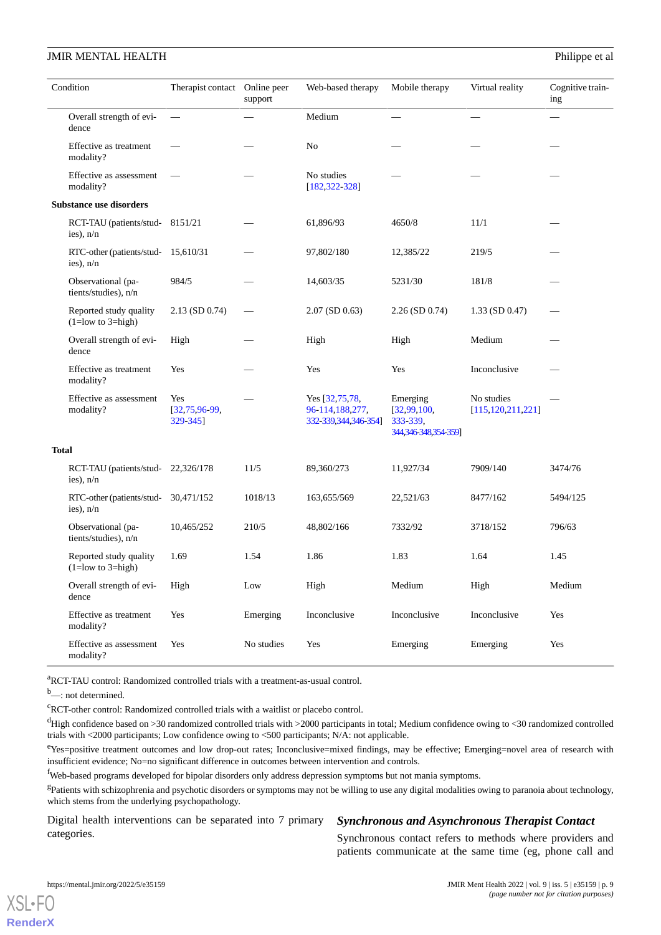|              | Condition                                          | Therapist contact                  | Online peer<br>support | Web-based therapy                                           | Mobile therapy                                              | Virtual reality                    | Cognitive train-<br>ing |
|--------------|----------------------------------------------------|------------------------------------|------------------------|-------------------------------------------------------------|-------------------------------------------------------------|------------------------------------|-------------------------|
|              | Overall strength of evi-<br>dence                  |                                    |                        | Medium                                                      |                                                             |                                    |                         |
|              | Effective as treatment<br>modality?                |                                    |                        | No                                                          |                                                             |                                    |                         |
|              | Effective as assessment<br>modality?               |                                    |                        | No studies<br>$[182, 322 - 328]$                            |                                                             |                                    |                         |
|              | <b>Substance use disorders</b>                     |                                    |                        |                                                             |                                                             |                                    |                         |
|              | RCT-TAU (patients/stud-8151/21<br>ies), $n/n$      |                                    |                        | 61,896/93                                                   | 4650/8                                                      | 11/1                               |                         |
|              | RTC-other (patients/stud-15,610/31)<br>ies), $n/n$ |                                    |                        | 97,802/180                                                  | 12,385/22                                                   | 219/5                              |                         |
|              | Observational (pa-<br>tients/studies), n/n         | 984/5                              |                        | 14,603/35                                                   | 5231/30                                                     | 181/8                              |                         |
|              | Reported study quality<br>$(1 = low to 3 = high)$  | $2.13$ (SD 0.74)                   |                        | $2.07$ (SD 0.63)                                            | $2.26$ (SD 0.74)                                            | $1.33$ (SD 0.47)                   |                         |
|              | Overall strength of evi-<br>dence                  | High                               |                        | High                                                        | High                                                        | Medium                             |                         |
|              | Effective as treatment<br>modality?                | Yes                                |                        | Yes                                                         | Yes                                                         | Inconclusive                       |                         |
|              | Effective as assessment<br>modality?               | Yes<br>$[32,75,96-99,$<br>329-3451 |                        | Yes [32,75,78,<br>96-114,188,277,<br>332-339, 344, 346-354] | Emerging<br>[32,99,100,<br>333-339,<br>344,346-348,354-359] | No studies<br>[115, 120, 211, 221] |                         |
| <b>Total</b> |                                                    |                                    |                        |                                                             |                                                             |                                    |                         |
|              | RCT-TAU (patients/stud-22,326/178<br>ies), $n/n$   |                                    | 11/5                   | 89,360/273                                                  | 11,927/34                                                   | 7909/140                           | 3474/76                 |
|              | RTC-other (patients/stud-<br>ies), n/n             | 30,471/152                         | 1018/13                | 163,655/569                                                 | 22,521/63                                                   | 8477/162                           | 5494/125                |
|              | Observational (pa-<br>tients/studies), n/n         | 10,465/252                         | 210/5                  | 48,802/166                                                  | 7332/92                                                     | 3718/152                           | 796/63                  |
|              | Reported study quality<br>$(1=low to 3=high)$      | 1.69                               | 1.54                   | 1.86                                                        | 1.83                                                        | 1.64                               | 1.45                    |
|              | Overall strength of evi-<br>dence                  | High                               | Low                    | High                                                        | Medium                                                      | High                               | Medium                  |
|              | Effective as treatment<br>modality?                | Yes                                | Emerging               | Inconclusive                                                | Inconclusive                                                | Inconclusive                       | Yes                     |
|              | Effective as assessment<br>modality?               | Yes                                | No studies             | Yes                                                         | Emerging                                                    | Emerging                           | Yes                     |

<sup>a</sup>RCT-TAU control: Randomized controlled trials with a treatment-as-usual control.

b<sub>—</sub>: not determined.

 ${}^{\mathrm{c}}$ RCT-other control: Randomized controlled trials with a waitlist or placebo control.

 $d$ High confidence based on >30 randomized controlled trials with >2000 participants in total; Medium confidence owing to <30 randomized controlled trials with <2000 participants; Low confidence owing to <500 participants; N/A: not applicable.

<sup>e</sup>Yes=positive treatment outcomes and low drop-out rates; Inconclusive=mixed findings, may be effective; Emerging=novel area of research with insufficient evidence; No=no significant difference in outcomes between intervention and controls.

<sup>f</sup>Web-based programs developed for bipolar disorders only address depression symptoms but not mania symptoms.

<sup>g</sup>Patients with schizophrenia and psychotic disorders or symptoms may not be willing to use any digital modalities owing to paranoia about technology, which stems from the underlying psychopathology.

Digital health interventions can be separated into 7 primary categories.

# *Synchronous and Asynchronous Therapist Contact*

Synchronous contact refers to methods where providers and patients communicate at the same time (eg, phone call and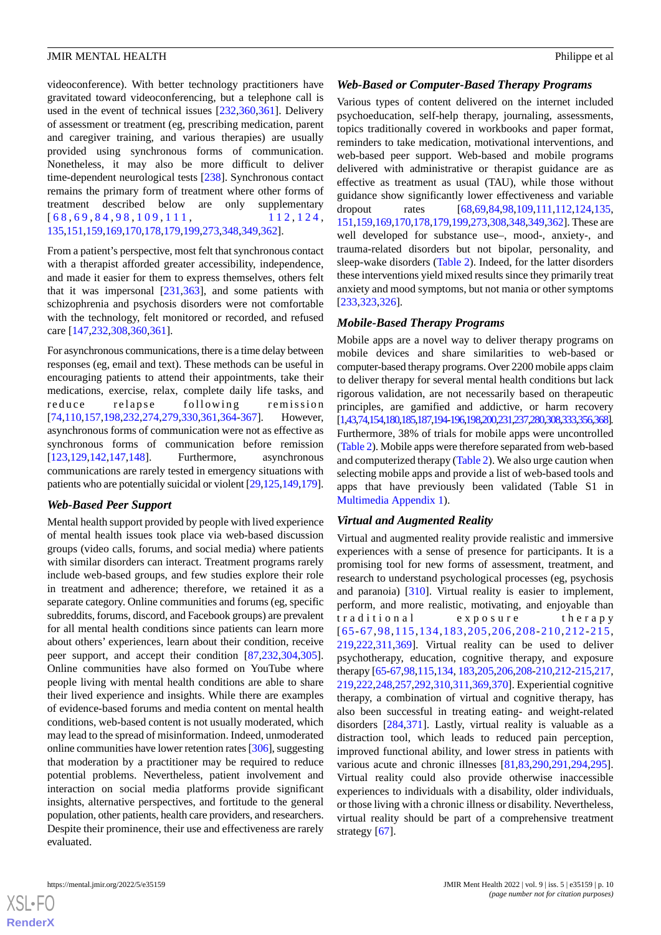videoconference). With better technology practitioners have gravitated toward videoconferencing, but a telephone call is used in the event of technical issues [[232](#page-24-6)[,360](#page-30-5),[361\]](#page-30-6). Delivery of assessment or treatment (eg, prescribing medication, parent and caregiver training, and various therapies) are usually provided using synchronous forms of communication. Nonetheless, it may also be more difficult to deliver time-dependent neurological tests [\[238](#page-25-8)]. Synchronous contact remains the primary form of treatment where other forms of treatment described below are only supplementary  $[68, 69, 84, 98, 109, 111, 112, 124,$  $[68, 69, 84, 98, 109, 111, 112, 124,$  $[68, 69, 84, 98, 109, 111, 112, 124,$  $[68, 69, 84, 98, 109, 111, 112, 124,$  $[68, 69, 84, 98, 109, 111, 112, 124,$  $[68, 69, 84, 98, 109, 111, 112, 124,$  $[68, 69, 84, 98, 109, 111, 112, 124,$  $[68, 69, 84, 98, 109, 111, 112, 124,$  $[68, 69, 84, 98, 109, 111, 112, 124,$ [135,](#page-20-3)[151](#page-20-7),[159](#page-21-2)[,169](#page-21-3)[,170,](#page-21-4)[178](#page-22-9),[179](#page-22-10)[,199](#page-23-4)[,273,](#page-26-12)[348](#page-30-1),[349](#page-30-7)[,362](#page-30-8)].

From a patient's perspective, most felt that synchronous contact with a therapist afforded greater accessibility, independence, and made it easier for them to express themselves, others felt that it was impersonal [[231,](#page-24-2)[363](#page-30-9)], and some patients with schizophrenia and psychosis disorders were not comfortable with the technology, felt monitored or recorded, and refused care [[147](#page-20-8)[,232,](#page-24-6)[308](#page-28-8),[360](#page-30-5),[361](#page-30-6)].

For asynchronous communications, there is a time delay between responses (eg, email and text). These methods can be useful in encouraging patients to attend their appointments, take their medications, exercise, relax, complete daily life tasks, and reduce relapse following remission [[74](#page-17-13)[,110](#page-19-17),[157](#page-21-5)[,198](#page-23-5),[232](#page-24-6)[,274](#page-26-13),[279](#page-26-7)[,330](#page-29-6),[361](#page-30-6)[,364](#page-30-10)-[367\]](#page-31-0). However, asynchronous forms of communication were not as effective as synchronous forms of communication before remission [[123](#page-19-11)[,129](#page-19-10),[142](#page-20-6)[,147](#page-20-8),[148\]](#page-20-9). Furthermore, asynchronous communications are rarely tested in emergency situations with patients who are potentially suicidal or violent [\[29](#page-15-5)[,125](#page-19-9)[,149](#page-20-10)[,179\]](#page-22-10).

# *Web-Based Peer Support*

Mental health support provided by people with lived experience of mental health issues took place via web-based discussion groups (video calls, forums, and social media) where patients with similar disorders can interact. Treatment programs rarely include web-based groups, and few studies explore their role in treatment and adherence; therefore, we retained it as a separate category. Online communities and forums (eg, specific subreddits, forums, discord, and Facebook groups) are prevalent for all mental health conditions since patients can learn more about others' experiences, learn about their condition, receive peer support, and accept their condition [\[87](#page-17-8),[232](#page-24-6)[,304](#page-28-9),[305\]](#page-28-6). Online communities have also formed on YouTube where people living with mental health conditions are able to share their lived experience and insights. While there are examples of evidence-based forums and media content on mental health conditions, web-based content is not usually moderated, which may lead to the spread of misinformation. Indeed, unmoderated online communities have lower retention rates [\[306\]](#page-28-10), suggesting that moderation by a practitioner may be required to reduce potential problems. Nevertheless, patient involvement and interaction on social media platforms provide significant insights, alternative perspectives, and fortitude to the general population, other patients, health care providers, and researchers. Despite their prominence, their use and effectiveness are rarely evaluated.

#### *Web-Based or Computer-Based Therapy Programs*

Various types of content delivered on the internet included psychoeducation, self-help therapy, journaling, assessments, topics traditionally covered in workbooks and paper format, reminders to take medication, motivational interventions, and web-based peer support. Web-based and mobile programs delivered with administrative or therapist guidance are as effective as treatment as usual (TAU), while those without guidance show significantly lower effectiveness and variable dropout rates [\[68](#page-17-2),[69](#page-17-12)[,84](#page-17-7),[98](#page-18-8)[,109](#page-19-14),[111](#page-19-15)[,112](#page-19-16),[124](#page-19-8)[,135](#page-20-3), [151](#page-20-7),[159,](#page-21-2)[169](#page-21-3)[,170](#page-21-4)[,178](#page-22-9),[179](#page-22-10),[199,](#page-23-4)[273](#page-26-12)[,308](#page-28-8)[,348](#page-30-1),[349](#page-30-7)[,362\]](#page-30-8). These are well developed for substance use–, mood-, anxiety-, and trauma-related disorders but not bipolar, personality, and sleep-wake disorders ([Table 2](#page-5-0)). Indeed, for the latter disorders these interventions yield mixed results since they primarily treat anxiety and mood symptoms, but not mania or other symptoms [[233](#page-24-5)[,323,](#page-28-12)[326\]](#page-29-7).

# *Mobile-Based Therapy Programs*

Mobile apps are a novel way to deliver therapy programs on mobile devices and share similarities to web-based or computer-based therapy programs. Over 2200 mobile apps claim to deliver therapy for several mental health conditions but lack rigorous validation, are not necessarily based on therapeutic principles, are gamified and addictive, or harm recovery [\[1](#page-14-0)[,43](#page-15-9)[,74](#page-17-13)[,154](#page-21-6)[,180](#page-22-11)[,185](#page-22-2)[,187](#page-22-3)[,194](#page-22-12)[-196](#page-23-6)[,198](#page-23-5)[,200](#page-23-7)[,231](#page-24-2)[,237](#page-25-0)[,280](#page-27-8)[,308](#page-28-8)[,333](#page-29-1)[,356](#page-30-11)[,368\]](#page-31-1). Furthermore, 38% of trials for mobile apps were uncontrolled ([Table 2](#page-5-0)). Mobile apps were therefore separated from web-based and computerized therapy [\(Table 2\)](#page-5-0). We also urge caution when selecting mobile apps and provide a list of web-based tools and apps that have previously been validated (Table S1 in [Multimedia Appendix 1\)](#page-13-0).

# *Virtual and Augmented Reality*

Virtual and augmented reality provide realistic and immersive experiences with a sense of presence for participants. It is a promising tool for new forms of assessment, treatment, and research to understand psychological processes (eg, psychosis and paranoia) [\[310](#page-28-13)]. Virtual reality is easier to implement, perform, and more realistic, motivating, and enjoyable than traditional exposure therapy [[65](#page-17-0)-[67,](#page-17-1)[98](#page-18-8),[115](#page-19-0),[134](#page-20-0),[183,](#page-22-0)[205,](#page-23-0)[206](#page-23-8),[208](#page-23-9)-[210,](#page-23-10)[212-](#page-23-11)[215](#page-23-12), [219,](#page-24-8)[222](#page-24-9),[311,](#page-28-14)[369](#page-31-2)]. Virtual reality can be used to deliver psychotherapy, education, cognitive therapy, and exposure therapy [\[65](#page-17-0)-[67](#page-17-1),[98](#page-18-8)[,115](#page-19-0),[134](#page-20-0), [183,](#page-22-0)[205](#page-23-0)[,206](#page-23-8),[208](#page-23-9)-[210,](#page-23-10)[212](#page-23-11)[-215](#page-23-12)[,217](#page-24-10), [219,](#page-24-8)[222](#page-24-9)[,248](#page-25-11),[257](#page-25-12)[,292](#page-27-9),[310,](#page-28-13)[311](#page-28-14),[369](#page-31-2),[370\]](#page-31-3). Experiential cognitive therapy, a combination of virtual and cognitive therapy, has also been successful in treating eating- and weight-related disorders [\[284,](#page-27-10)[371](#page-31-4)]. Lastly, virtual reality is valuable as a distraction tool, which leads to reduced pain perception, improved functional ability, and lower stress in patients with various acute and chronic illnesses [\[81](#page-17-16),[83](#page-17-6)[,290](#page-27-3),[291](#page-27-11)[,294](#page-27-12),[295\]](#page-27-13). Virtual reality could also provide otherwise inaccessible experiences to individuals with a disability, older individuals, or those living with a chronic illness or disability. Nevertheless, virtual reality should be part of a comprehensive treatment strategy [[67\]](#page-17-1).



**[RenderX](http://www.renderx.com/)**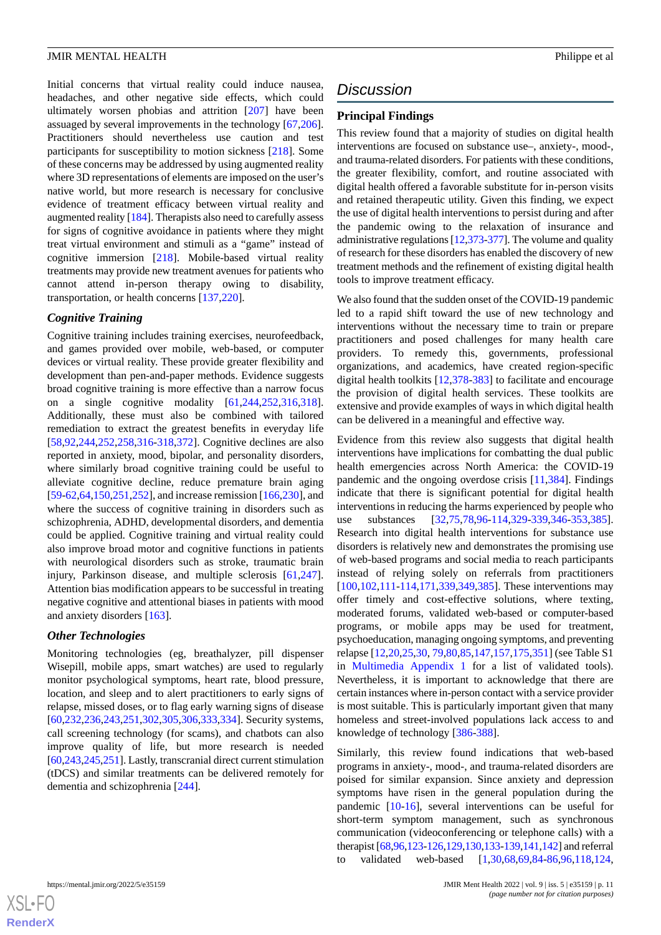Initial concerns that virtual reality could induce nausea, headaches, and other negative side effects, which could ultimately worsen phobias and attrition [[207](#page-23-13)] have been assuaged by several improvements in the technology [\[67](#page-17-1),[206\]](#page-23-8). Practitioners should nevertheless use caution and test participants for susceptibility to motion sickness [\[218](#page-24-11)]. Some of these concerns may be addressed by using augmented reality where 3D representations of elements are imposed on the user's native world, but more research is necessary for conclusive evidence of treatment efficacy between virtual reality and augmented reality [[184\]](#page-22-1). Therapists also need to carefully assess for signs of cognitive avoidance in patients where they might treat virtual environment and stimuli as a "game" instead of cognitive immersion [[218\]](#page-24-11). Mobile-based virtual reality treatments may provide new treatment avenues for patients who cannot attend in-person therapy owing to disability, transportation, or health concerns [\[137](#page-20-4),[220\]](#page-24-12).

### *Cognitive Training*

Cognitive training includes training exercises, neurofeedback, and games provided over mobile, web-based, or computer devices or virtual reality. These provide greater flexibility and development than pen-and-paper methods. Evidence suggests broad cognitive training is more effective than a narrow focus on a single cognitive modality [[61](#page-16-7)[,244](#page-25-13),[252](#page-25-4)[,316](#page-28-1),[318\]](#page-28-15). Additionally, these must also be combined with tailored remediation to extract the greatest benefits in everyday life [[58](#page-16-10)[,92](#page-18-5),[244](#page-25-13)[,252](#page-25-4),[258](#page-25-14)[,316](#page-28-1)-[318,](#page-28-15)[372](#page-31-5)]. Cognitive declines are also reported in anxiety, mood, bipolar, and personality disorders, where similarly broad cognitive training could be useful to alleviate cognitive decline, reduce premature brain aging [[59](#page-16-8)[-62](#page-16-11),[64,](#page-16-4)[150](#page-20-11),[251,](#page-25-15)[252](#page-25-4)], and increase remission [[166](#page-21-0)[,230\]](#page-24-0), and where the success of cognitive training in disorders such as schizophrenia, ADHD, developmental disorders, and dementia could be applied. Cognitive training and virtual reality could also improve broad motor and cognitive functions in patients with neurological disorders such as stroke, traumatic brain injury, Parkinson disease, and multiple sclerosis [\[61](#page-16-7),[247\]](#page-25-5). Attention bias modification appears to be successful in treating negative cognitive and attentional biases in patients with mood and anxiety disorders [[163\]](#page-21-7).

# *Other Technologies*

Monitoring technologies (eg, breathalyzer, pill dispenser Wisepill, mobile apps, smart watches) are used to regularly monitor psychological symptoms, heart rate, blood pressure, location, and sleep and to alert practitioners to early signs of relapse, missed doses, or to flag early warning signs of disease [[60](#page-16-9)[,232](#page-24-6),[236](#page-24-3)[,243](#page-25-16),[251](#page-25-15)[,302](#page-28-5),[305](#page-28-6)[,306](#page-28-10),[333](#page-29-1)[,334](#page-29-8)]. Security systems, call screening technology (for scams), and chatbots can also improve quality of life, but more research is needed [[60,](#page-16-9)[243](#page-25-16),[245](#page-25-9),[251\]](#page-25-15). Lastly, transcranial direct current stimulation (tDCS) and similar treatments can be delivered remotely for dementia and schizophrenia [[244\]](#page-25-13).

# *Discussion*

# **Principal Findings**

This review found that a majority of studies on digital health interventions are focused on substance use–, anxiety-, mood-, and trauma-related disorders. For patients with these conditions, the greater flexibility, comfort, and routine associated with digital health offered a favorable substitute for in-person visits and retained therapeutic utility. Given this finding, we expect the use of digital health interventions to persist during and after the pandemic owing to the relaxation of insurance and administrative regulations [\[12](#page-14-7)[,373](#page-31-6)[-377\]](#page-31-7). The volume and quality of research for these disorders has enabled the discovery of new treatment methods and the refinement of existing digital health tools to improve treatment efficacy.

We also found that the sudden onset of the COVID-19 pandemic led to a rapid shift toward the use of new technology and interventions without the necessary time to train or prepare practitioners and posed challenges for many health care providers. To remedy this, governments, professional organizations, and academics, have created region-specific digital health toolkits [[12](#page-14-7)[,378](#page-31-8)-[383\]](#page-31-9) to facilitate and encourage the provision of digital health services. These toolkits are extensive and provide examples of ways in which digital health can be delivered in a meaningful and effective way.

Evidence from this review also suggests that digital health interventions have implications for combatting the dual public health emergencies across North America: the COVID-19 pandemic and the ongoing overdose crisis [\[11](#page-14-14),[384\]](#page-31-10). Findings indicate that there is significant potential for digital health interventions in reducing the harms experienced by people who use substances [[32](#page-15-10)[,75](#page-17-19),[78](#page-17-4)[,96](#page-18-2)-[114](#page-19-13)[,329](#page-29-5)-[339,](#page-29-2)[346](#page-30-0)[-353](#page-30-12),[385\]](#page-31-11). Research into digital health interventions for substance use disorders is relatively new and demonstrates the promising use of web-based programs and social media to reach participants instead of relying solely on referrals from practitioners [[100](#page-18-7)[,102,](#page-18-9)[111](#page-19-15)[-114](#page-19-13),[171](#page-21-1)[,339](#page-29-2),[349](#page-30-7)[,385](#page-31-11)]. These interventions may offer timely and cost-effective solutions, where texting, moderated forums, validated web-based or computer-based programs, or mobile apps may be used for treatment, psychoeducation, managing ongoing symptoms, and preventing relapse [\[12](#page-14-7),[20](#page-14-11)[,25](#page-15-1),[30,](#page-15-6) [79,](#page-17-5)[80](#page-17-17)[,85](#page-17-18),[147](#page-20-8)[,157,](#page-21-5)[175,](#page-22-13)[351](#page-30-13)] (see Table S1 in [Multimedia Appendix 1](#page-13-0) for a list of validated tools). Nevertheless, it is important to acknowledge that there are certain instances where in-person contact with a service provider is most suitable. This is particularly important given that many homeless and street-involved populations lack access to and knowledge of technology [[386](#page-31-12)[-388](#page-31-13)].

Similarly, this review found indications that web-based programs in anxiety-, mood-, and trauma-related disorders are poised for similar expansion. Since anxiety and depression symptoms have risen in the general population during the pandemic [\[10](#page-14-5)-[16\]](#page-14-6), several interventions can be useful for short-term symptom management, such as synchronous communication (videoconferencing or telephone calls) with a therapist [\[68](#page-17-2)[,96](#page-18-2),[123-](#page-19-11)[126](#page-19-18),[129](#page-19-10)[,130,](#page-19-12)[133-](#page-20-2)[139,](#page-20-12)[141](#page-20-13)[,142\]](#page-20-6) and referral validated web-based [\[1](#page-14-0),[30](#page-15-6)[,68](#page-17-2),[69](#page-17-12)[,84](#page-17-7)-[86](#page-17-10)[,96](#page-18-2),[118](#page-19-3)[,124](#page-19-8),

 $XS$  $\cdot$ FC **[RenderX](http://www.renderx.com/)**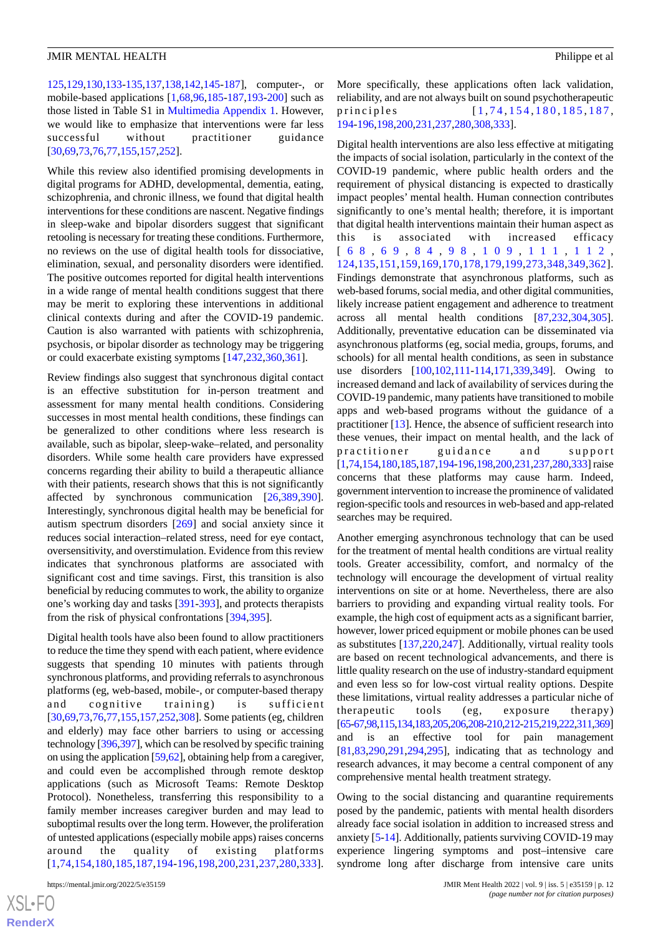[125,](#page-19-9)[129](#page-19-10),[130](#page-19-12)[,133](#page-20-2)[-135](#page-20-3),[137](#page-20-4)[,138](#page-20-5),[142](#page-20-6)[,145](#page-20-14)-[187\]](#page-22-3), computer-, or mobile-based applications [\[1](#page-14-0),[68,](#page-17-2)[96](#page-18-2)[,185-](#page-22-2)[187](#page-22-3)[,193](#page-22-5)-[200\]](#page-23-7) such as those listed in Table S1 in [Multimedia Appendix 1](#page-13-0). However, we would like to emphasize that interventions were far less successful without practitioner guidance [[30](#page-15-6)[,69](#page-17-12),[73](#page-17-20)[,76](#page-17-21),[77](#page-17-3)[,155](#page-21-8),[157](#page-21-5)[,252](#page-25-4)].

While this review also identified promising developments in digital programs for ADHD, developmental, dementia, eating, schizophrenia, and chronic illness, we found that digital health interventions for these conditions are nascent. Negative findings in sleep-wake and bipolar disorders suggest that significant retooling is necessary for treating these conditions. Furthermore, no reviews on the use of digital health tools for dissociative, elimination, sexual, and personality disorders were identified. The positive outcomes reported for digital health interventions in a wide range of mental health conditions suggest that there may be merit to exploring these interventions in additional clinical contexts during and after the COVID-19 pandemic. Caution is also warranted with patients with schizophrenia, psychosis, or bipolar disorder as technology may be triggering or could exacerbate existing symptoms [\[147](#page-20-8),[232,](#page-24-6)[360](#page-30-5),[361\]](#page-30-6).

Review findings also suggest that synchronous digital contact is an effective substitution for in-person treatment and assessment for many mental health conditions. Considering successes in most mental health conditions, these findings can be generalized to other conditions where less research is available, such as bipolar, sleep-wake–related, and personality disorders. While some health care providers have expressed concerns regarding their ability to build a therapeutic alliance with their patients, research shows that this is not significantly affected by synchronous communication [[26](#page-15-2)[,389](#page-31-14),[390\]](#page-32-0). Interestingly, synchronous digital health may be beneficial for autism spectrum disorders [[269\]](#page-26-14) and social anxiety since it reduces social interaction–related stress, need for eye contact, oversensitivity, and overstimulation. Evidence from this review indicates that synchronous platforms are associated with significant cost and time savings. First, this transition is also beneficial by reducing commutes to work, the ability to organize one's working day and tasks [[391](#page-32-1)[-393](#page-32-2)], and protects therapists from the risk of physical confrontations [[394](#page-32-3)[,395](#page-32-4)].

Digital health tools have also been found to allow practitioners to reduce the time they spend with each patient, where evidence suggests that spending 10 minutes with patients through synchronous platforms, and providing referrals to asynchronous platforms (eg, web-based, mobile-, or computer-based therapy and cognitive training) is sufficient [[30](#page-15-6)[,69](#page-17-12),[73](#page-17-20)[,76](#page-17-21),[77](#page-17-3)[,155](#page-21-8),[157](#page-21-5)[,252](#page-25-4),[308\]](#page-28-8). Some patients (eg, children and elderly) may face other barriers to using or accessing technology [\[396](#page-32-5)[,397\]](#page-32-6), which can be resolved by specific training on using the application [[59](#page-16-8),[62\]](#page-16-11), obtaining help from a caregiver, and could even be accomplished through remote desktop applications (such as Microsoft Teams: Remote Desktop Protocol). Nonetheless, transferring this responsibility to a family member increases caregiver burden and may lead to suboptimal results over the long term. However, the proliferation of untested applications (especially mobile apps) raises concerns around the quality of existing platforms [[1](#page-14-0),[74](#page-17-13),[154,](#page-21-6)[180](#page-22-11),[185,](#page-22-2)[187,](#page-22-3)[194](#page-22-12)-[196](#page-23-6),[198](#page-23-5)[,200](#page-23-7),[231](#page-24-2),[237,](#page-25-0)[280](#page-27-8),[333\]](#page-29-1).

 $XS$ -FO **[RenderX](http://www.renderx.com/)**

More specifically, these applications often lack validation, reliability, and are not always built on sound psychotherapeutic principles [[1](#page-14-0),74,[154](#page-21-6),[180](#page-22-11),[185](#page-22-2),[187](#page-22-3), [194-](#page-22-12)[196,](#page-23-6)[198](#page-23-5),[200](#page-23-7)[,231,](#page-24-2)[237,](#page-25-0)[280](#page-27-8),[308](#page-28-8)[,333\]](#page-29-1).

Digital health interventions are also less effective at mitigating the impacts of social isolation, particularly in the context of the COVID-19 pandemic, where public health orders and the requirement of physical distancing is expected to drastically impact peoples' mental health. Human connection contributes significantly to one's mental health; therefore, it is important that digital health interventions maintain their human aspect as this is associated with increased efficacy [ [6 8](#page-17-2) , [6 9](#page-17-12) , [8 4](#page-17-7) , [9 8](#page-18-8) , [109](#page-19-14) , [111](#page-19-15) , [112](#page-19-16) , [124,](#page-19-8)[135,](#page-20-3)[151,](#page-20-7)[159](#page-21-2),[169](#page-21-3),[170](#page-21-4),[178](#page-22-9),[179](#page-22-10),[199,](#page-23-4)[273,](#page-26-12)[348,](#page-30-1)[349,](#page-30-7)[362](#page-30-8)]. Findings demonstrate that asynchronous platforms, such as web-based forums, social media, and other digital communities, likely increase patient engagement and adherence to treatment across all mental health conditions [\[87](#page-17-8),[232](#page-24-6)[,304](#page-28-9),[305\]](#page-28-6). Additionally, preventative education can be disseminated via asynchronous platforms (eg, social media, groups, forums, and schools) for all mental health conditions, as seen in substance use disorders [\[100](#page-18-7),[102](#page-18-9)[,111](#page-19-15)[-114](#page-19-13),[171](#page-21-1)[,339](#page-29-2),[349\]](#page-30-7). Owing to increased demand and lack of availability of services during the COVID-19 pandemic, many patients have transitioned to mobile apps and web-based programs without the guidance of a practitioner [\[13](#page-14-12)]. Hence, the absence of sufficient research into these venues, their impact on mental health, and the lack of practitioner guidance and support [[1,](#page-14-0)[74](#page-17-13)[,154](#page-21-6)[,180](#page-22-11)[,185](#page-22-2)[,187](#page-22-3)[,194](#page-22-12)[-196](#page-23-6)[,198](#page-23-5)[,200](#page-23-7),[231](#page-24-2),[237](#page-25-0),[280](#page-27-8),[333](#page-29-1)] raise concerns that these platforms may cause harm. Indeed, government intervention to increase the prominence of validated region-specific tools and resources in web-based and app-related searches may be required.

Another emerging asynchronous technology that can be used for the treatment of mental health conditions are virtual reality tools. Greater accessibility, comfort, and normalcy of the technology will encourage the development of virtual reality interventions on site or at home. Nevertheless, there are also barriers to providing and expanding virtual reality tools. For example, the high cost of equipment acts as a significant barrier, however, lower priced equipment or mobile phones can be used as substitutes [[137](#page-20-4)[,220](#page-24-12),[247\]](#page-25-5). Additionally, virtual reality tools are based on recent technological advancements, and there is little quality research on the use of industry-standard equipment and even less so for low-cost virtual reality options. Despite these limitations, virtual reality addresses a particular niche of therapeutic tools (eg, exposure therapy) [[65](#page-17-0)[-67](#page-17-1)[,98,](#page-18-8)[115,](#page-19-0)[134,](#page-20-0)[183,](#page-22-0)[205,](#page-23-0)[206,](#page-23-8)[208-](#page-23-9)[210](#page-23-10),[212](#page-23-11)-[215](#page-23-12),[219](#page-24-8),[222](#page-24-9),[311](#page-28-14),[369](#page-31-2)] and is an effective tool for pain management [[81,](#page-17-16)[83,](#page-17-6)[290,](#page-27-3)[291](#page-27-11),[294](#page-27-12)[,295\]](#page-27-13), indicating that as technology and research advances, it may become a central component of any comprehensive mental health treatment strategy.

Owing to the social distancing and quarantine requirements posed by the pandemic, patients with mental health disorders already face social isolation in addition to increased stress and anxiety [\[5](#page-14-3)[-14](#page-14-4)]. Additionally, patients surviving COVID-19 may experience lingering symptoms and post–intensive care syndrome long after discharge from intensive care units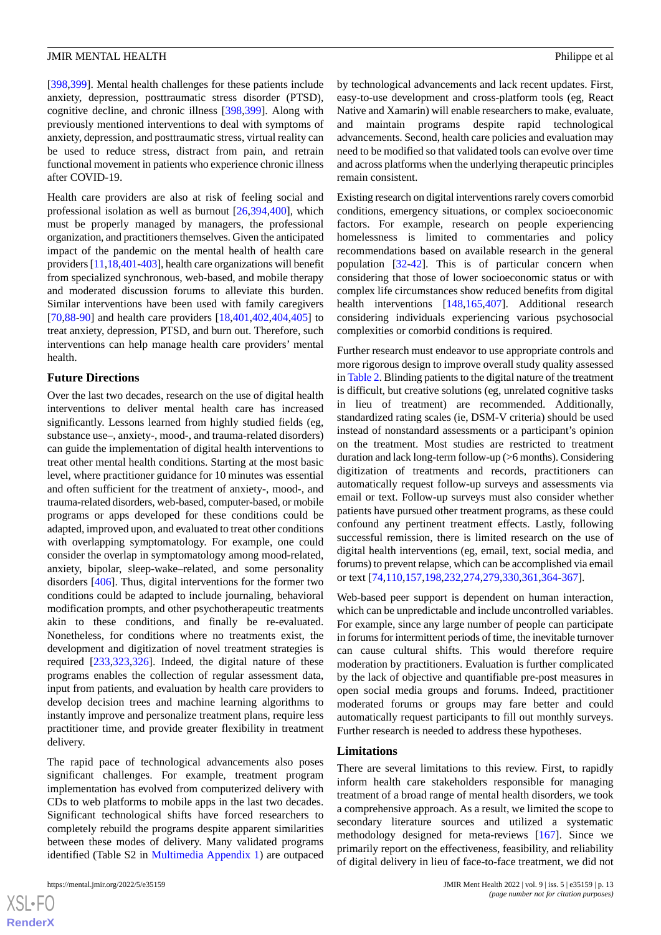[[398](#page-32-7)[,399](#page-32-8)]. Mental health challenges for these patients include anxiety, depression, posttraumatic stress disorder (PTSD), cognitive decline, and chronic illness [[398](#page-32-7)[,399\]](#page-32-8). Along with previously mentioned interventions to deal with symptoms of anxiety, depression, and posttraumatic stress, virtual reality can be used to reduce stress, distract from pain, and retrain functional movement in patients who experience chronic illness after COVID-19.

Health care providers are also at risk of feeling social and professional isolation as well as burnout [\[26](#page-15-2),[394,](#page-32-3)[400](#page-32-9)], which must be properly managed by managers, the professional organization, and practitioners themselves. Given the anticipated impact of the pandemic on the mental health of health care providers [\[11](#page-14-14),[18](#page-14-9)[,401-](#page-32-10)[403\]](#page-32-11), health care organizations will benefit from specialized synchronous, web-based, and mobile therapy and moderated discussion forums to alleviate this burden. Similar interventions have been used with family caregivers [[70](#page-17-11)[,88](#page-18-0)-[90\]](#page-18-10) and health care providers [\[18](#page-14-9),[401](#page-32-10)[,402](#page-32-12),[404](#page-32-13)[,405](#page-32-14)] to treat anxiety, depression, PTSD, and burn out. Therefore, such interventions can help manage health care providers' mental health.

## **Future Directions**

Over the last two decades, research on the use of digital health interventions to deliver mental health care has increased significantly. Lessons learned from highly studied fields (eg, substance use–, anxiety-, mood-, and trauma-related disorders) can guide the implementation of digital health interventions to treat other mental health conditions. Starting at the most basic level, where practitioner guidance for 10 minutes was essential and often sufficient for the treatment of anxiety-, mood-, and trauma-related disorders, web-based, computer-based, or mobile programs or apps developed for these conditions could be adapted, improved upon, and evaluated to treat other conditions with overlapping symptomatology. For example, one could consider the overlap in symptomatology among mood-related, anxiety, bipolar, sleep-wake–related, and some personality disorders [\[406](#page-32-15)]. Thus, digital interventions for the former two conditions could be adapted to include journaling, behavioral modification prompts, and other psychotherapeutic treatments akin to these conditions, and finally be re-evaluated. Nonetheless, for conditions where no treatments exist, the development and digitization of novel treatment strategies is required [\[233](#page-24-5),[323,](#page-28-12)[326](#page-29-7)]. Indeed, the digital nature of these programs enables the collection of regular assessment data, input from patients, and evaluation by health care providers to develop decision trees and machine learning algorithms to instantly improve and personalize treatment plans, require less practitioner time, and provide greater flexibility in treatment delivery.

The rapid pace of technological advancements also poses significant challenges. For example, treatment program implementation has evolved from computerized delivery with CDs to web platforms to mobile apps in the last two decades. Significant technological shifts have forced researchers to completely rebuild the programs despite apparent similarities between these modes of delivery. Many validated programs identified (Table S2 in [Multimedia Appendix 1\)](#page-13-0) are outpaced

 $XS$  $\cdot$ FC **[RenderX](http://www.renderx.com/)** by technological advancements and lack recent updates. First, easy-to-use development and cross-platform tools (eg, React Native and Xamarin) will enable researchers to make, evaluate, and maintain programs despite rapid technological advancements. Second, health care policies and evaluation may need to be modified so that validated tools can evolve over time and across platforms when the underlying therapeutic principles remain consistent.

Existing research on digital interventions rarely covers comorbid conditions, emergency situations, or complex socioeconomic factors. For example, research on people experiencing homelessness is limited to commentaries and policy recommendations based on available research in the general population [[32-](#page-15-10)[42](#page-15-8)]. This is of particular concern when considering that those of lower socioeconomic status or with complex life circumstances show reduced benefits from digital health interventions [\[148](#page-20-9),[165,](#page-21-9)[407](#page-32-16)]. Additional research considering individuals experiencing various psychosocial complexities or comorbid conditions is required.

Further research must endeavor to use appropriate controls and more rigorous design to improve overall study quality assessed in [Table 2.](#page-5-0) Blinding patients to the digital nature of the treatment is difficult, but creative solutions (eg, unrelated cognitive tasks in lieu of treatment) are recommended. Additionally, standardized rating scales (ie, DSM-V criteria) should be used instead of nonstandard assessments or a participant's opinion on the treatment. Most studies are restricted to treatment duration and lack long-term follow-up (>6 months). Considering digitization of treatments and records, practitioners can automatically request follow-up surveys and assessments via email or text. Follow-up surveys must also consider whether patients have pursued other treatment programs, as these could confound any pertinent treatment effects. Lastly, following successful remission, there is limited research on the use of digital health interventions (eg, email, text, social media, and forums) to prevent relapse, which can be accomplished via email or text [\[74](#page-17-13),[110,](#page-19-17)[157](#page-21-5),[198,](#page-23-5)[232](#page-24-6),[274,](#page-26-13)[279](#page-26-7),[330,](#page-29-6)[361](#page-30-6),[364-](#page-30-10)[367\]](#page-31-0).

Web-based peer support is dependent on human interaction, which can be unpredictable and include uncontrolled variables. For example, since any large number of people can participate in forums for intermittent periods of time, the inevitable turnover can cause cultural shifts. This would therefore require moderation by practitioners. Evaluation is further complicated by the lack of objective and quantifiable pre-post measures in open social media groups and forums. Indeed, practitioner moderated forums or groups may fare better and could automatically request participants to fill out monthly surveys. Further research is needed to address these hypotheses.

# **Limitations**

There are several limitations to this review. First, to rapidly inform health care stakeholders responsible for managing treatment of a broad range of mental health disorders, we took a comprehensive approach. As a result, we limited the scope to secondary literature sources and utilized a systematic methodology designed for meta-reviews [[167](#page-21-10)]. Since we primarily report on the effectiveness, feasibility, and reliability of digital delivery in lieu of face-to-face treatment, we did not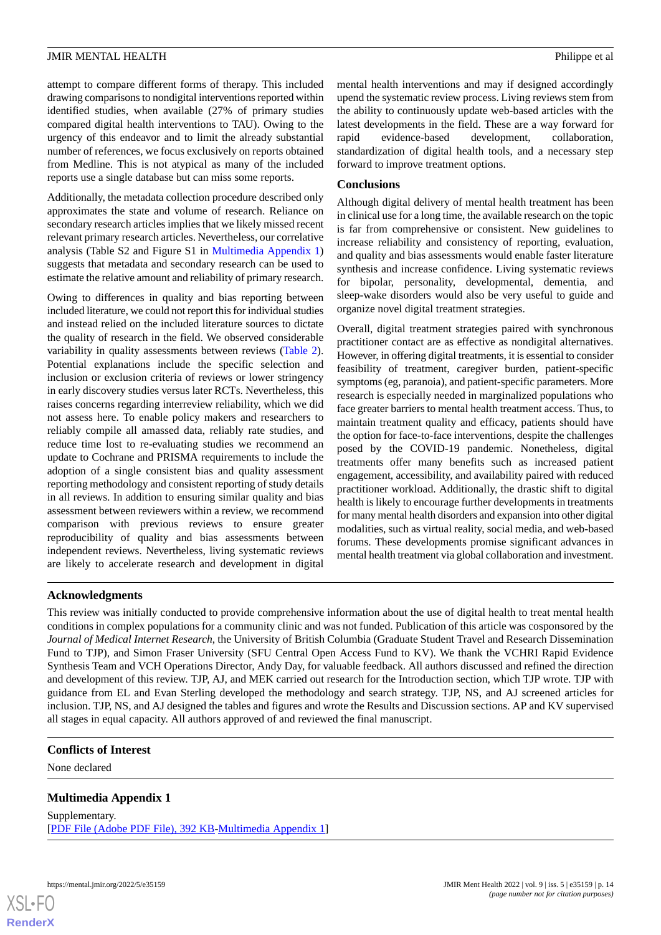attempt to compare different forms of therapy. This included drawing comparisons to nondigital interventions reported within identified studies, when available (27% of primary studies compared digital health interventions to TAU). Owing to the urgency of this endeavor and to limit the already substantial number of references, we focus exclusively on reports obtained from Medline. This is not atypical as many of the included reports use a single database but can miss some reports.

Additionally, the metadata collection procedure described only approximates the state and volume of research. Reliance on secondary research articles implies that we likely missed recent relevant primary research articles. Nevertheless, our correlative analysis (Table S2 and Figure S1 in [Multimedia Appendix 1](#page-13-0)) suggests that metadata and secondary research can be used to estimate the relative amount and reliability of primary research.

Owing to differences in quality and bias reporting between included literature, we could not report this for individual studies and instead relied on the included literature sources to dictate the quality of research in the field. We observed considerable variability in quality assessments between reviews [\(Table 2\)](#page-5-0). Potential explanations include the specific selection and inclusion or exclusion criteria of reviews or lower stringency in early discovery studies versus later RCTs. Nevertheless, this raises concerns regarding interreview reliability, which we did not assess here. To enable policy makers and researchers to reliably compile all amassed data, reliably rate studies, and reduce time lost to re-evaluating studies we recommend an update to Cochrane and PRISMA requirements to include the adoption of a single consistent bias and quality assessment reporting methodology and consistent reporting of study details in all reviews. In addition to ensuring similar quality and bias assessment between reviewers within a review, we recommend comparison with previous reviews to ensure greater reproducibility of quality and bias assessments between independent reviews. Nevertheless, living systematic reviews are likely to accelerate research and development in digital

mental health interventions and may if designed accordingly upend the systematic review process. Living reviews stem from the ability to continuously update web-based articles with the latest developments in the field. These are a way forward for rapid evidence-based development, collaboration, standardization of digital health tools, and a necessary step forward to improve treatment options.

# **Conclusions**

Although digital delivery of mental health treatment has been in clinical use for a long time, the available research on the topic is far from comprehensive or consistent. New guidelines to increase reliability and consistency of reporting, evaluation, and quality and bias assessments would enable faster literature synthesis and increase confidence. Living systematic reviews for bipolar, personality, developmental, dementia, and sleep-wake disorders would also be very useful to guide and organize novel digital treatment strategies.

Overall, digital treatment strategies paired with synchronous practitioner contact are as effective as nondigital alternatives. However, in offering digital treatments, it is essential to consider feasibility of treatment, caregiver burden, patient-specific symptoms (eg, paranoia), and patient-specific parameters. More research is especially needed in marginalized populations who face greater barriers to mental health treatment access. Thus, to maintain treatment quality and efficacy, patients should have the option for face-to-face interventions, despite the challenges posed by the COVID-19 pandemic. Nonetheless, digital treatments offer many benefits such as increased patient engagement, accessibility, and availability paired with reduced practitioner workload. Additionally, the drastic shift to digital health is likely to encourage further developments in treatments for many mental health disorders and expansion into other digital modalities, such as virtual reality, social media, and web-based forums. These developments promise significant advances in mental health treatment via global collaboration and investment.

#### **Acknowledgments**

This review was initially conducted to provide comprehensive information about the use of digital health to treat mental health conditions in complex populations for a community clinic and was not funded. Publication of this article was cosponsored by the *Journal of Medical Internet Research*, the University of British Columbia (Graduate Student Travel and Research Dissemination Fund to TJP), and Simon Fraser University (SFU Central Open Access Fund to KV). We thank the VCHRI Rapid Evidence Synthesis Team and VCH Operations Director, Andy Day, for valuable feedback. All authors discussed and refined the direction and development of this review. TJP, AJ, and MEK carried out research for the Introduction section, which TJP wrote. TJP with guidance from EL and Evan Sterling developed the methodology and search strategy. TJP, NS, and AJ screened articles for inclusion. TJP, NS, and AJ designed the tables and figures and wrote the Results and Discussion sections. AP and KV supervised all stages in equal capacity. All authors approved of and reviewed the final manuscript.

# <span id="page-13-0"></span>**Conflicts of Interest**

None declared

# **Multimedia Appendix 1**

Supplementary. [[PDF File \(Adobe PDF File\), 392 KB](https://jmir.org/api/download?alt_name=mental_v9i5e35159_app1.pdf&filename=cd4004d811673868640bdcd90872738e.pdf)-[Multimedia Appendix 1\]](https://jmir.org/api/download?alt_name=mental_v9i5e35159_app1.pdf&filename=cd4004d811673868640bdcd90872738e.pdf)

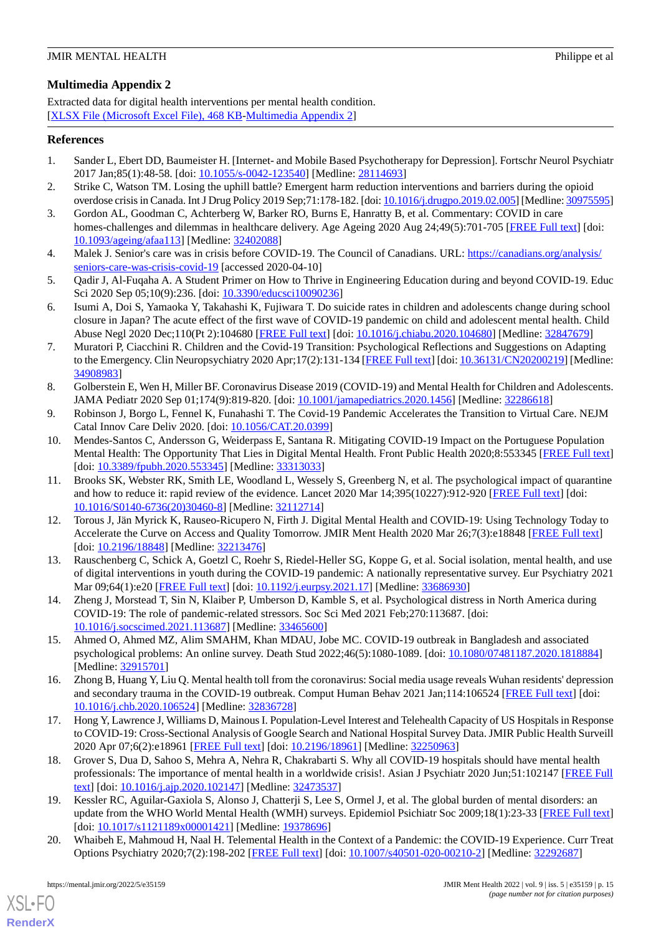# <span id="page-14-13"></span>**Multimedia Appendix 2**

Extracted data for digital health interventions per mental health condition. [[XLSX File \(Microsoft Excel File\), 468 KB](https://jmir.org/api/download?alt_name=mental_v9i5e35159_app2.xlsx&filename=ba69842deadd766ee64ea0329f5edf02.xlsx)-[Multimedia Appendix 2\]](https://jmir.org/api/download?alt_name=mental_v9i5e35159_app2.xlsx&filename=ba69842deadd766ee64ea0329f5edf02.xlsx)

# <span id="page-14-0"></span>**References**

- <span id="page-14-1"></span>1. Sander L, Ebert DD, Baumeister H. [Internet- and Mobile Based Psychotherapy for Depression]. Fortschr Neurol Psychiatr 2017 Jan;85(1):48-58. [doi: [10.1055/s-0042-123540](http://dx.doi.org/10.1055/s-0042-123540)] [Medline: [28114693\]](http://www.ncbi.nlm.nih.gov/entrez/query.fcgi?cmd=Retrieve&db=PubMed&list_uids=28114693&dopt=Abstract)
- 2. Strike C, Watson TM. Losing the uphill battle? Emergent harm reduction interventions and barriers during the opioid overdose crisis in Canada. Int J Drug Policy 2019 Sep;71:178-182. [doi: [10.1016/j.drugpo.2019.02.005](http://dx.doi.org/10.1016/j.drugpo.2019.02.005)] [Medline: [30975595\]](http://www.ncbi.nlm.nih.gov/entrez/query.fcgi?cmd=Retrieve&db=PubMed&list_uids=30975595&dopt=Abstract)
- <span id="page-14-2"></span>3. Gordon AL, Goodman C, Achterberg W, Barker RO, Burns E, Hanratty B, et al. Commentary: COVID in care homes-challenges and dilemmas in healthcare delivery. Age Ageing 2020 Aug 24;49(5):701-705 [\[FREE Full text\]](http://europepmc.org/abstract/MED/32402088) [doi: [10.1093/ageing/afaa113\]](http://dx.doi.org/10.1093/ageing/afaa113) [Medline: [32402088\]](http://www.ncbi.nlm.nih.gov/entrez/query.fcgi?cmd=Retrieve&db=PubMed&list_uids=32402088&dopt=Abstract)
- <span id="page-14-3"></span>4. Malek J. Senior's care was in crisis before COVID-19. The Council of Canadians. URL: [https://canadians.org/analysis/](https://canadians.org/analysis/seniors-care-was-crisis-covid-19) [seniors-care-was-crisis-covid-19](https://canadians.org/analysis/seniors-care-was-crisis-covid-19) [accessed 2020-04-10]
- 5. Qadir J, Al-Fuqaha A. A Student Primer on How to Thrive in Engineering Education during and beyond COVID-19. Educ Sci 2020 Sep 05;10(9):236. [doi: [10.3390/educsci10090236\]](http://dx.doi.org/10.3390/educsci10090236)
- 6. Isumi A, Doi S, Yamaoka Y, Takahashi K, Fujiwara T. Do suicide rates in children and adolescents change during school closure in Japan? The acute effect of the first wave of COVID-19 pandemic on child and adolescent mental health. Child Abuse Negl 2020 Dec;110(Pt 2):104680 [[FREE Full text](http://europepmc.org/abstract/MED/32847679)] [doi: [10.1016/j.chiabu.2020.104680](http://dx.doi.org/10.1016/j.chiabu.2020.104680)] [Medline: [32847679](http://www.ncbi.nlm.nih.gov/entrez/query.fcgi?cmd=Retrieve&db=PubMed&list_uids=32847679&dopt=Abstract)]
- 7. Muratori P, Ciacchini R. Children and the Covid-19 Transition: Psychological Reflections and Suggestions on Adapting to the Emergency. Clin Neuropsychiatry 2020 Apr; 17(2): 131-134 [\[FREE Full text](http://europepmc.org/abstract/MED/34908983)] [doi: [10.36131/CN20200219](http://dx.doi.org/10.36131/CN20200219)] [Medline: [34908983](http://www.ncbi.nlm.nih.gov/entrez/query.fcgi?cmd=Retrieve&db=PubMed&list_uids=34908983&dopt=Abstract)]
- <span id="page-14-5"></span>8. Golberstein E, Wen H, Miller BF. Coronavirus Disease 2019 (COVID-19) and Mental Health for Children and Adolescents. JAMA Pediatr 2020 Sep 01;174(9):819-820. [doi: [10.1001/jamapediatrics.2020.1456](http://dx.doi.org/10.1001/jamapediatrics.2020.1456)] [Medline: [32286618\]](http://www.ncbi.nlm.nih.gov/entrez/query.fcgi?cmd=Retrieve&db=PubMed&list_uids=32286618&dopt=Abstract)
- 9. Robinson J, Borgo L, Fennel K, Funahashi T. The Covid-19 Pandemic Accelerates the Transition to Virtual Care. NEJM Catal Innov Care Deliv 2020. [doi: [10.1056/CAT.20.0399](http://dx.doi.org/10.1056/CAT.20.0399)]
- <span id="page-14-14"></span>10. Mendes-Santos C, Andersson G, Weiderpass E, Santana R. Mitigating COVID-19 Impact on the Portuguese Population Mental Health: The Opportunity That Lies in Digital Mental Health. Front Public Health 2020;8:553345 [\[FREE Full text](https://doi.org/10.3389/fpubh.2020.553345)] [doi: [10.3389/fpubh.2020.553345\]](http://dx.doi.org/10.3389/fpubh.2020.553345) [Medline: [33313033](http://www.ncbi.nlm.nih.gov/entrez/query.fcgi?cmd=Retrieve&db=PubMed&list_uids=33313033&dopt=Abstract)]
- <span id="page-14-7"></span>11. Brooks SK, Webster RK, Smith LE, Woodland L, Wessely S, Greenberg N, et al. The psychological impact of quarantine and how to reduce it: rapid review of the evidence. Lancet 2020 Mar 14;395(10227):912-920 [\[FREE Full text](http://europepmc.org/abstract/MED/32112714)] [doi: [10.1016/S0140-6736\(20\)30460-8\]](http://dx.doi.org/10.1016/S0140-6736(20)30460-8) [Medline: [32112714](http://www.ncbi.nlm.nih.gov/entrez/query.fcgi?cmd=Retrieve&db=PubMed&list_uids=32112714&dopt=Abstract)]
- <span id="page-14-12"></span>12. Torous J, Jän Myrick K, Rauseo-Ricupero N, Firth J. Digital Mental Health and COVID-19: Using Technology Today to Accelerate the Curve on Access and Quality Tomorrow. JMIR Ment Health 2020 Mar 26;7(3):e18848 [\[FREE Full text\]](https://mental.jmir.org/2020/3/e18848/) [doi: [10.2196/18848](http://dx.doi.org/10.2196/18848)] [Medline: [32213476\]](http://www.ncbi.nlm.nih.gov/entrez/query.fcgi?cmd=Retrieve&db=PubMed&list_uids=32213476&dopt=Abstract)
- <span id="page-14-4"></span>13. Rauschenberg C, Schick A, Goetzl C, Roehr S, Riedel-Heller SG, Koppe G, et al. Social isolation, mental health, and use of digital interventions in youth during the COVID-19 pandemic: A nationally representative survey. Eur Psychiatry 2021 Mar 09;64(1):e20 [\[FREE Full text\]](http://europepmc.org/abstract/MED/33686930) [doi: [10.1192/j.eurpsy.2021.17](http://dx.doi.org/10.1192/j.eurpsy.2021.17)] [Medline: [33686930](http://www.ncbi.nlm.nih.gov/entrez/query.fcgi?cmd=Retrieve&db=PubMed&list_uids=33686930&dopt=Abstract)]
- <span id="page-14-6"></span>14. Zheng J, Morstead T, Sin N, Klaiber P, Umberson D, Kamble S, et al. Psychological distress in North America during COVID-19: The role of pandemic-related stressors. Soc Sci Med 2021 Feb;270:113687. [doi: [10.1016/j.socscimed.2021.113687\]](http://dx.doi.org/10.1016/j.socscimed.2021.113687) [Medline: [33465600\]](http://www.ncbi.nlm.nih.gov/entrez/query.fcgi?cmd=Retrieve&db=PubMed&list_uids=33465600&dopt=Abstract)
- <span id="page-14-8"></span>15. Ahmed O, Ahmed MZ, Alim SMAHM, Khan MDAU, Jobe MC. COVID-19 outbreak in Bangladesh and associated psychological problems: An online survey. Death Stud 2022;46(5):1080-1089. [doi: [10.1080/07481187.2020.1818884](http://dx.doi.org/10.1080/07481187.2020.1818884)] [Medline: [32915701](http://www.ncbi.nlm.nih.gov/entrez/query.fcgi?cmd=Retrieve&db=PubMed&list_uids=32915701&dopt=Abstract)]
- <span id="page-14-9"></span>16. Zhong B, Huang Y, Liu Q. Mental health toll from the coronavirus: Social media usage reveals Wuhan residents' depression and secondary trauma in the COVID-19 outbreak. Comput Human Behav 2021 Jan;114:106524 [[FREE Full text\]](http://europepmc.org/abstract/MED/32836728) [doi: [10.1016/j.chb.2020.106524](http://dx.doi.org/10.1016/j.chb.2020.106524)] [Medline: [32836728\]](http://www.ncbi.nlm.nih.gov/entrez/query.fcgi?cmd=Retrieve&db=PubMed&list_uids=32836728&dopt=Abstract)
- <span id="page-14-10"></span>17. Hong Y, Lawrence J, Williams D, Mainous I. Population-Level Interest and Telehealth Capacity of US Hospitals in Response to COVID-19: Cross-Sectional Analysis of Google Search and National Hospital Survey Data. JMIR Public Health Surveill 2020 Apr 07;6(2):e18961 [[FREE Full text\]](https://publichealth.jmir.org/2020/2/e18961/) [doi: [10.2196/18961](http://dx.doi.org/10.2196/18961)] [Medline: [32250963](http://www.ncbi.nlm.nih.gov/entrez/query.fcgi?cmd=Retrieve&db=PubMed&list_uids=32250963&dopt=Abstract)]
- <span id="page-14-11"></span>18. Grover S, Dua D, Sahoo S, Mehra A, Nehra R, Chakrabarti S. Why all COVID-19 hospitals should have mental health professionals: The importance of mental health in a worldwide crisis!. Asian J Psychiatr 2020 Jun;51:102147 [\[FREE Full](http://europepmc.org/abstract/MED/32473537) [text](http://europepmc.org/abstract/MED/32473537)] [doi: [10.1016/j.ajp.2020.102147](http://dx.doi.org/10.1016/j.ajp.2020.102147)] [Medline: [32473537](http://www.ncbi.nlm.nih.gov/entrez/query.fcgi?cmd=Retrieve&db=PubMed&list_uids=32473537&dopt=Abstract)]
- 19. Kessler RC, Aguilar-Gaxiola S, Alonso J, Chatterji S, Lee S, Ormel J, et al. The global burden of mental disorders: an update from the WHO World Mental Health (WMH) surveys. Epidemiol Psichiatr Soc 2009;18(1):23-33 [\[FREE Full text](http://europepmc.org/abstract/MED/19378696)] [doi: [10.1017/s1121189x00001421](http://dx.doi.org/10.1017/s1121189x00001421)] [Medline: [19378696\]](http://www.ncbi.nlm.nih.gov/entrez/query.fcgi?cmd=Retrieve&db=PubMed&list_uids=19378696&dopt=Abstract)
- 20. Whaibeh E, Mahmoud H, Naal H. Telemental Health in the Context of a Pandemic: the COVID-19 Experience. Curr Treat Options Psychiatry 2020;7(2):198-202 [[FREE Full text](http://europepmc.org/abstract/MED/32292687)] [doi: [10.1007/s40501-020-00210-2\]](http://dx.doi.org/10.1007/s40501-020-00210-2) [Medline: [32292687](http://www.ncbi.nlm.nih.gov/entrez/query.fcgi?cmd=Retrieve&db=PubMed&list_uids=32292687&dopt=Abstract)]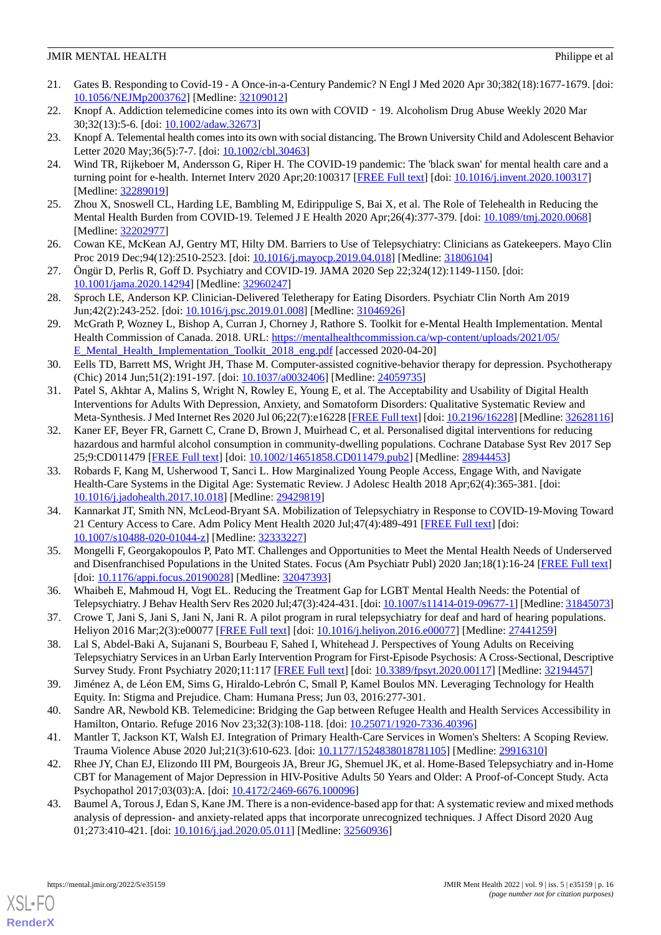- <span id="page-15-0"></span>21. Gates B. Responding to Covid-19 - A Once-in-a-Century Pandemic? N Engl J Med 2020 Apr 30;382(18):1677-1679. [doi: [10.1056/NEJMp2003762\]](http://dx.doi.org/10.1056/NEJMp2003762) [Medline: [32109012\]](http://www.ncbi.nlm.nih.gov/entrez/query.fcgi?cmd=Retrieve&db=PubMed&list_uids=32109012&dopt=Abstract)
- 22. Knopf A. Addiction telemedicine comes into its own with COVID 19. Alcoholism Drug Abuse Weekly 2020 Mar 30;32(13):5-6. [doi: [10.1002/adaw.32673\]](http://dx.doi.org/10.1002/adaw.32673)
- 23. Knopf A. Telemental health comes into its own with social distancing. The Brown University Child and Adolescent Behavior Letter 2020 May;36(5):7-7. [doi: [10.1002/cbl.30463\]](http://dx.doi.org/10.1002/cbl.30463)
- <span id="page-15-1"></span>24. Wind TR, Rijkeboer M, Andersson G, Riper H. The COVID-19 pandemic: The 'black swan' for mental health care and a turning point for e-health. Internet Interv 2020 Apr;20:100317 [[FREE Full text](https://linkinghub.elsevier.com/retrieve/pii/S2214-7829(20)30046-4)] [doi: [10.1016/j.invent.2020.100317](http://dx.doi.org/10.1016/j.invent.2020.100317)] [Medline: [32289019](http://www.ncbi.nlm.nih.gov/entrez/query.fcgi?cmd=Retrieve&db=PubMed&list_uids=32289019&dopt=Abstract)]
- <span id="page-15-2"></span>25. Zhou X, Snoswell CL, Harding LE, Bambling M, Edirippulige S, Bai X, et al. The Role of Telehealth in Reducing the Mental Health Burden from COVID-19. Telemed J E Health 2020 Apr;26(4):377-379. [doi: [10.1089/tmj.2020.0068](http://dx.doi.org/10.1089/tmj.2020.0068)] [Medline: [32202977](http://www.ncbi.nlm.nih.gov/entrez/query.fcgi?cmd=Retrieve&db=PubMed&list_uids=32202977&dopt=Abstract)]
- <span id="page-15-3"></span>26. Cowan KE, McKean AJ, Gentry MT, Hilty DM. Barriers to Use of Telepsychiatry: Clinicians as Gatekeepers. Mayo Clin Proc 2019 Dec;94(12):2510-2523. [doi: [10.1016/j.mayocp.2019.04.018\]](http://dx.doi.org/10.1016/j.mayocp.2019.04.018) [Medline: [31806104](http://www.ncbi.nlm.nih.gov/entrez/query.fcgi?cmd=Retrieve&db=PubMed&list_uids=31806104&dopt=Abstract)]
- <span id="page-15-4"></span>27. Öngür D, Perlis R, Goff D. Psychiatry and COVID-19. JAMA 2020 Sep 22;324(12):1149-1150. [doi: [10.1001/jama.2020.14294](http://dx.doi.org/10.1001/jama.2020.14294)] [Medline: [32960247](http://www.ncbi.nlm.nih.gov/entrez/query.fcgi?cmd=Retrieve&db=PubMed&list_uids=32960247&dopt=Abstract)]
- <span id="page-15-5"></span>28. Sproch LE, Anderson KP. Clinician-Delivered Teletherapy for Eating Disorders. Psychiatr Clin North Am 2019 Jun;42(2):243-252. [doi: [10.1016/j.psc.2019.01.008\]](http://dx.doi.org/10.1016/j.psc.2019.01.008) [Medline: [31046926\]](http://www.ncbi.nlm.nih.gov/entrez/query.fcgi?cmd=Retrieve&db=PubMed&list_uids=31046926&dopt=Abstract)
- <span id="page-15-6"></span>29. McGrath P, Wozney L, Bishop A, Curran J, Chorney J, Rathore S. Toolkit for e-Mental Health Implementation. Mental Health Commission of Canada. 2018. URL: [https://mentalhealthcommission.ca/wp-content/uploads/2021/05/](https://mentalhealthcommission.ca/wp-content/uploads/2021/05/E_Mental_Health_Implementation_Toolkit_2018_eng.pdf) [E\\_Mental\\_Health\\_Implementation\\_Toolkit\\_2018\\_eng.pdf](https://mentalhealthcommission.ca/wp-content/uploads/2021/05/E_Mental_Health_Implementation_Toolkit_2018_eng.pdf) [accessed 2020-04-20]
- <span id="page-15-7"></span>30. Eells TD, Barrett MS, Wright JH, Thase M. Computer-assisted cognitive-behavior therapy for depression. Psychotherapy (Chic) 2014 Jun;51(2):191-197. [doi: [10.1037/a0032406\]](http://dx.doi.org/10.1037/a0032406) [Medline: [24059735](http://www.ncbi.nlm.nih.gov/entrez/query.fcgi?cmd=Retrieve&db=PubMed&list_uids=24059735&dopt=Abstract)]
- <span id="page-15-10"></span>31. Patel S, Akhtar A, Malins S, Wright N, Rowley E, Young E, et al. The Acceptability and Usability of Digital Health Interventions for Adults With Depression, Anxiety, and Somatoform Disorders: Qualitative Systematic Review and Meta-Synthesis. J Med Internet Res 2020 Jul 06;22(7):e16228 [[FREE Full text](https://www.jmir.org/2020/7/e16228/)] [doi: [10.2196/16228\]](http://dx.doi.org/10.2196/16228) [Medline: [32628116](http://www.ncbi.nlm.nih.gov/entrez/query.fcgi?cmd=Retrieve&db=PubMed&list_uids=32628116&dopt=Abstract)]
- 32. Kaner EF, Beyer FR, Garnett C, Crane D, Brown J, Muirhead C, et al. Personalised digital interventions for reducing hazardous and harmful alcohol consumption in community-dwelling populations. Cochrane Database Syst Rev 2017 Sep 25;9:CD011479 [[FREE Full text](http://europepmc.org/abstract/MED/28944453)] [doi: [10.1002/14651858.CD011479.pub2\]](http://dx.doi.org/10.1002/14651858.CD011479.pub2) [Medline: [28944453](http://www.ncbi.nlm.nih.gov/entrez/query.fcgi?cmd=Retrieve&db=PubMed&list_uids=28944453&dopt=Abstract)]
- 33. Robards F, Kang M, Usherwood T, Sanci L. How Marginalized Young People Access, Engage With, and Navigate Health-Care Systems in the Digital Age: Systematic Review. J Adolesc Health 2018 Apr;62(4):365-381. [doi: [10.1016/j.jadohealth.2017.10.018](http://dx.doi.org/10.1016/j.jadohealth.2017.10.018)] [Medline: [29429819](http://www.ncbi.nlm.nih.gov/entrez/query.fcgi?cmd=Retrieve&db=PubMed&list_uids=29429819&dopt=Abstract)]
- 34. Kannarkat JT, Smith NN, McLeod-Bryant SA. Mobilization of Telepsychiatry in Response to COVID-19-Moving Toward 21 Century Access to Care. Adm Policy Ment Health 2020 Jul;47(4):489-491 [\[FREE Full text\]](http://europepmc.org/abstract/MED/32333227) [doi: [10.1007/s10488-020-01044-z](http://dx.doi.org/10.1007/s10488-020-01044-z)] [Medline: [32333227\]](http://www.ncbi.nlm.nih.gov/entrez/query.fcgi?cmd=Retrieve&db=PubMed&list_uids=32333227&dopt=Abstract)
- 35. Mongelli F, Georgakopoulos P, Pato MT. Challenges and Opportunities to Meet the Mental Health Needs of Underserved and Disenfranchised Populations in the United States. Focus (Am Psychiatr Publ) 2020 Jan;18(1):16-24 [[FREE Full text\]](http://europepmc.org/abstract/MED/32047393) [doi: [10.1176/appi.focus.20190028](http://dx.doi.org/10.1176/appi.focus.20190028)] [Medline: [32047393\]](http://www.ncbi.nlm.nih.gov/entrez/query.fcgi?cmd=Retrieve&db=PubMed&list_uids=32047393&dopt=Abstract)
- 36. Whaibeh E, Mahmoud H, Vogt EL. Reducing the Treatment Gap for LGBT Mental Health Needs: the Potential of Telepsychiatry. J Behav Health Serv Res 2020 Jul;47(3):424-431. [doi: [10.1007/s11414-019-09677-1](http://dx.doi.org/10.1007/s11414-019-09677-1)] [Medline: [31845073](http://www.ncbi.nlm.nih.gov/entrez/query.fcgi?cmd=Retrieve&db=PubMed&list_uids=31845073&dopt=Abstract)]
- 37. Crowe T, Jani S, Jani S, Jani N, Jani R. A pilot program in rural telepsychiatry for deaf and hard of hearing populations. Heliyon 2016 Mar;2(3):e00077 [[FREE Full text](https://linkinghub.elsevier.com/retrieve/pii/S2405-8440(15)30432-1)] [doi: [10.1016/j.heliyon.2016.e00077](http://dx.doi.org/10.1016/j.heliyon.2016.e00077)] [Medline: [27441259](http://www.ncbi.nlm.nih.gov/entrez/query.fcgi?cmd=Retrieve&db=PubMed&list_uids=27441259&dopt=Abstract)]
- 38. Lal S, Abdel-Baki A, Sujanani S, Bourbeau F, Sahed I, Whitehead J. Perspectives of Young Adults on Receiving Telepsychiatry Services in an Urban Early Intervention Program for First-Episode Psychosis: A Cross-Sectional, Descriptive Survey Study. Front Psychiatry 2020;11:117 [\[FREE Full text](https://doi.org/10.3389/fpsyt.2020.00117)] [doi: [10.3389/fpsyt.2020.00117\]](http://dx.doi.org/10.3389/fpsyt.2020.00117) [Medline: [32194457\]](http://www.ncbi.nlm.nih.gov/entrez/query.fcgi?cmd=Retrieve&db=PubMed&list_uids=32194457&dopt=Abstract)
- <span id="page-15-8"></span>39. Jiménez A, de Léon EM, Sims G, Hiraldo-Lebrón C, Small P, Kamel Boulos MN. Leveraging Technology for Health Equity. In: Stigma and Prejudice. Cham: Humana Press; Jun 03, 2016:277-301.
- 40. Sandre AR, Newbold KB. Telemedicine: Bridging the Gap between Refugee Health and Health Services Accessibility in Hamilton, Ontario. Refuge 2016 Nov 23;32(3):108-118. [doi: [10.25071/1920-7336.40396](http://dx.doi.org/10.25071/1920-7336.40396)]
- <span id="page-15-9"></span>41. Mantler T, Jackson KT, Walsh EJ. Integration of Primary Health-Care Services in Women's Shelters: A Scoping Review. Trauma Violence Abuse 2020 Jul;21(3):610-623. [doi: [10.1177/1524838018781105](http://dx.doi.org/10.1177/1524838018781105)] [Medline: [29916310\]](http://www.ncbi.nlm.nih.gov/entrez/query.fcgi?cmd=Retrieve&db=PubMed&list_uids=29916310&dopt=Abstract)
- 42. Rhee JY, Chan EJ, Elizondo III PM, Bourgeois JA, Breur JG, Shemuel JK, et al. Home-Based Telepsychiatry and in-Home CBT for Management of Major Depression in HIV-Positive Adults 50 Years and Older: A Proof-of-Concept Study. Acta Psychopathol 2017;03(03):A. [doi: [10.4172/2469-6676.100096\]](http://dx.doi.org/10.4172/2469-6676.100096)
- 43. Baumel A, Torous J, Edan S, Kane JM. There is a non-evidence-based app for that: A systematic review and mixed methods analysis of depression- and anxiety-related apps that incorporate unrecognized techniques. J Affect Disord 2020 Aug 01;273:410-421. [doi: [10.1016/j.jad.2020.05.011](http://dx.doi.org/10.1016/j.jad.2020.05.011)] [Medline: [32560936\]](http://www.ncbi.nlm.nih.gov/entrez/query.fcgi?cmd=Retrieve&db=PubMed&list_uids=32560936&dopt=Abstract)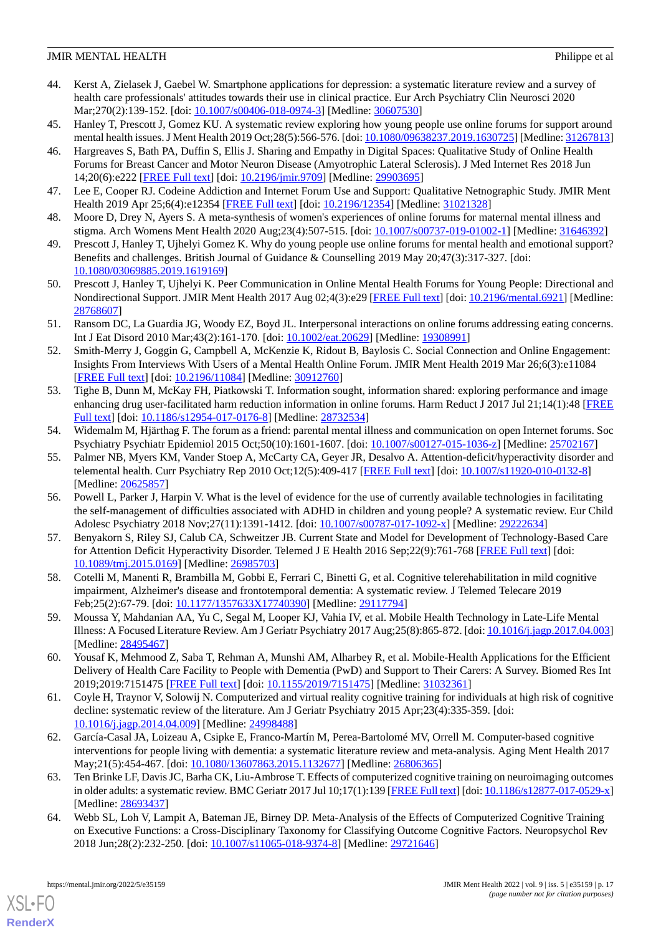- <span id="page-16-0"></span>44. Kerst A, Zielasek J, Gaebel W. Smartphone applications for depression: a systematic literature review and a survey of health care professionals' attitudes towards their use in clinical practice. Eur Arch Psychiatry Clin Neurosci 2020 Mar; 270(2): 139-152. [doi: [10.1007/s00406-018-0974-3](http://dx.doi.org/10.1007/s00406-018-0974-3)] [Medline: [30607530](http://www.ncbi.nlm.nih.gov/entrez/query.fcgi?cmd=Retrieve&db=PubMed&list_uids=30607530&dopt=Abstract)]
- <span id="page-16-1"></span>45. Hanley T, Prescott J, Gomez KU. A systematic review exploring how young people use online forums for support around mental health issues. J Ment Health 2019 Oct;28(5):566-576. [doi: [10.1080/09638237.2019.1630725](http://dx.doi.org/10.1080/09638237.2019.1630725)] [Medline: [31267813\]](http://www.ncbi.nlm.nih.gov/entrez/query.fcgi?cmd=Retrieve&db=PubMed&list_uids=31267813&dopt=Abstract)
- 46. Hargreaves S, Bath PA, Duffin S, Ellis J. Sharing and Empathy in Digital Spaces: Qualitative Study of Online Health Forums for Breast Cancer and Motor Neuron Disease (Amyotrophic Lateral Sclerosis). J Med Internet Res 2018 Jun 14;20(6):e222 [\[FREE Full text](https://www.jmir.org/2018/6/e222/)] [doi: [10.2196/jmir.9709](http://dx.doi.org/10.2196/jmir.9709)] [Medline: [29903695](http://www.ncbi.nlm.nih.gov/entrez/query.fcgi?cmd=Retrieve&db=PubMed&list_uids=29903695&dopt=Abstract)]
- 47. Lee E, Cooper RJ. Codeine Addiction and Internet Forum Use and Support: Qualitative Netnographic Study. JMIR Ment Health 2019 Apr 25;6(4):e12354 [[FREE Full text](https://mental.jmir.org/2019/4/e12354/)] [doi: [10.2196/12354\]](http://dx.doi.org/10.2196/12354) [Medline: [31021328](http://www.ncbi.nlm.nih.gov/entrez/query.fcgi?cmd=Retrieve&db=PubMed&list_uids=31021328&dopt=Abstract)]
- 48. Moore D, Drey N, Ayers S. A meta-synthesis of women's experiences of online forums for maternal mental illness and stigma. Arch Womens Ment Health 2020 Aug;23(4):507-515. [doi: [10.1007/s00737-019-01002-1](http://dx.doi.org/10.1007/s00737-019-01002-1)] [Medline: [31646392](http://www.ncbi.nlm.nih.gov/entrez/query.fcgi?cmd=Retrieve&db=PubMed&list_uids=31646392&dopt=Abstract)]
- 49. Prescott J, Hanley T, Ujhelyi Gomez K. Why do young people use online forums for mental health and emotional support? Benefits and challenges. British Journal of Guidance & Counselling 2019 May 20;47(3):317-327. [doi: [10.1080/03069885.2019.1619169\]](http://dx.doi.org/10.1080/03069885.2019.1619169)
- 50. Prescott J, Hanley T, Ujhelyi K. Peer Communication in Online Mental Health Forums for Young People: Directional and Nondirectional Support. JMIR Ment Health 2017 Aug 02;4(3):e29 [\[FREE Full text](https://mental.jmir.org/2017/3/e29/)] [doi: [10.2196/mental.6921\]](http://dx.doi.org/10.2196/mental.6921) [Medline: [28768607](http://www.ncbi.nlm.nih.gov/entrez/query.fcgi?cmd=Retrieve&db=PubMed&list_uids=28768607&dopt=Abstract)]
- 51. Ransom DC, La Guardia JG, Woody EZ, Boyd JL. Interpersonal interactions on online forums addressing eating concerns. Int J Eat Disord 2010 Mar;43(2):161-170. [doi: [10.1002/eat.20629\]](http://dx.doi.org/10.1002/eat.20629) [Medline: [19308991](http://www.ncbi.nlm.nih.gov/entrez/query.fcgi?cmd=Retrieve&db=PubMed&list_uids=19308991&dopt=Abstract)]
- 52. Smith-Merry J, Goggin G, Campbell A, McKenzie K, Ridout B, Baylosis C. Social Connection and Online Engagement: Insights From Interviews With Users of a Mental Health Online Forum. JMIR Ment Health 2019 Mar 26;6(3):e11084 [[FREE Full text](https://mental.jmir.org/2019/3/e11084/)] [doi: [10.2196/11084\]](http://dx.doi.org/10.2196/11084) [Medline: [30912760\]](http://www.ncbi.nlm.nih.gov/entrez/query.fcgi?cmd=Retrieve&db=PubMed&list_uids=30912760&dopt=Abstract)
- <span id="page-16-2"></span>53. Tighe B, Dunn M, McKay FH, Piatkowski T. Information sought, information shared: exploring performance and image enhancing drug user-facilitated harm reduction information in online forums. Harm Reduct J 2017 Jul 21;14(1):48 [\[FREE](https://harmreductionjournal.biomedcentral.com/articles/10.1186/s12954-017-0176-8) [Full text\]](https://harmreductionjournal.biomedcentral.com/articles/10.1186/s12954-017-0176-8) [doi: [10.1186/s12954-017-0176-8](http://dx.doi.org/10.1186/s12954-017-0176-8)] [Medline: [28732534](http://www.ncbi.nlm.nih.gov/entrez/query.fcgi?cmd=Retrieve&db=PubMed&list_uids=28732534&dopt=Abstract)]
- <span id="page-16-3"></span>54. Widemalm M, Hjärthag F. The forum as a friend: parental mental illness and communication on open Internet forums. Soc Psychiatry Psychiatr Epidemiol 2015 Oct;50(10):1601-1607. [doi: [10.1007/s00127-015-1036-z\]](http://dx.doi.org/10.1007/s00127-015-1036-z) [Medline: [25702167](http://www.ncbi.nlm.nih.gov/entrez/query.fcgi?cmd=Retrieve&db=PubMed&list_uids=25702167&dopt=Abstract)]
- <span id="page-16-5"></span>55. Palmer NB, Myers KM, Vander Stoep A, McCarty CA, Geyer JR, Desalvo A. Attention-deficit/hyperactivity disorder and telemental health. Curr Psychiatry Rep 2010 Oct;12(5):409-417 [[FREE Full text](http://europepmc.org/abstract/MED/20625857)] [doi: [10.1007/s11920-010-0132-8](http://dx.doi.org/10.1007/s11920-010-0132-8)] [Medline: [20625857](http://www.ncbi.nlm.nih.gov/entrez/query.fcgi?cmd=Retrieve&db=PubMed&list_uids=20625857&dopt=Abstract)]
- <span id="page-16-6"></span>56. Powell L, Parker J, Harpin V. What is the level of evidence for the use of currently available technologies in facilitating the self-management of difficulties associated with ADHD in children and young people? A systematic review. Eur Child Adolesc Psychiatry 2018 Nov;27(11):1391-1412. [doi: [10.1007/s00787-017-1092-x](http://dx.doi.org/10.1007/s00787-017-1092-x)] [Medline: [29222634\]](http://www.ncbi.nlm.nih.gov/entrez/query.fcgi?cmd=Retrieve&db=PubMed&list_uids=29222634&dopt=Abstract)
- <span id="page-16-10"></span><span id="page-16-8"></span>57. Benyakorn S, Riley SJ, Calub CA, Schweitzer JB. Current State and Model for Development of Technology-Based Care for Attention Deficit Hyperactivity Disorder. Telemed J E Health 2016 Sep;22(9):761-768 [\[FREE Full text\]](http://europepmc.org/abstract/MED/26985703) [doi: [10.1089/tmj.2015.0169](http://dx.doi.org/10.1089/tmj.2015.0169)] [Medline: [26985703\]](http://www.ncbi.nlm.nih.gov/entrez/query.fcgi?cmd=Retrieve&db=PubMed&list_uids=26985703&dopt=Abstract)
- <span id="page-16-9"></span>58. Cotelli M, Manenti R, Brambilla M, Gobbi E, Ferrari C, Binetti G, et al. Cognitive telerehabilitation in mild cognitive impairment, Alzheimer's disease and frontotemporal dementia: A systematic review. J Telemed Telecare 2019 Feb;25(2):67-79. [doi: [10.1177/1357633X17740390\]](http://dx.doi.org/10.1177/1357633X17740390) [Medline: [29117794\]](http://www.ncbi.nlm.nih.gov/entrez/query.fcgi?cmd=Retrieve&db=PubMed&list_uids=29117794&dopt=Abstract)
- <span id="page-16-7"></span>59. Moussa Y, Mahdanian AA, Yu C, Segal M, Looper KJ, Vahia IV, et al. Mobile Health Technology in Late-Life Mental Illness: A Focused Literature Review. Am J Geriatr Psychiatry 2017 Aug;25(8):865-872. [doi: [10.1016/j.jagp.2017.04.003](http://dx.doi.org/10.1016/j.jagp.2017.04.003)] [Medline: [28495467](http://www.ncbi.nlm.nih.gov/entrez/query.fcgi?cmd=Retrieve&db=PubMed&list_uids=28495467&dopt=Abstract)]
- <span id="page-16-11"></span>60. Yousaf K, Mehmood Z, Saba T, Rehman A, Munshi AM, Alharbey R, et al. Mobile-Health Applications for the Efficient Delivery of Health Care Facility to People with Dementia (PwD) and Support to Their Carers: A Survey. Biomed Res Int 2019;2019:7151475 [[FREE Full text](https://doi.org/10.1155/2019/7151475)] [doi: [10.1155/2019/7151475\]](http://dx.doi.org/10.1155/2019/7151475) [Medline: [31032361](http://www.ncbi.nlm.nih.gov/entrez/query.fcgi?cmd=Retrieve&db=PubMed&list_uids=31032361&dopt=Abstract)]
- 61. Coyle H, Traynor V, Solowij N. Computerized and virtual reality cognitive training for individuals at high risk of cognitive decline: systematic review of the literature. Am J Geriatr Psychiatry 2015 Apr;23(4):335-359. [doi: [10.1016/j.jagp.2014.04.009\]](http://dx.doi.org/10.1016/j.jagp.2014.04.009) [Medline: [24998488\]](http://www.ncbi.nlm.nih.gov/entrez/query.fcgi?cmd=Retrieve&db=PubMed&list_uids=24998488&dopt=Abstract)
- <span id="page-16-4"></span>62. García-Casal JA, Loizeau A, Csipke E, Franco-Martín M, Perea-Bartolomé MV, Orrell M. Computer-based cognitive interventions for people living with dementia: a systematic literature review and meta-analysis. Aging Ment Health 2017 May;21(5):454-467. [doi: [10.1080/13607863.2015.1132677](http://dx.doi.org/10.1080/13607863.2015.1132677)] [Medline: [26806365\]](http://www.ncbi.nlm.nih.gov/entrez/query.fcgi?cmd=Retrieve&db=PubMed&list_uids=26806365&dopt=Abstract)
- 63. Ten Brinke LF, Davis JC, Barha CK, Liu-Ambrose T. Effects of computerized cognitive training on neuroimaging outcomes in older adults: a systematic review. BMC Geriatr 2017 Jul 10;17(1):139 [\[FREE Full text\]](https://bmcgeriatr.biomedcentral.com/articles/10.1186/s12877-017-0529-x) [doi:  $10.1186/s12877-017-0529-x$ ] [Medline: [28693437](http://www.ncbi.nlm.nih.gov/entrez/query.fcgi?cmd=Retrieve&db=PubMed&list_uids=28693437&dopt=Abstract)]
- 64. Webb SL, Loh V, Lampit A, Bateman JE, Birney DP. Meta-Analysis of the Effects of Computerized Cognitive Training on Executive Functions: a Cross-Disciplinary Taxonomy for Classifying Outcome Cognitive Factors. Neuropsychol Rev 2018 Jun;28(2):232-250. [doi: [10.1007/s11065-018-9374-8](http://dx.doi.org/10.1007/s11065-018-9374-8)] [Medline: [29721646\]](http://www.ncbi.nlm.nih.gov/entrez/query.fcgi?cmd=Retrieve&db=PubMed&list_uids=29721646&dopt=Abstract)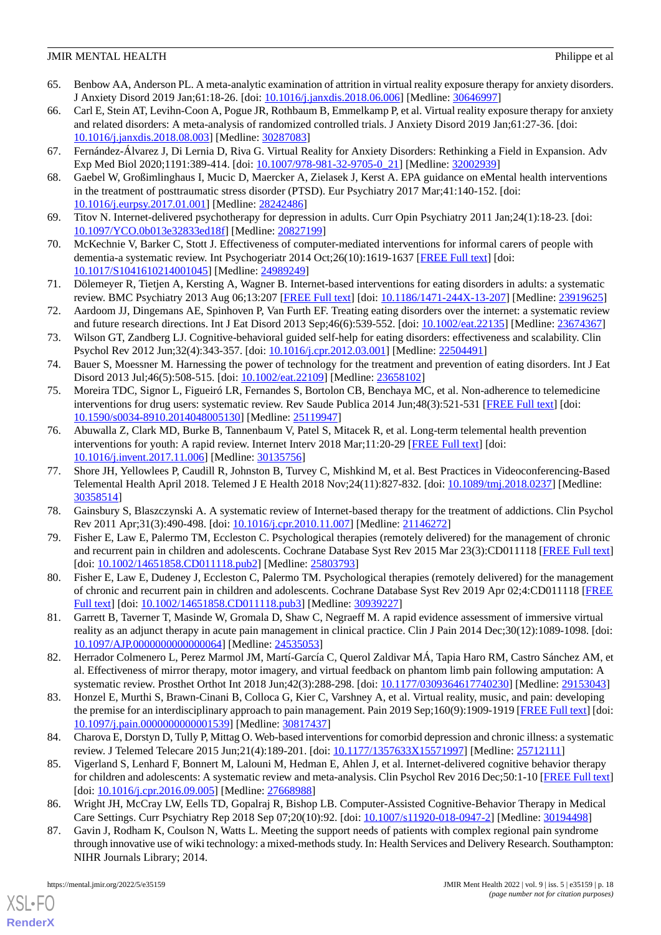- <span id="page-17-0"></span>65. Benbow AA, Anderson PL. A meta-analytic examination of attrition in virtual reality exposure therapy for anxiety disorders. J Anxiety Disord 2019 Jan;61:18-26. [doi: [10.1016/j.janxdis.2018.06.006](http://dx.doi.org/10.1016/j.janxdis.2018.06.006)] [Medline: [30646997](http://www.ncbi.nlm.nih.gov/entrez/query.fcgi?cmd=Retrieve&db=PubMed&list_uids=30646997&dopt=Abstract)]
- 66. Carl E, Stein AT, Levihn-Coon A, Pogue JR, Rothbaum B, Emmelkamp P, et al. Virtual reality exposure therapy for anxiety and related disorders: A meta-analysis of randomized controlled trials. J Anxiety Disord 2019 Jan;61:27-36. [doi: [10.1016/j.janxdis.2018.08.003](http://dx.doi.org/10.1016/j.janxdis.2018.08.003)] [Medline: [30287083](http://www.ncbi.nlm.nih.gov/entrez/query.fcgi?cmd=Retrieve&db=PubMed&list_uids=30287083&dopt=Abstract)]
- <span id="page-17-2"></span><span id="page-17-1"></span>67. Fernández-Álvarez J, Di Lernia D, Riva G. Virtual Reality for Anxiety Disorders: Rethinking a Field in Expansion. Adv Exp Med Biol 2020;1191:389-414. [doi: [10.1007/978-981-32-9705-0\\_21\]](http://dx.doi.org/10.1007/978-981-32-9705-0_21) [Medline: [32002939](http://www.ncbi.nlm.nih.gov/entrez/query.fcgi?cmd=Retrieve&db=PubMed&list_uids=32002939&dopt=Abstract)]
- <span id="page-17-12"></span>68. Gaebel W, Großimlinghaus I, Mucic D, Maercker A, Zielasek J, Kerst A. EPA guidance on eMental health interventions in the treatment of posttraumatic stress disorder (PTSD). Eur Psychiatry 2017 Mar;41:140-152. [doi: [10.1016/j.eurpsy.2017.01.001\]](http://dx.doi.org/10.1016/j.eurpsy.2017.01.001) [Medline: [28242486](http://www.ncbi.nlm.nih.gov/entrez/query.fcgi?cmd=Retrieve&db=PubMed&list_uids=28242486&dopt=Abstract)]
- <span id="page-17-11"></span>69. Titov N. Internet-delivered psychotherapy for depression in adults. Curr Opin Psychiatry 2011 Jan;24(1):18-23. [doi: [10.1097/YCO.0b013e32833ed18f\]](http://dx.doi.org/10.1097/YCO.0b013e32833ed18f) [Medline: [20827199](http://www.ncbi.nlm.nih.gov/entrez/query.fcgi?cmd=Retrieve&db=PubMed&list_uids=20827199&dopt=Abstract)]
- <span id="page-17-14"></span>70. McKechnie V, Barker C, Stott J. Effectiveness of computer-mediated interventions for informal carers of people with dementia-a systematic review. Int Psychogeriatr 2014 Oct;26(10):1619-1637 [[FREE Full text](http://journals.cambridge.org/abstract_S1041610214001045)] [doi: [10.1017/S1041610214001045](http://dx.doi.org/10.1017/S1041610214001045)] [Medline: [24989249](http://www.ncbi.nlm.nih.gov/entrez/query.fcgi?cmd=Retrieve&db=PubMed&list_uids=24989249&dopt=Abstract)]
- <span id="page-17-15"></span>71. Dölemeyer R, Tietjen A, Kersting A, Wagner B. Internet-based interventions for eating disorders in adults: a systematic review. BMC Psychiatry 2013 Aug 06;13:207 [[FREE Full text](https://bmcpsychiatry.biomedcentral.com/articles/10.1186/1471-244X-13-207)] [doi: [10.1186/1471-244X-13-207\]](http://dx.doi.org/10.1186/1471-244X-13-207) [Medline: [23919625\]](http://www.ncbi.nlm.nih.gov/entrez/query.fcgi?cmd=Retrieve&db=PubMed&list_uids=23919625&dopt=Abstract)
- <span id="page-17-20"></span>72. Aardoom JJ, Dingemans AE, Spinhoven P, Van Furth EF. Treating eating disorders over the internet: a systematic review and future research directions. Int J Eat Disord 2013 Sep;46(6):539-552. [doi: [10.1002/eat.22135](http://dx.doi.org/10.1002/eat.22135)] [Medline: [23674367](http://www.ncbi.nlm.nih.gov/entrez/query.fcgi?cmd=Retrieve&db=PubMed&list_uids=23674367&dopt=Abstract)]
- <span id="page-17-13"></span>73. Wilson GT, Zandberg LJ. Cognitive-behavioral guided self-help for eating disorders: effectiveness and scalability. Clin Psychol Rev 2012 Jun;32(4):343-357. [doi: [10.1016/j.cpr.2012.03.001\]](http://dx.doi.org/10.1016/j.cpr.2012.03.001) [Medline: [22504491](http://www.ncbi.nlm.nih.gov/entrez/query.fcgi?cmd=Retrieve&db=PubMed&list_uids=22504491&dopt=Abstract)]
- <span id="page-17-19"></span>74. Bauer S, Moessner M. Harnessing the power of technology for the treatment and prevention of eating disorders. Int J Eat Disord 2013 Jul;46(5):508-515. [doi: [10.1002/eat.22109\]](http://dx.doi.org/10.1002/eat.22109) [Medline: [23658102\]](http://www.ncbi.nlm.nih.gov/entrez/query.fcgi?cmd=Retrieve&db=PubMed&list_uids=23658102&dopt=Abstract)
- <span id="page-17-21"></span>75. Moreira TDC, Signor L, Figueiró LR, Fernandes S, Bortolon CB, Benchaya MC, et al. Non-adherence to telemedicine interventions for drug users: systematic review. Rev Saude Publica 2014 Jun;48(3):521-531 [\[FREE Full text\]](https://www.scielo.br/scielo.php?script=sci_arttext&pid=S0034-89102014000300521&lng=en&nrm=iso&tlng=en) [doi: [10.1590/s0034-8910.2014048005130](http://dx.doi.org/10.1590/s0034-8910.2014048005130)] [Medline: [25119947](http://www.ncbi.nlm.nih.gov/entrez/query.fcgi?cmd=Retrieve&db=PubMed&list_uids=25119947&dopt=Abstract)]
- <span id="page-17-3"></span>76. Abuwalla Z, Clark MD, Burke B, Tannenbaum V, Patel S, Mitacek R, et al. Long-term telemental health prevention interventions for youth: A rapid review. Internet Interv 2018 Mar;11:20-29 [[FREE Full text](https://linkinghub.elsevier.com/retrieve/pii/S2214-7829(17)30065-9)] [doi: [10.1016/j.invent.2017.11.006](http://dx.doi.org/10.1016/j.invent.2017.11.006)] [Medline: [30135756\]](http://www.ncbi.nlm.nih.gov/entrez/query.fcgi?cmd=Retrieve&db=PubMed&list_uids=30135756&dopt=Abstract)
- <span id="page-17-5"></span><span id="page-17-4"></span>77. Shore JH, Yellowlees P, Caudill R, Johnston B, Turvey C, Mishkind M, et al. Best Practices in Videoconferencing-Based Telemental Health April 2018. Telemed J E Health 2018 Nov;24(11):827-832. [doi: [10.1089/tmj.2018.0237](http://dx.doi.org/10.1089/tmj.2018.0237)] [Medline: [30358514](http://www.ncbi.nlm.nih.gov/entrez/query.fcgi?cmd=Retrieve&db=PubMed&list_uids=30358514&dopt=Abstract)]
- <span id="page-17-17"></span>78. Gainsbury S, Blaszczynski A. A systematic review of Internet-based therapy for the treatment of addictions. Clin Psychol Rev 2011 Apr;31(3):490-498. [doi: [10.1016/j.cpr.2010.11.007](http://dx.doi.org/10.1016/j.cpr.2010.11.007)] [Medline: [21146272\]](http://www.ncbi.nlm.nih.gov/entrez/query.fcgi?cmd=Retrieve&db=PubMed&list_uids=21146272&dopt=Abstract)
- <span id="page-17-16"></span>79. Fisher E, Law E, Palermo TM, Eccleston C. Psychological therapies (remotely delivered) for the management of chronic and recurrent pain in children and adolescents. Cochrane Database Syst Rev 2015 Mar 23(3):CD011118 [\[FREE Full text](http://europepmc.org/abstract/MED/25803793)] [doi: [10.1002/14651858.CD011118.pub2](http://dx.doi.org/10.1002/14651858.CD011118.pub2)] [Medline: [25803793\]](http://www.ncbi.nlm.nih.gov/entrez/query.fcgi?cmd=Retrieve&db=PubMed&list_uids=25803793&dopt=Abstract)
- <span id="page-17-9"></span>80. Fisher E, Law E, Dudeney J, Eccleston C, Palermo TM. Psychological therapies (remotely delivered) for the management of chronic and recurrent pain in children and adolescents. Cochrane Database Syst Rev 2019 Apr 02;4:CD011118 [[FREE](http://europepmc.org/abstract/MED/30939227) [Full text\]](http://europepmc.org/abstract/MED/30939227) [doi: [10.1002/14651858.CD011118.pub3](http://dx.doi.org/10.1002/14651858.CD011118.pub3)] [Medline: [30939227](http://www.ncbi.nlm.nih.gov/entrez/query.fcgi?cmd=Retrieve&db=PubMed&list_uids=30939227&dopt=Abstract)]
- <span id="page-17-6"></span>81. Garrett B, Taverner T, Masinde W, Gromala D, Shaw C, Negraeff M. A rapid evidence assessment of immersive virtual reality as an adjunct therapy in acute pain management in clinical practice. Clin J Pain 2014 Dec;30(12):1089-1098. [doi: [10.1097/AJP.0000000000000064\]](http://dx.doi.org/10.1097/AJP.0000000000000064) [Medline: [24535053\]](http://www.ncbi.nlm.nih.gov/entrez/query.fcgi?cmd=Retrieve&db=PubMed&list_uids=24535053&dopt=Abstract)
- <span id="page-17-7"></span>82. Herrador Colmenero L, Perez Marmol JM, Martí-García C, Querol Zaldivar MÁ, Tapia Haro RM, Castro Sánchez AM, et al. Effectiveness of mirror therapy, motor imagery, and virtual feedback on phantom limb pain following amputation: A systematic review. Prosthet Orthot Int 2018 Jun;42(3):288-298. [doi: [10.1177/0309364617740230](http://dx.doi.org/10.1177/0309364617740230)] [Medline: [29153043](http://www.ncbi.nlm.nih.gov/entrez/query.fcgi?cmd=Retrieve&db=PubMed&list_uids=29153043&dopt=Abstract)]
- <span id="page-17-18"></span>83. Honzel E, Murthi S, Brawn-Cinani B, Colloca G, Kier C, Varshney A, et al. Virtual reality, music, and pain: developing the premise for an interdisciplinary approach to pain management. Pain 2019 Sep;160(9):1909-1919 [[FREE Full text](http://europepmc.org/abstract/MED/30817437)] [doi: [10.1097/j.pain.0000000000001539\]](http://dx.doi.org/10.1097/j.pain.0000000000001539) [Medline: [30817437\]](http://www.ncbi.nlm.nih.gov/entrez/query.fcgi?cmd=Retrieve&db=PubMed&list_uids=30817437&dopt=Abstract)
- <span id="page-17-10"></span><span id="page-17-8"></span>84. Charova E, Dorstyn D, Tully P, Mittag O. Web-based interventions for comorbid depression and chronic illness: a systematic review. J Telemed Telecare 2015 Jun;21(4):189-201. [doi: [10.1177/1357633X15571997\]](http://dx.doi.org/10.1177/1357633X15571997) [Medline: [25712111\]](http://www.ncbi.nlm.nih.gov/entrez/query.fcgi?cmd=Retrieve&db=PubMed&list_uids=25712111&dopt=Abstract)
- 85. Vigerland S, Lenhard F, Bonnert M, Lalouni M, Hedman E, Ahlen J, et al. Internet-delivered cognitive behavior therapy for children and adolescents: A systematic review and meta-analysis. Clin Psychol Rev 2016 Dec;50:1-10 [[FREE Full text](https://linkinghub.elsevier.com/retrieve/pii/S0272-7358(15)30090-8)] [doi: [10.1016/j.cpr.2016.09.005](http://dx.doi.org/10.1016/j.cpr.2016.09.005)] [Medline: [27668988\]](http://www.ncbi.nlm.nih.gov/entrez/query.fcgi?cmd=Retrieve&db=PubMed&list_uids=27668988&dopt=Abstract)
- 86. Wright JH, McCray LW, Eells TD, Gopalraj R, Bishop LB. Computer-Assisted Cognitive-Behavior Therapy in Medical Care Settings. Curr Psychiatry Rep 2018 Sep 07;20(10):92. [doi: [10.1007/s11920-018-0947-2](http://dx.doi.org/10.1007/s11920-018-0947-2)] [Medline: [30194498\]](http://www.ncbi.nlm.nih.gov/entrez/query.fcgi?cmd=Retrieve&db=PubMed&list_uids=30194498&dopt=Abstract)
- 87. Gavin J, Rodham K, Coulson N, Watts L. Meeting the support needs of patients with complex regional pain syndrome through innovative use of wiki technology: a mixed-methods study. In: Health Services and Delivery Research. Southampton: NIHR Journals Library; 2014.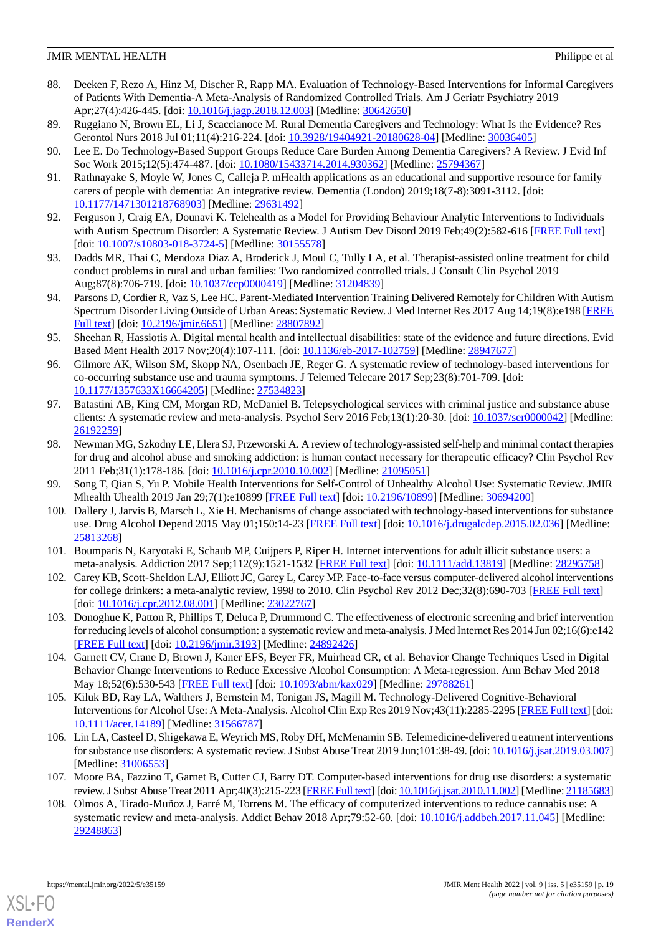- <span id="page-18-0"></span>88. Deeken F, Rezo A, Hinz M, Discher R, Rapp MA. Evaluation of Technology-Based Interventions for Informal Caregivers of Patients With Dementia-A Meta-Analysis of Randomized Controlled Trials. Am J Geriatr Psychiatry 2019 Apr;27(4):426-445. [doi: [10.1016/j.jagp.2018.12.003](http://dx.doi.org/10.1016/j.jagp.2018.12.003)] [Medline: [30642650](http://www.ncbi.nlm.nih.gov/entrez/query.fcgi?cmd=Retrieve&db=PubMed&list_uids=30642650&dopt=Abstract)]
- <span id="page-18-10"></span><span id="page-18-3"></span>89. Ruggiano N, Brown EL, Li J, Scaccianoce M. Rural Dementia Caregivers and Technology: What Is the Evidence? Res Gerontol Nurs 2018 Jul 01;11(4):216-224. [doi: [10.3928/19404921-20180628-04](http://dx.doi.org/10.3928/19404921-20180628-04)] [Medline: [30036405\]](http://www.ncbi.nlm.nih.gov/entrez/query.fcgi?cmd=Retrieve&db=PubMed&list_uids=30036405&dopt=Abstract)
- <span id="page-18-4"></span>90. Lee E. Do Technology-Based Support Groups Reduce Care Burden Among Dementia Caregivers? A Review. J Evid Inf Soc Work 2015;12(5):474-487. [doi: [10.1080/15433714.2014.930362\]](http://dx.doi.org/10.1080/15433714.2014.930362) [Medline: [25794367\]](http://www.ncbi.nlm.nih.gov/entrez/query.fcgi?cmd=Retrieve&db=PubMed&list_uids=25794367&dopt=Abstract)
- <span id="page-18-5"></span>91. Rathnayake S, Moyle W, Jones C, Calleja P. mHealth applications as an educational and supportive resource for family carers of people with dementia: An integrative review. Dementia (London) 2019;18(7-8):3091-3112. [doi: [10.1177/1471301218768903\]](http://dx.doi.org/10.1177/1471301218768903) [Medline: [29631492\]](http://www.ncbi.nlm.nih.gov/entrez/query.fcgi?cmd=Retrieve&db=PubMed&list_uids=29631492&dopt=Abstract)
- 92. Ferguson J, Craig EA, Dounavi K. Telehealth as a Model for Providing Behaviour Analytic Interventions to Individuals with Autism Spectrum Disorder: A Systematic Review. J Autism Dev Disord 2019 Feb;49(2):582-616 [\[FREE Full text\]](http://europepmc.org/abstract/MED/30155578) [doi: [10.1007/s10803-018-3724-5](http://dx.doi.org/10.1007/s10803-018-3724-5)] [Medline: [30155578\]](http://www.ncbi.nlm.nih.gov/entrez/query.fcgi?cmd=Retrieve&db=PubMed&list_uids=30155578&dopt=Abstract)
- 93. Dadds MR, Thai C, Mendoza Diaz A, Broderick J, Moul C, Tully LA, et al. Therapist-assisted online treatment for child conduct problems in rural and urban families: Two randomized controlled trials. J Consult Clin Psychol 2019 Aug;87(8):706-719. [doi: [10.1037/ccp0000419\]](http://dx.doi.org/10.1037/ccp0000419) [Medline: [31204839\]](http://www.ncbi.nlm.nih.gov/entrez/query.fcgi?cmd=Retrieve&db=PubMed&list_uids=31204839&dopt=Abstract)
- <span id="page-18-1"></span>94. Parsons D, Cordier R, Vaz S, Lee HC. Parent-Mediated Intervention Training Delivered Remotely for Children With Autism Spectrum Disorder Living Outside of Urban Areas: Systematic Review. J Med Internet Res 2017 Aug 14;19(8):e198 [\[FREE](https://www.jmir.org/2017/8/e198/) [Full text\]](https://www.jmir.org/2017/8/e198/) [doi: [10.2196/jmir.6651](http://dx.doi.org/10.2196/jmir.6651)] [Medline: [28807892\]](http://www.ncbi.nlm.nih.gov/entrez/query.fcgi?cmd=Retrieve&db=PubMed&list_uids=28807892&dopt=Abstract)
- <span id="page-18-2"></span>95. Sheehan R, Hassiotis A. Digital mental health and intellectual disabilities: state of the evidence and future directions. Evid Based Ment Health 2017 Nov;20(4):107-111. [doi: [10.1136/eb-2017-102759](http://dx.doi.org/10.1136/eb-2017-102759)] [Medline: [28947677\]](http://www.ncbi.nlm.nih.gov/entrez/query.fcgi?cmd=Retrieve&db=PubMed&list_uids=28947677&dopt=Abstract)
- 96. Gilmore AK, Wilson SM, Skopp NA, Osenbach JE, Reger G. A systematic review of technology-based interventions for co-occurring substance use and trauma symptoms. J Telemed Telecare 2017 Sep;23(8):701-709. [doi: [10.1177/1357633X16664205](http://dx.doi.org/10.1177/1357633X16664205)] [Medline: [27534823\]](http://www.ncbi.nlm.nih.gov/entrez/query.fcgi?cmd=Retrieve&db=PubMed&list_uids=27534823&dopt=Abstract)
- <span id="page-18-8"></span>97. Batastini AB, King CM, Morgan RD, McDaniel B. Telepsychological services with criminal justice and substance abuse clients: A systematic review and meta-analysis. Psychol Serv 2016 Feb;13(1):20-30. [doi: [10.1037/ser0000042\]](http://dx.doi.org/10.1037/ser0000042) [Medline: [26192259](http://www.ncbi.nlm.nih.gov/entrez/query.fcgi?cmd=Retrieve&db=PubMed&list_uids=26192259&dopt=Abstract)]
- <span id="page-18-7"></span><span id="page-18-6"></span>98. Newman MG, Szkodny LE, Llera SJ, Przeworski A. A review of technology-assisted self-help and minimal contact therapies for drug and alcohol abuse and smoking addiction: is human contact necessary for therapeutic efficacy? Clin Psychol Rev 2011 Feb;31(1):178-186. [doi: [10.1016/j.cpr.2010.10.002](http://dx.doi.org/10.1016/j.cpr.2010.10.002)] [Medline: [21095051](http://www.ncbi.nlm.nih.gov/entrez/query.fcgi?cmd=Retrieve&db=PubMed&list_uids=21095051&dopt=Abstract)]
- 99. Song T, Qian S, Yu P. Mobile Health Interventions for Self-Control of Unhealthy Alcohol Use: Systematic Review. JMIR Mhealth Uhealth 2019 Jan 29;7(1):e10899 [\[FREE Full text\]](https://mhealth.jmir.org/2019/1/e10899/) [doi: [10.2196/10899](http://dx.doi.org/10.2196/10899)] [Medline: [30694200](http://www.ncbi.nlm.nih.gov/entrez/query.fcgi?cmd=Retrieve&db=PubMed&list_uids=30694200&dopt=Abstract)]
- <span id="page-18-9"></span>100. Dallery J, Jarvis B, Marsch L, Xie H. Mechanisms of change associated with technology-based interventions for substance use. Drug Alcohol Depend 2015 May 01;150:14-23 [\[FREE Full text\]](http://europepmc.org/abstract/MED/25813268) [doi: [10.1016/j.drugalcdep.2015.02.036](http://dx.doi.org/10.1016/j.drugalcdep.2015.02.036)] [Medline: [25813268](http://www.ncbi.nlm.nih.gov/entrez/query.fcgi?cmd=Retrieve&db=PubMed&list_uids=25813268&dopt=Abstract)]
- 101. Boumparis N, Karyotaki E, Schaub MP, Cuijpers P, Riper H. Internet interventions for adult illicit substance users: a meta-analysis. Addiction 2017 Sep;112(9):1521-1532 [[FREE Full text](http://europepmc.org/abstract/MED/28295758)] [doi: [10.1111/add.13819\]](http://dx.doi.org/10.1111/add.13819) [Medline: [28295758](http://www.ncbi.nlm.nih.gov/entrez/query.fcgi?cmd=Retrieve&db=PubMed&list_uids=28295758&dopt=Abstract)]
- 102. Carey KB, Scott-Sheldon LAJ, Elliott JC, Garey L, Carey MP. Face-to-face versus computer-delivered alcohol interventions for college drinkers: a meta-analytic review, 1998 to 2010. Clin Psychol Rev 2012 Dec;32(8):690-703 [[FREE Full text](http://europepmc.org/abstract/MED/23022767)] [doi: [10.1016/j.cpr.2012.08.001](http://dx.doi.org/10.1016/j.cpr.2012.08.001)] [Medline: [23022767\]](http://www.ncbi.nlm.nih.gov/entrez/query.fcgi?cmd=Retrieve&db=PubMed&list_uids=23022767&dopt=Abstract)
- 103. Donoghue K, Patton R, Phillips T, Deluca P, Drummond C. The effectiveness of electronic screening and brief intervention for reducing levels of alcohol consumption: a systematic review and meta-analysis. J Med Internet Res 2014 Jun 02;16(6):e142 [[FREE Full text](https://www.jmir.org/2014/6/e142/)] [doi: [10.2196/jmir.3193](http://dx.doi.org/10.2196/jmir.3193)] [Medline: [24892426](http://www.ncbi.nlm.nih.gov/entrez/query.fcgi?cmd=Retrieve&db=PubMed&list_uids=24892426&dopt=Abstract)]
- 104. Garnett CV, Crane D, Brown J, Kaner EFS, Beyer FR, Muirhead CR, et al. Behavior Change Techniques Used in Digital Behavior Change Interventions to Reduce Excessive Alcohol Consumption: A Meta-regression. Ann Behav Med 2018 May 18;52(6):530-543 [[FREE Full text](http://europepmc.org/abstract/MED/29788261)] [doi: [10.1093/abm/kax029](http://dx.doi.org/10.1093/abm/kax029)] [Medline: [29788261\]](http://www.ncbi.nlm.nih.gov/entrez/query.fcgi?cmd=Retrieve&db=PubMed&list_uids=29788261&dopt=Abstract)
- 105. Kiluk BD, Ray LA, Walthers J, Bernstein M, Tonigan JS, Magill M. Technology-Delivered Cognitive-Behavioral Interventions for Alcohol Use: A Meta-Analysis. Alcohol Clin Exp Res 2019 Nov;43(11):2285-2295 [\[FREE Full text\]](http://europepmc.org/abstract/MED/31566787) [doi: [10.1111/acer.14189](http://dx.doi.org/10.1111/acer.14189)] [Medline: [31566787](http://www.ncbi.nlm.nih.gov/entrez/query.fcgi?cmd=Retrieve&db=PubMed&list_uids=31566787&dopt=Abstract)]
- 106. Lin LA, Casteel D, Shigekawa E, Weyrich MS, Roby DH, McMenamin SB. Telemedicine-delivered treatment interventions for substance use disorders: A systematic review. J Subst Abuse Treat 2019 Jun;101:38-49. [doi: [10.1016/j.jsat.2019.03.007](http://dx.doi.org/10.1016/j.jsat.2019.03.007)] [Medline: [31006553](http://www.ncbi.nlm.nih.gov/entrez/query.fcgi?cmd=Retrieve&db=PubMed&list_uids=31006553&dopt=Abstract)]
- 107. Moore BA, Fazzino T, Garnet B, Cutter CJ, Barry DT. Computer-based interventions for drug use disorders: a systematic review. J Subst Abuse Treat 2011 Apr;40(3):215-223 [\[FREE Full text](http://europepmc.org/abstract/MED/21185683)] [doi: [10.1016/j.jsat.2010.11.002](http://dx.doi.org/10.1016/j.jsat.2010.11.002)] [Medline: [21185683\]](http://www.ncbi.nlm.nih.gov/entrez/query.fcgi?cmd=Retrieve&db=PubMed&list_uids=21185683&dopt=Abstract)
- 108. Olmos A, Tirado-Muñoz J, Farré M, Torrens M. The efficacy of computerized interventions to reduce cannabis use: A systematic review and meta-analysis. Addict Behav 2018 Apr;79:52-60. [doi: [10.1016/j.addbeh.2017.11.045](http://dx.doi.org/10.1016/j.addbeh.2017.11.045)] [Medline: [29248863](http://www.ncbi.nlm.nih.gov/entrez/query.fcgi?cmd=Retrieve&db=PubMed&list_uids=29248863&dopt=Abstract)]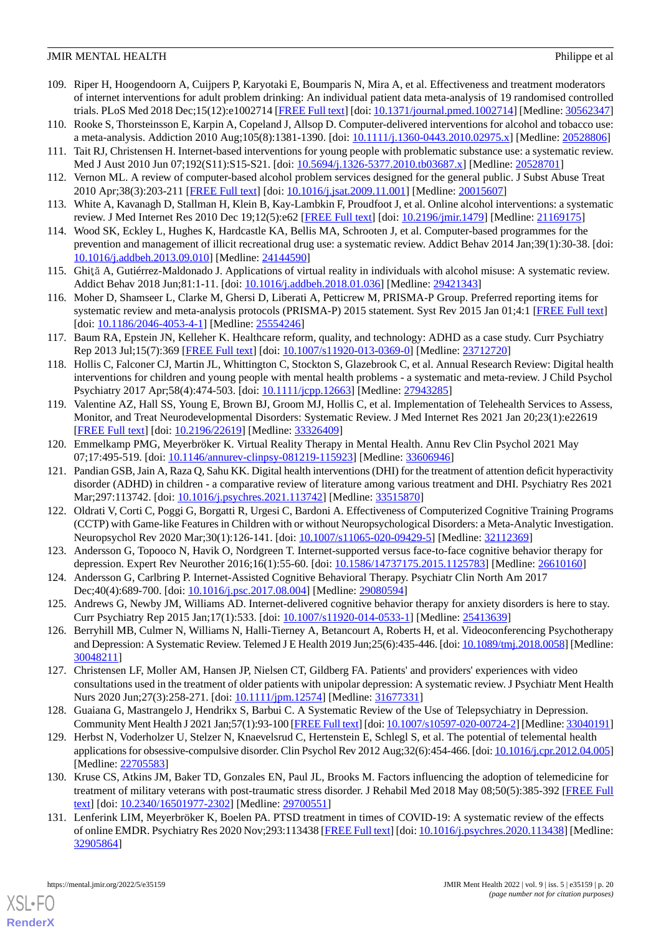- <span id="page-19-14"></span>109. Riper H, Hoogendoorn A, Cuijpers P, Karyotaki E, Boumparis N, Mira A, et al. Effectiveness and treatment moderators of internet interventions for adult problem drinking: An individual patient data meta-analysis of 19 randomised controlled trials. PLoS Med 2018 Dec;15(12):e1002714 [[FREE Full text](https://dx.plos.org/10.1371/journal.pmed.1002714)] [doi: [10.1371/journal.pmed.1002714\]](http://dx.doi.org/10.1371/journal.pmed.1002714) [Medline: [30562347](http://www.ncbi.nlm.nih.gov/entrez/query.fcgi?cmd=Retrieve&db=PubMed&list_uids=30562347&dopt=Abstract)]
- <span id="page-19-17"></span><span id="page-19-15"></span>110. Rooke S, Thorsteinsson E, Karpin A, Copeland J, Allsop D. Computer-delivered interventions for alcohol and tobacco use: a meta-analysis. Addiction 2010 Aug;105(8):1381-1390. [doi: [10.1111/j.1360-0443.2010.02975.x](http://dx.doi.org/10.1111/j.1360-0443.2010.02975.x)] [Medline: [20528806\]](http://www.ncbi.nlm.nih.gov/entrez/query.fcgi?cmd=Retrieve&db=PubMed&list_uids=20528806&dopt=Abstract)
- <span id="page-19-16"></span>111. Tait RJ, Christensen H. Internet-based interventions for young people with problematic substance use: a systematic review. Med J Aust 2010 Jun 07;192(S11):S15-S21. [doi: [10.5694/j.1326-5377.2010.tb03687.x\]](http://dx.doi.org/10.5694/j.1326-5377.2010.tb03687.x) [Medline: [20528701\]](http://www.ncbi.nlm.nih.gov/entrez/query.fcgi?cmd=Retrieve&db=PubMed&list_uids=20528701&dopt=Abstract)
- 112. Vernon ML. A review of computer-based alcohol problem services designed for the general public. J Subst Abuse Treat 2010 Apr;38(3):203-211 [[FREE Full text](http://europepmc.org/abstract/MED/20015607)] [doi: [10.1016/j.jsat.2009.11.001\]](http://dx.doi.org/10.1016/j.jsat.2009.11.001) [Medline: [20015607](http://www.ncbi.nlm.nih.gov/entrez/query.fcgi?cmd=Retrieve&db=PubMed&list_uids=20015607&dopt=Abstract)]
- <span id="page-19-13"></span>113. White A, Kavanagh D, Stallman H, Klein B, Kay-Lambkin F, Proudfoot J, et al. Online alcohol interventions: a systematic review. J Med Internet Res 2010 Dec 19;12(5):e62 [\[FREE Full text\]](https://www.jmir.org/2010/5/e62/) [doi: [10.2196/jmir.1479](http://dx.doi.org/10.2196/jmir.1479)] [Medline: [21169175\]](http://www.ncbi.nlm.nih.gov/entrez/query.fcgi?cmd=Retrieve&db=PubMed&list_uids=21169175&dopt=Abstract)
- <span id="page-19-0"></span>114. Wood SK, Eckley L, Hughes K, Hardcastle KA, Bellis MA, Schrooten J, et al. Computer-based programmes for the prevention and management of illicit recreational drug use: a systematic review. Addict Behav 2014 Jan;39(1):30-38. [doi: [10.1016/j.addbeh.2013.09.010](http://dx.doi.org/10.1016/j.addbeh.2013.09.010)] [Medline: [24144590](http://www.ncbi.nlm.nih.gov/entrez/query.fcgi?cmd=Retrieve&db=PubMed&list_uids=24144590&dopt=Abstract)]
- <span id="page-19-1"></span>115. Ghiţă A, Gutiérrez-Maldonado J. Applications of virtual reality in individuals with alcohol misuse: A systematic review. Addict Behav 2018 Jun;81:1-11. [doi: [10.1016/j.addbeh.2018.01.036\]](http://dx.doi.org/10.1016/j.addbeh.2018.01.036) [Medline: [29421343](http://www.ncbi.nlm.nih.gov/entrez/query.fcgi?cmd=Retrieve&db=PubMed&list_uids=29421343&dopt=Abstract)]
- <span id="page-19-2"></span>116. Moher D, Shamseer L, Clarke M, Ghersi D, Liberati A, Petticrew M, PRISMA-P Group. Preferred reporting items for systematic review and meta-analysis protocols (PRISMA-P) 2015 statement. Syst Rev 2015 Jan 01;4:1 [[FREE Full text\]](https://systematicreviewsjournal.biomedcentral.com/articles/10.1186/2046-4053-4-1) [doi: [10.1186/2046-4053-4-1](http://dx.doi.org/10.1186/2046-4053-4-1)] [Medline: [25554246\]](http://www.ncbi.nlm.nih.gov/entrez/query.fcgi?cmd=Retrieve&db=PubMed&list_uids=25554246&dopt=Abstract)
- <span id="page-19-3"></span>117. Baum RA, Epstein JN, Kelleher K. Healthcare reform, quality, and technology: ADHD as a case study. Curr Psychiatry Rep 2013 Jul;15(7):369 [\[FREE Full text\]](http://europepmc.org/abstract/MED/23712720) [doi: [10.1007/s11920-013-0369-0](http://dx.doi.org/10.1007/s11920-013-0369-0)] [Medline: [23712720\]](http://www.ncbi.nlm.nih.gov/entrez/query.fcgi?cmd=Retrieve&db=PubMed&list_uids=23712720&dopt=Abstract)
- <span id="page-19-7"></span>118. Hollis C, Falconer CJ, Martin JL, Whittington C, Stockton S, Glazebrook C, et al. Annual Research Review: Digital health interventions for children and young people with mental health problems - a systematic and meta-review. J Child Psychol Psychiatry 2017 Apr;58(4):474-503. [doi: [10.1111/jcpp.12663](http://dx.doi.org/10.1111/jcpp.12663)] [Medline: [27943285](http://www.ncbi.nlm.nih.gov/entrez/query.fcgi?cmd=Retrieve&db=PubMed&list_uids=27943285&dopt=Abstract)]
- <span id="page-19-5"></span>119. Valentine AZ, Hall SS, Young E, Brown BJ, Groom MJ, Hollis C, et al. Implementation of Telehealth Services to Assess, Monitor, and Treat Neurodevelopmental Disorders: Systematic Review. J Med Internet Res 2021 Jan 20;23(1):e22619 [[FREE Full text](https://www.jmir.org/2021/1/e22619/)] [doi: [10.2196/22619\]](http://dx.doi.org/10.2196/22619) [Medline: [33326409\]](http://www.ncbi.nlm.nih.gov/entrez/query.fcgi?cmd=Retrieve&db=PubMed&list_uids=33326409&dopt=Abstract)
- <span id="page-19-6"></span>120. Emmelkamp PMG, Meyerbröker K. Virtual Reality Therapy in Mental Health. Annu Rev Clin Psychol 2021 May 07;17:495-519. [doi: [10.1146/annurev-clinpsy-081219-115923\]](http://dx.doi.org/10.1146/annurev-clinpsy-081219-115923) [Medline: [33606946\]](http://www.ncbi.nlm.nih.gov/entrez/query.fcgi?cmd=Retrieve&db=PubMed&list_uids=33606946&dopt=Abstract)
- <span id="page-19-4"></span>121. Pandian GSB, Jain A, Raza Q, Sahu KK. Digital health interventions (DHI) for the treatment of attention deficit hyperactivity disorder (ADHD) in children - a comparative review of literature among various treatment and DHI. Psychiatry Res 2021 Mar;297:113742. [doi: [10.1016/j.psychres.2021.113742\]](http://dx.doi.org/10.1016/j.psychres.2021.113742) [Medline: [33515870](http://www.ncbi.nlm.nih.gov/entrez/query.fcgi?cmd=Retrieve&db=PubMed&list_uids=33515870&dopt=Abstract)]
- <span id="page-19-11"></span><span id="page-19-8"></span>122. Oldrati V, Corti C, Poggi G, Borgatti R, Urgesi C, Bardoni A. Effectiveness of Computerized Cognitive Training Programs (CCTP) with Game-like Features in Children with or without Neuropsychological Disorders: a Meta-Analytic Investigation. Neuropsychol Rev 2020 Mar;30(1):126-141. [doi: [10.1007/s11065-020-09429-5\]](http://dx.doi.org/10.1007/s11065-020-09429-5) [Medline: [32112369](http://www.ncbi.nlm.nih.gov/entrez/query.fcgi?cmd=Retrieve&db=PubMed&list_uids=32112369&dopt=Abstract)]
- <span id="page-19-9"></span>123. Andersson G, Topooco N, Havik O, Nordgreen T. Internet-supported versus face-to-face cognitive behavior therapy for depression. Expert Rev Neurother 2016;16(1):55-60. [doi: [10.1586/14737175.2015.1125783](http://dx.doi.org/10.1586/14737175.2015.1125783)] [Medline: [26610160\]](http://www.ncbi.nlm.nih.gov/entrez/query.fcgi?cmd=Retrieve&db=PubMed&list_uids=26610160&dopt=Abstract)
- <span id="page-19-18"></span>124. Andersson G, Carlbring P. Internet-Assisted Cognitive Behavioral Therapy. Psychiatr Clin North Am 2017 Dec;40(4):689-700. [doi: [10.1016/j.psc.2017.08.004\]](http://dx.doi.org/10.1016/j.psc.2017.08.004) [Medline: [29080594\]](http://www.ncbi.nlm.nih.gov/entrez/query.fcgi?cmd=Retrieve&db=PubMed&list_uids=29080594&dopt=Abstract)
- 125. Andrews G, Newby JM, Williams AD. Internet-delivered cognitive behavior therapy for anxiety disorders is here to stay. Curr Psychiatry Rep 2015 Jan;17(1):533. [doi: [10.1007/s11920-014-0533-1](http://dx.doi.org/10.1007/s11920-014-0533-1)] [Medline: [25413639](http://www.ncbi.nlm.nih.gov/entrez/query.fcgi?cmd=Retrieve&db=PubMed&list_uids=25413639&dopt=Abstract)]
- 126. Berryhill MB, Culmer N, Williams N, Halli-Tierney A, Betancourt A, Roberts H, et al. Videoconferencing Psychotherapy and Depression: A Systematic Review. Telemed J E Health 2019 Jun;25(6):435-446. [doi: [10.1089/tmj.2018.0058\]](http://dx.doi.org/10.1089/tmj.2018.0058) [Medline: [30048211](http://www.ncbi.nlm.nih.gov/entrez/query.fcgi?cmd=Retrieve&db=PubMed&list_uids=30048211&dopt=Abstract)]
- <span id="page-19-10"></span>127. Christensen LF, Moller AM, Hansen JP, Nielsen CT, Gildberg FA. Patients' and providers' experiences with video consultations used in the treatment of older patients with unipolar depression: A systematic review. J Psychiatr Ment Health Nurs 2020 Jun;27(3):258-271. [doi: [10.1111/jpm.12574](http://dx.doi.org/10.1111/jpm.12574)] [Medline: [31677331\]](http://www.ncbi.nlm.nih.gov/entrez/query.fcgi?cmd=Retrieve&db=PubMed&list_uids=31677331&dopt=Abstract)
- <span id="page-19-12"></span>128. Guaiana G, Mastrangelo J, Hendrikx S, Barbui C. A Systematic Review of the Use of Telepsychiatry in Depression. Community Ment Health J 2021 Jan;57(1):93-100 [\[FREE Full text](http://europepmc.org/abstract/MED/33040191)] [doi: [10.1007/s10597-020-00724-2\]](http://dx.doi.org/10.1007/s10597-020-00724-2) [Medline: [33040191\]](http://www.ncbi.nlm.nih.gov/entrez/query.fcgi?cmd=Retrieve&db=PubMed&list_uids=33040191&dopt=Abstract)
- 129. Herbst N, Voderholzer U, Stelzer N, Knaevelsrud C, Hertenstein E, Schlegl S, et al. The potential of telemental health applications for obsessive-compulsive disorder. Clin Psychol Rev 2012 Aug;32(6):454-466. [doi: [10.1016/j.cpr.2012.04.005\]](http://dx.doi.org/10.1016/j.cpr.2012.04.005) [Medline: [22705583](http://www.ncbi.nlm.nih.gov/entrez/query.fcgi?cmd=Retrieve&db=PubMed&list_uids=22705583&dopt=Abstract)]
- 130. Kruse CS, Atkins JM, Baker TD, Gonzales EN, Paul JL, Brooks M. Factors influencing the adoption of telemedicine for treatment of military veterans with post-traumatic stress disorder. J Rehabil Med 2018 May 08;50(5):385-392 [[FREE Full](https://www.medicaljournals.se/jrm/content/abstract/10.2340/16501977-2302) [text](https://www.medicaljournals.se/jrm/content/abstract/10.2340/16501977-2302)] [doi: [10.2340/16501977-2302](http://dx.doi.org/10.2340/16501977-2302)] [Medline: [29700551\]](http://www.ncbi.nlm.nih.gov/entrez/query.fcgi?cmd=Retrieve&db=PubMed&list_uids=29700551&dopt=Abstract)
- 131. Lenferink LIM, Meyerbröker K, Boelen PA. PTSD treatment in times of COVID-19: A systematic review of the effects of online EMDR. Psychiatry Res 2020 Nov;293:113438 [\[FREE Full text\]](https://linkinghub.elsevier.com/retrieve/pii/S0165-1781(20)31459-1) [doi: [10.1016/j.psychres.2020.113438](http://dx.doi.org/10.1016/j.psychres.2020.113438)] [Medline: [32905864](http://www.ncbi.nlm.nih.gov/entrez/query.fcgi?cmd=Retrieve&db=PubMed&list_uids=32905864&dopt=Abstract)]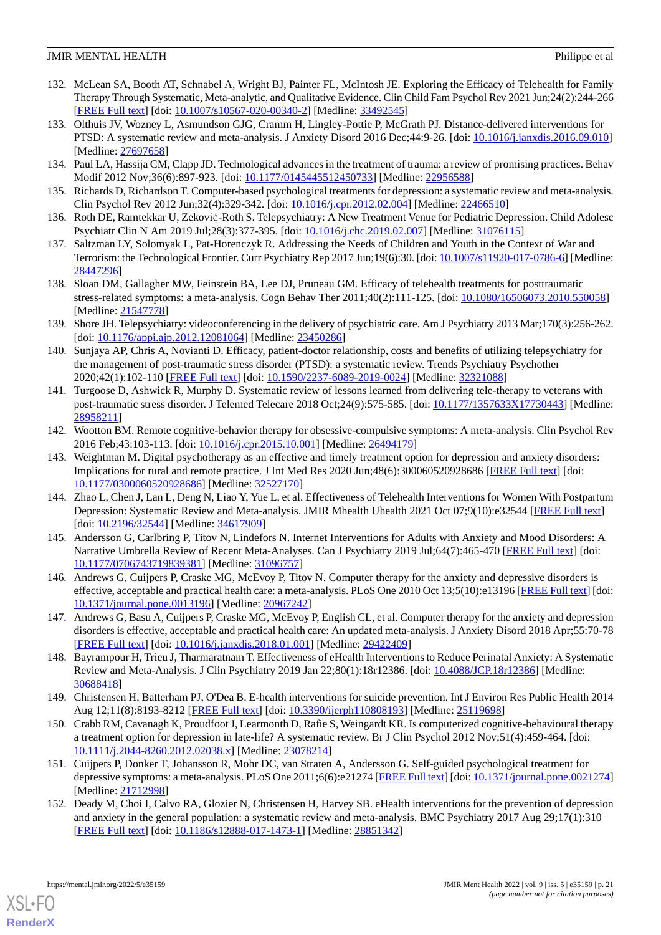- 132. McLean SA, Booth AT, Schnabel A, Wright BJ, Painter FL, McIntosh JE. Exploring the Efficacy of Telehealth for Family Therapy Through Systematic, Meta-analytic, and Qualitative Evidence. Clin Child Fam Psychol Rev 2021 Jun;24(2):244-266 [[FREE Full text](http://europepmc.org/abstract/MED/33492545)] [doi: [10.1007/s10567-020-00340-2\]](http://dx.doi.org/10.1007/s10567-020-00340-2) [Medline: [33492545](http://www.ncbi.nlm.nih.gov/entrez/query.fcgi?cmd=Retrieve&db=PubMed&list_uids=33492545&dopt=Abstract)]
- <span id="page-20-2"></span>133. Olthuis JV, Wozney L, Asmundson GJG, Cramm H, Lingley-Pottie P, McGrath PJ. Distance-delivered interventions for PTSD: A systematic review and meta-analysis. J Anxiety Disord 2016 Dec;44:9-26. [doi: [10.1016/j.janxdis.2016.09.010](http://dx.doi.org/10.1016/j.janxdis.2016.09.010)] [Medline: [27697658](http://www.ncbi.nlm.nih.gov/entrez/query.fcgi?cmd=Retrieve&db=PubMed&list_uids=27697658&dopt=Abstract)]
- <span id="page-20-3"></span><span id="page-20-0"></span>134. Paul LA, Hassija CM, Clapp JD. Technological advances in the treatment of trauma: a review of promising practices. Behav Modif 2012 Nov;36(6):897-923. [doi: [10.1177/0145445512450733\]](http://dx.doi.org/10.1177/0145445512450733) [Medline: [22956588\]](http://www.ncbi.nlm.nih.gov/entrez/query.fcgi?cmd=Retrieve&db=PubMed&list_uids=22956588&dopt=Abstract)
- 135. Richards D, Richardson T. Computer-based psychological treatments for depression: a systematic review and meta-analysis. Clin Psychol Rev 2012 Jun;32(4):329-342. [doi: [10.1016/j.cpr.2012.02.004](http://dx.doi.org/10.1016/j.cpr.2012.02.004)] [Medline: [22466510](http://www.ncbi.nlm.nih.gov/entrez/query.fcgi?cmd=Retrieve&db=PubMed&list_uids=22466510&dopt=Abstract)]
- <span id="page-20-4"></span>136. Roth DE, Ramtekkar U, Zeković-Roth S. Telepsychiatry: A New Treatment Venue for Pediatric Depression. Child Adolesc Psychiatr Clin N Am 2019 Jul;28(3):377-395. [doi: [10.1016/j.chc.2019.02.007](http://dx.doi.org/10.1016/j.chc.2019.02.007)] [Medline: [31076115](http://www.ncbi.nlm.nih.gov/entrez/query.fcgi?cmd=Retrieve&db=PubMed&list_uids=31076115&dopt=Abstract)]
- <span id="page-20-5"></span>137. Saltzman LY, Solomyak L, Pat-Horenczyk R. Addressing the Needs of Children and Youth in the Context of War and Terrorism: the Technological Frontier. Curr Psychiatry Rep 2017 Jun;19(6):30. [doi: [10.1007/s11920-017-0786-6\]](http://dx.doi.org/10.1007/s11920-017-0786-6) [Medline: [28447296](http://www.ncbi.nlm.nih.gov/entrez/query.fcgi?cmd=Retrieve&db=PubMed&list_uids=28447296&dopt=Abstract)]
- <span id="page-20-12"></span>138. Sloan DM, Gallagher MW, Feinstein BA, Lee DJ, Pruneau GM. Efficacy of telehealth treatments for posttraumatic stress-related symptoms: a meta-analysis. Cogn Behav Ther 2011;40(2):111-125. [doi: [10.1080/16506073.2010.550058\]](http://dx.doi.org/10.1080/16506073.2010.550058) [Medline: [21547778](http://www.ncbi.nlm.nih.gov/entrez/query.fcgi?cmd=Retrieve&db=PubMed&list_uids=21547778&dopt=Abstract)]
- 139. Shore JH. Telepsychiatry: videoconferencing in the delivery of psychiatric care. Am J Psychiatry 2013 Mar;170(3):256-262. [doi: [10.1176/appi.ajp.2012.12081064](http://dx.doi.org/10.1176/appi.ajp.2012.12081064)] [Medline: [23450286\]](http://www.ncbi.nlm.nih.gov/entrez/query.fcgi?cmd=Retrieve&db=PubMed&list_uids=23450286&dopt=Abstract)
- <span id="page-20-13"></span>140. Sunjaya AP, Chris A, Novianti D. Efficacy, patient-doctor relationship, costs and benefits of utilizing telepsychiatry for the management of post-traumatic stress disorder (PTSD): a systematic review. Trends Psychiatry Psychother 2020;42(1):102-110 [[FREE Full text](https://doi.org/10.1590/2237-6089-2019-0024)] [doi: [10.1590/2237-6089-2019-0024\]](http://dx.doi.org/10.1590/2237-6089-2019-0024) [Medline: [32321088\]](http://www.ncbi.nlm.nih.gov/entrez/query.fcgi?cmd=Retrieve&db=PubMed&list_uids=32321088&dopt=Abstract)
- <span id="page-20-6"></span>141. Turgoose D, Ashwick R, Murphy D. Systematic review of lessons learned from delivering tele-therapy to veterans with post-traumatic stress disorder. J Telemed Telecare 2018 Oct;24(9):575-585. [doi: [10.1177/1357633X17730443\]](http://dx.doi.org/10.1177/1357633X17730443) [Medline: [28958211](http://www.ncbi.nlm.nih.gov/entrez/query.fcgi?cmd=Retrieve&db=PubMed&list_uids=28958211&dopt=Abstract)]
- 142. Wootton BM. Remote cognitive-behavior therapy for obsessive-compulsive symptoms: A meta-analysis. Clin Psychol Rev 2016 Feb;43:103-113. [doi: [10.1016/j.cpr.2015.10.001\]](http://dx.doi.org/10.1016/j.cpr.2015.10.001) [Medline: [26494179](http://www.ncbi.nlm.nih.gov/entrez/query.fcgi?cmd=Retrieve&db=PubMed&list_uids=26494179&dopt=Abstract)]
- <span id="page-20-1"></span>143. Weightman M. Digital psychotherapy as an effective and timely treatment option for depression and anxiety disorders: Implications for rural and remote practice. J Int Med Res 2020 Jun;48(6):300060520928686 [\[FREE Full text\]](https://journals.sagepub.com/doi/10.1177/0300060520928686?url_ver=Z39.88-2003&rfr_id=ori:rid:crossref.org&rfr_dat=cr_pub%3dpubmed) [doi: [10.1177/0300060520928686\]](http://dx.doi.org/10.1177/0300060520928686) [Medline: [32527170\]](http://www.ncbi.nlm.nih.gov/entrez/query.fcgi?cmd=Retrieve&db=PubMed&list_uids=32527170&dopt=Abstract)
- <span id="page-20-14"></span>144. Zhao L, Chen J, Lan L, Deng N, Liao Y, Yue L, et al. Effectiveness of Telehealth Interventions for Women With Postpartum Depression: Systematic Review and Meta-analysis. JMIR Mhealth Uhealth 2021 Oct 07;9(10):e32544 [[FREE Full text](https://mhealth.jmir.org/2021/10/e32544/)] [doi: [10.2196/32544](http://dx.doi.org/10.2196/32544)] [Medline: [34617909\]](http://www.ncbi.nlm.nih.gov/entrez/query.fcgi?cmd=Retrieve&db=PubMed&list_uids=34617909&dopt=Abstract)
- <span id="page-20-8"></span>145. Andersson G, Carlbring P, Titov N, Lindefors N. Internet Interventions for Adults with Anxiety and Mood Disorders: A Narrative Umbrella Review of Recent Meta-Analyses. Can J Psychiatry 2019 Jul;64(7):465-470 [\[FREE Full text](http://europepmc.org/abstract/MED/31096757)] [doi: [10.1177/0706743719839381\]](http://dx.doi.org/10.1177/0706743719839381) [Medline: [31096757\]](http://www.ncbi.nlm.nih.gov/entrez/query.fcgi?cmd=Retrieve&db=PubMed&list_uids=31096757&dopt=Abstract)
- <span id="page-20-9"></span>146. Andrews G, Cuijpers P, Craske MG, McEvoy P, Titov N. Computer therapy for the anxiety and depressive disorders is effective, acceptable and practical health care: a meta-analysis. PLoS One 2010 Oct 13;5(10):e13196 [\[FREE Full text\]](https://dx.plos.org/10.1371/journal.pone.0013196) [doi: [10.1371/journal.pone.0013196\]](http://dx.doi.org/10.1371/journal.pone.0013196) [Medline: [20967242](http://www.ncbi.nlm.nih.gov/entrez/query.fcgi?cmd=Retrieve&db=PubMed&list_uids=20967242&dopt=Abstract)]
- <span id="page-20-10"></span>147. Andrews G, Basu A, Cuijpers P, Craske MG, McEvoy P, English CL, et al. Computer therapy for the anxiety and depression disorders is effective, acceptable and practical health care: An updated meta-analysis. J Anxiety Disord 2018 Apr;55:70-78 [[FREE Full text](https://linkinghub.elsevier.com/retrieve/pii/S0887-6185(17)30447-4)] [doi: [10.1016/j.janxdis.2018.01.001](http://dx.doi.org/10.1016/j.janxdis.2018.01.001)] [Medline: [29422409](http://www.ncbi.nlm.nih.gov/entrez/query.fcgi?cmd=Retrieve&db=PubMed&list_uids=29422409&dopt=Abstract)]
- <span id="page-20-11"></span>148. Bayrampour H, Trieu J, Tharmaratnam T. Effectiveness of eHealth Interventions to Reduce Perinatal Anxiety: A Systematic Review and Meta-Analysis. J Clin Psychiatry 2019 Jan 22;80(1):18r12386. [doi: [10.4088/JCP.18r12386](http://dx.doi.org/10.4088/JCP.18r12386)] [Medline: [30688418](http://www.ncbi.nlm.nih.gov/entrez/query.fcgi?cmd=Retrieve&db=PubMed&list_uids=30688418&dopt=Abstract)]
- <span id="page-20-7"></span>149. Christensen H, Batterham PJ, O'Dea B. E-health interventions for suicide prevention. Int J Environ Res Public Health 2014 Aug 12;11(8):8193-8212 [[FREE Full text](https://www.mdpi.com/resolver?pii=ijerph110808193)] [doi: [10.3390/ijerph110808193\]](http://dx.doi.org/10.3390/ijerph110808193) [Medline: [25119698\]](http://www.ncbi.nlm.nih.gov/entrez/query.fcgi?cmd=Retrieve&db=PubMed&list_uids=25119698&dopt=Abstract)
- 150. Crabb RM, Cavanagh K, Proudfoot J, Learmonth D, Rafie S, Weingardt KR. Is computerized cognitive-behavioural therapy a treatment option for depression in late-life? A systematic review. Br J Clin Psychol 2012 Nov;51(4):459-464. [doi: [10.1111/j.2044-8260.2012.02038.x\]](http://dx.doi.org/10.1111/j.2044-8260.2012.02038.x) [Medline: [23078214\]](http://www.ncbi.nlm.nih.gov/entrez/query.fcgi?cmd=Retrieve&db=PubMed&list_uids=23078214&dopt=Abstract)
- 151. Cuijpers P, Donker T, Johansson R, Mohr DC, van Straten A, Andersson G. Self-guided psychological treatment for depressive symptoms: a meta-analysis. PLoS One 2011;6(6):e21274 [\[FREE Full text](https://dx.plos.org/10.1371/journal.pone.0021274)] [doi: [10.1371/journal.pone.0021274](http://dx.doi.org/10.1371/journal.pone.0021274)] [Medline: [21712998](http://www.ncbi.nlm.nih.gov/entrez/query.fcgi?cmd=Retrieve&db=PubMed&list_uids=21712998&dopt=Abstract)]
- 152. Deady M, Choi I, Calvo RA, Glozier N, Christensen H, Harvey SB. eHealth interventions for the prevention of depression and anxiety in the general population: a systematic review and meta-analysis. BMC Psychiatry 2017 Aug 29;17(1):310 [[FREE Full text](https://bmcpsychiatry.biomedcentral.com/articles/10.1186/s12888-017-1473-1)] [doi: [10.1186/s12888-017-1473-1\]](http://dx.doi.org/10.1186/s12888-017-1473-1) [Medline: [28851342](http://www.ncbi.nlm.nih.gov/entrez/query.fcgi?cmd=Retrieve&db=PubMed&list_uids=28851342&dopt=Abstract)]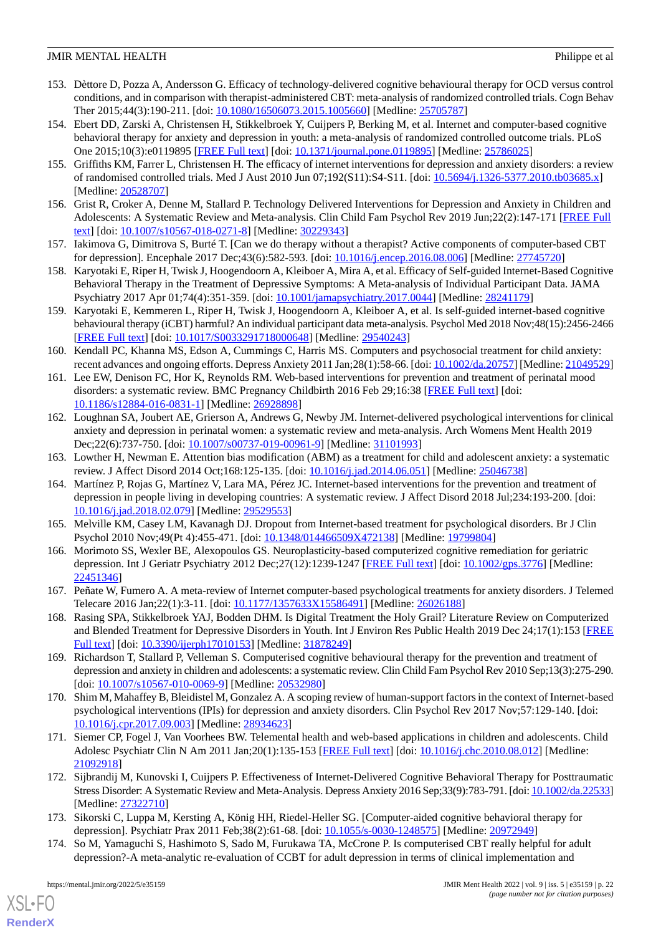- 153. Dèttore D, Pozza A, Andersson G. Efficacy of technology-delivered cognitive behavioural therapy for OCD versus control conditions, and in comparison with therapist-administered CBT: meta-analysis of randomized controlled trials. Cogn Behav Ther 2015;44(3):190-211. [doi: [10.1080/16506073.2015.1005660](http://dx.doi.org/10.1080/16506073.2015.1005660)] [Medline: [25705787\]](http://www.ncbi.nlm.nih.gov/entrez/query.fcgi?cmd=Retrieve&db=PubMed&list_uids=25705787&dopt=Abstract)
- <span id="page-21-6"></span>154. Ebert DD, Zarski A, Christensen H, Stikkelbroek Y, Cuijpers P, Berking M, et al. Internet and computer-based cognitive behavioral therapy for anxiety and depression in youth: a meta-analysis of randomized controlled outcome trials. PLoS One 2015;10(3):e0119895 [\[FREE Full text\]](https://dx.plos.org/10.1371/journal.pone.0119895) [doi: [10.1371/journal.pone.0119895\]](http://dx.doi.org/10.1371/journal.pone.0119895) [Medline: [25786025\]](http://www.ncbi.nlm.nih.gov/entrez/query.fcgi?cmd=Retrieve&db=PubMed&list_uids=25786025&dopt=Abstract)
- <span id="page-21-8"></span>155. Griffiths KM, Farrer L, Christensen H. The efficacy of internet interventions for depression and anxiety disorders: a review of randomised controlled trials. Med J Aust 2010 Jun 07;192(S11):S4-S11. [doi: [10.5694/j.1326-5377.2010.tb03685.x\]](http://dx.doi.org/10.5694/j.1326-5377.2010.tb03685.x) [Medline: [20528707](http://www.ncbi.nlm.nih.gov/entrez/query.fcgi?cmd=Retrieve&db=PubMed&list_uids=20528707&dopt=Abstract)]
- <span id="page-21-5"></span>156. Grist R, Croker A, Denne M, Stallard P. Technology Delivered Interventions for Depression and Anxiety in Children and Adolescents: A Systematic Review and Meta-analysis. Clin Child Fam Psychol Rev 2019 Jun;22(2):147-171 [\[FREE Full](http://europepmc.org/abstract/MED/30229343) [text](http://europepmc.org/abstract/MED/30229343)] [doi: [10.1007/s10567-018-0271-8\]](http://dx.doi.org/10.1007/s10567-018-0271-8) [Medline: [30229343](http://www.ncbi.nlm.nih.gov/entrez/query.fcgi?cmd=Retrieve&db=PubMed&list_uids=30229343&dopt=Abstract)]
- 157. Iakimova G, Dimitrova S, Burté T. [Can we do therapy without a therapist? Active components of computer-based CBT for depression]. Encephale 2017 Dec;43(6):582-593. [doi: [10.1016/j.encep.2016.08.006\]](http://dx.doi.org/10.1016/j.encep.2016.08.006) [Medline: [27745720\]](http://www.ncbi.nlm.nih.gov/entrez/query.fcgi?cmd=Retrieve&db=PubMed&list_uids=27745720&dopt=Abstract)
- <span id="page-21-2"></span>158. Karyotaki E, Riper H, Twisk J, Hoogendoorn A, Kleiboer A, Mira A, et al. Efficacy of Self-guided Internet-Based Cognitive Behavioral Therapy in the Treatment of Depressive Symptoms: A Meta-analysis of Individual Participant Data. JAMA Psychiatry 2017 Apr 01;74(4):351-359. [doi: [10.1001/jamapsychiatry.2017.0044\]](http://dx.doi.org/10.1001/jamapsychiatry.2017.0044) [Medline: [28241179](http://www.ncbi.nlm.nih.gov/entrez/query.fcgi?cmd=Retrieve&db=PubMed&list_uids=28241179&dopt=Abstract)]
- 159. Karyotaki E, Kemmeren L, Riper H, Twisk J, Hoogendoorn A, Kleiboer A, et al. Is self-guided internet-based cognitive behavioural therapy (iCBT) harmful? An individual participant data meta-analysis. Psychol Med 2018 Nov;48(15):2456-2466 [[FREE Full text](http://europepmc.org/abstract/MED/29540243)] [doi: [10.1017/S0033291718000648](http://dx.doi.org/10.1017/S0033291718000648)] [Medline: [29540243](http://www.ncbi.nlm.nih.gov/entrez/query.fcgi?cmd=Retrieve&db=PubMed&list_uids=29540243&dopt=Abstract)]
- 160. Kendall PC, Khanna MS, Edson A, Cummings C, Harris MS. Computers and psychosocial treatment for child anxiety: recent advances and ongoing efforts. Depress Anxiety 2011 Jan;28(1):58-66. [doi: [10.1002/da.20757](http://dx.doi.org/10.1002/da.20757)] [Medline: [21049529](http://www.ncbi.nlm.nih.gov/entrez/query.fcgi?cmd=Retrieve&db=PubMed&list_uids=21049529&dopt=Abstract)]
- 161. Lee EW, Denison FC, Hor K, Reynolds RM. Web-based interventions for prevention and treatment of perinatal mood disorders: a systematic review. BMC Pregnancy Childbirth 2016 Feb 29;16:38 [\[FREE Full text\]](https://bmcpregnancychildbirth.biomedcentral.com/articles/10.1186/s12884-016-0831-1) [doi: [10.1186/s12884-016-0831-1\]](http://dx.doi.org/10.1186/s12884-016-0831-1) [Medline: [26928898](http://www.ncbi.nlm.nih.gov/entrez/query.fcgi?cmd=Retrieve&db=PubMed&list_uids=26928898&dopt=Abstract)]
- <span id="page-21-7"></span>162. Loughnan SA, Joubert AE, Grierson A, Andrews G, Newby JM. Internet-delivered psychological interventions for clinical anxiety and depression in perinatal women: a systematic review and meta-analysis. Arch Womens Ment Health 2019 Dec;22(6):737-750. [doi: [10.1007/s00737-019-00961-9\]](http://dx.doi.org/10.1007/s00737-019-00961-9) [Medline: [31101993](http://www.ncbi.nlm.nih.gov/entrez/query.fcgi?cmd=Retrieve&db=PubMed&list_uids=31101993&dopt=Abstract)]
- 163. Lowther H, Newman E. Attention bias modification (ABM) as a treatment for child and adolescent anxiety: a systematic review. J Affect Disord 2014 Oct;168:125-135. [doi: [10.1016/j.jad.2014.06.051\]](http://dx.doi.org/10.1016/j.jad.2014.06.051) [Medline: [25046738\]](http://www.ncbi.nlm.nih.gov/entrez/query.fcgi?cmd=Retrieve&db=PubMed&list_uids=25046738&dopt=Abstract)
- <span id="page-21-9"></span><span id="page-21-0"></span>164. Martínez P, Rojas G, Martínez V, Lara MA, Pérez JC. Internet-based interventions for the prevention and treatment of depression in people living in developing countries: A systematic review. J Affect Disord 2018 Jul;234:193-200. [doi: [10.1016/j.jad.2018.02.079\]](http://dx.doi.org/10.1016/j.jad.2018.02.079) [Medline: [29529553\]](http://www.ncbi.nlm.nih.gov/entrez/query.fcgi?cmd=Retrieve&db=PubMed&list_uids=29529553&dopt=Abstract)
- <span id="page-21-10"></span>165. Melville KM, Casey LM, Kavanagh DJ. Dropout from Internet-based treatment for psychological disorders. Br J Clin Psychol 2010 Nov;49(Pt 4):455-471. [doi: [10.1348/014466509X472138\]](http://dx.doi.org/10.1348/014466509X472138) [Medline: [19799804](http://www.ncbi.nlm.nih.gov/entrez/query.fcgi?cmd=Retrieve&db=PubMed&list_uids=19799804&dopt=Abstract)]
- 166. Morimoto SS, Wexler BE, Alexopoulos GS. Neuroplasticity-based computerized cognitive remediation for geriatric depression. Int J Geriatr Psychiatry 2012 Dec;27(12):1239-1247 [[FREE Full text](http://europepmc.org/abstract/MED/22451346)] [doi: [10.1002/gps.3776](http://dx.doi.org/10.1002/gps.3776)] [Medline: [22451346](http://www.ncbi.nlm.nih.gov/entrez/query.fcgi?cmd=Retrieve&db=PubMed&list_uids=22451346&dopt=Abstract)]
- <span id="page-21-3"></span>167. Peñate W, Fumero A. A meta-review of Internet computer-based psychological treatments for anxiety disorders. J Telemed Telecare 2016 Jan;22(1):3-11. [doi: [10.1177/1357633X15586491](http://dx.doi.org/10.1177/1357633X15586491)] [Medline: [26026188\]](http://www.ncbi.nlm.nih.gov/entrez/query.fcgi?cmd=Retrieve&db=PubMed&list_uids=26026188&dopt=Abstract)
- <span id="page-21-4"></span>168. Rasing SPA, Stikkelbroek YAJ, Bodden DHM. Is Digital Treatment the Holy Grail? Literature Review on Computerized and Blended Treatment for Depressive Disorders in Youth. Int J Environ Res Public Health 2019 Dec 24;17(1):153 [\[FREE](https://www.mdpi.com/resolver?pii=ijerph17010153) [Full text\]](https://www.mdpi.com/resolver?pii=ijerph17010153) [doi: [10.3390/ijerph17010153\]](http://dx.doi.org/10.3390/ijerph17010153) [Medline: [31878249\]](http://www.ncbi.nlm.nih.gov/entrez/query.fcgi?cmd=Retrieve&db=PubMed&list_uids=31878249&dopt=Abstract)
- <span id="page-21-1"></span>169. Richardson T, Stallard P, Velleman S. Computerised cognitive behavioural therapy for the prevention and treatment of depression and anxiety in children and adolescents: a systematic review. Clin Child Fam Psychol Rev 2010 Sep;13(3):275-290. [doi: [10.1007/s10567-010-0069-9](http://dx.doi.org/10.1007/s10567-010-0069-9)] [Medline: [20532980\]](http://www.ncbi.nlm.nih.gov/entrez/query.fcgi?cmd=Retrieve&db=PubMed&list_uids=20532980&dopt=Abstract)
- 170. Shim M, Mahaffey B, Bleidistel M, Gonzalez A. A scoping review of human-support factors in the context of Internet-based psychological interventions (IPIs) for depression and anxiety disorders. Clin Psychol Rev 2017 Nov;57:129-140. [doi: [10.1016/j.cpr.2017.09.003\]](http://dx.doi.org/10.1016/j.cpr.2017.09.003) [Medline: [28934623\]](http://www.ncbi.nlm.nih.gov/entrez/query.fcgi?cmd=Retrieve&db=PubMed&list_uids=28934623&dopt=Abstract)
- 171. Siemer CP, Fogel J, Van Voorhees BW. Telemental health and web-based applications in children and adolescents. Child Adolesc Psychiatr Clin N Am 2011 Jan;20(1):135-153 [[FREE Full text](http://europepmc.org/abstract/MED/21092918)] [doi: [10.1016/j.chc.2010.08.012](http://dx.doi.org/10.1016/j.chc.2010.08.012)] [Medline: [21092918](http://www.ncbi.nlm.nih.gov/entrez/query.fcgi?cmd=Retrieve&db=PubMed&list_uids=21092918&dopt=Abstract)]
- 172. Sijbrandij M, Kunovski I, Cuijpers P. Effectiveness of Internet-Delivered Cognitive Behavioral Therapy for Posttraumatic Stress Disorder: A Systematic Review and Meta-Analysis. Depress Anxiety 2016 Sep;33(9):783-791. [doi: [10.1002/da.22533\]](http://dx.doi.org/10.1002/da.22533) [Medline: [27322710](http://www.ncbi.nlm.nih.gov/entrez/query.fcgi?cmd=Retrieve&db=PubMed&list_uids=27322710&dopt=Abstract)]
- 173. Sikorski C, Luppa M, Kersting A, König HH, Riedel-Heller SG. [Computer-aided cognitive behavioral therapy for depression]. Psychiatr Prax 2011 Feb;38(2):61-68. [doi: [10.1055/s-0030-1248575](http://dx.doi.org/10.1055/s-0030-1248575)] [Medline: [20972949](http://www.ncbi.nlm.nih.gov/entrez/query.fcgi?cmd=Retrieve&db=PubMed&list_uids=20972949&dopt=Abstract)]
- 174. So M, Yamaguchi S, Hashimoto S, Sado M, Furukawa TA, McCrone P. Is computerised CBT really helpful for adult depression?-A meta-analytic re-evaluation of CCBT for adult depression in terms of clinical implementation and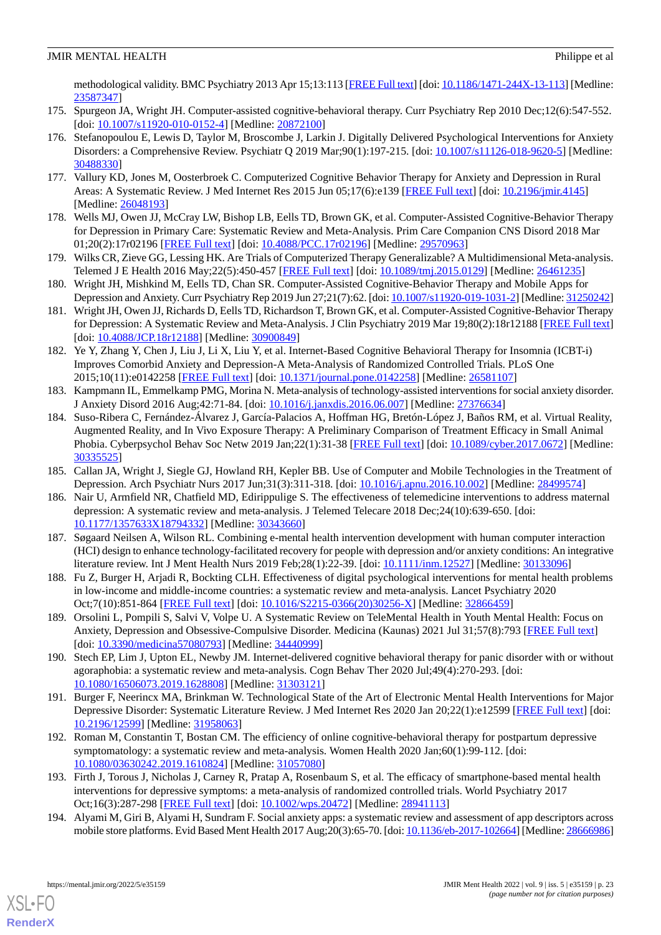methodological validity. BMC Psychiatry 2013 Apr 15;13:113 [\[FREE Full text](https://bmcpsychiatry.biomedcentral.com/articles/10.1186/1471-244X-13-113)] [doi: [10.1186/1471-244X-13-113\]](http://dx.doi.org/10.1186/1471-244X-13-113) [Medline: [23587347](http://www.ncbi.nlm.nih.gov/entrez/query.fcgi?cmd=Retrieve&db=PubMed&list_uids=23587347&dopt=Abstract)]

- <span id="page-22-13"></span>175. Spurgeon JA, Wright JH. Computer-assisted cognitive-behavioral therapy. Curr Psychiatry Rep 2010 Dec;12(6):547-552. [doi: [10.1007/s11920-010-0152-4](http://dx.doi.org/10.1007/s11920-010-0152-4)] [Medline: [20872100\]](http://www.ncbi.nlm.nih.gov/entrez/query.fcgi?cmd=Retrieve&db=PubMed&list_uids=20872100&dopt=Abstract)
- 176. Stefanopoulou E, Lewis D, Taylor M, Broscombe J, Larkin J. Digitally Delivered Psychological Interventions for Anxiety Disorders: a Comprehensive Review. Psychiatr Q 2019 Mar;90(1):197-215. [doi: [10.1007/s11126-018-9620-5\]](http://dx.doi.org/10.1007/s11126-018-9620-5) [Medline: [30488330](http://www.ncbi.nlm.nih.gov/entrez/query.fcgi?cmd=Retrieve&db=PubMed&list_uids=30488330&dopt=Abstract)]
- <span id="page-22-9"></span>177. Vallury KD, Jones M, Oosterbroek C. Computerized Cognitive Behavior Therapy for Anxiety and Depression in Rural Areas: A Systematic Review. J Med Internet Res 2015 Jun 05;17(6):e139 [\[FREE Full text\]](https://www.jmir.org/2015/6/e139/) [doi: [10.2196/jmir.4145\]](http://dx.doi.org/10.2196/jmir.4145) [Medline: [26048193](http://www.ncbi.nlm.nih.gov/entrez/query.fcgi?cmd=Retrieve&db=PubMed&list_uids=26048193&dopt=Abstract)]
- <span id="page-22-10"></span>178. Wells MJ, Owen JJ, McCray LW, Bishop LB, Eells TD, Brown GK, et al. Computer-Assisted Cognitive-Behavior Therapy for Depression in Primary Care: Systematic Review and Meta-Analysis. Prim Care Companion CNS Disord 2018 Mar 01;20(2):17r02196 [[FREE Full text](http://www.psychiatrist.com/pcc/computer-assisted-cbt-for-depression-in-primary-care)] [doi: [10.4088/PCC.17r02196](http://dx.doi.org/10.4088/PCC.17r02196)] [Medline: [29570963](http://www.ncbi.nlm.nih.gov/entrez/query.fcgi?cmd=Retrieve&db=PubMed&list_uids=29570963&dopt=Abstract)]
- <span id="page-22-11"></span>179. Wilks CR, Zieve GG, Lessing HK. Are Trials of Computerized Therapy Generalizable? A Multidimensional Meta-analysis. Telemed J E Health 2016 May;22(5):450-457 [[FREE Full text](http://europepmc.org/abstract/MED/26461235)] [doi: [10.1089/tmj.2015.0129\]](http://dx.doi.org/10.1089/tmj.2015.0129) [Medline: [26461235\]](http://www.ncbi.nlm.nih.gov/entrez/query.fcgi?cmd=Retrieve&db=PubMed&list_uids=26461235&dopt=Abstract)
- 180. Wright JH, Mishkind M, Eells TD, Chan SR. Computer-Assisted Cognitive-Behavior Therapy and Mobile Apps for Depression and Anxiety. Curr Psychiatry Rep 2019 Jun 27;21(7):62. [doi: [10.1007/s11920-019-1031-2](http://dx.doi.org/10.1007/s11920-019-1031-2)] [Medline: [31250242\]](http://www.ncbi.nlm.nih.gov/entrez/query.fcgi?cmd=Retrieve&db=PubMed&list_uids=31250242&dopt=Abstract)
- <span id="page-22-7"></span>181. Wright JH, Owen JJ, Richards D, Eells TD, Richardson T, Brown GK, et al. Computer-Assisted Cognitive-Behavior Therapy for Depression: A Systematic Review and Meta-Analysis. J Clin Psychiatry 2019 Mar 19;80(2):18r12188 [[FREE Full text](http://www.psychiatrist.com/JCP/article/Pages/2019/v80/18r12188.aspx)] [doi: [10.4088/JCP.18r12188](http://dx.doi.org/10.4088/JCP.18r12188)] [Medline: [30900849\]](http://www.ncbi.nlm.nih.gov/entrez/query.fcgi?cmd=Retrieve&db=PubMed&list_uids=30900849&dopt=Abstract)
- <span id="page-22-0"></span>182. Ye Y, Zhang Y, Chen J, Liu J, Li X, Liu Y, et al. Internet-Based Cognitive Behavioral Therapy for Insomnia (ICBT-i) Improves Comorbid Anxiety and Depression-A Meta-Analysis of Randomized Controlled Trials. PLoS One 2015;10(11):e0142258 [\[FREE Full text](https://dx.plos.org/10.1371/journal.pone.0142258)] [doi: [10.1371/journal.pone.0142258\]](http://dx.doi.org/10.1371/journal.pone.0142258) [Medline: [26581107](http://www.ncbi.nlm.nih.gov/entrez/query.fcgi?cmd=Retrieve&db=PubMed&list_uids=26581107&dopt=Abstract)]
- <span id="page-22-1"></span>183. Kampmann IL, Emmelkamp PMG, Morina N. Meta-analysis of technology-assisted interventions for social anxiety disorder. J Anxiety Disord 2016 Aug;42:71-84. [doi: [10.1016/j.janxdis.2016.06.007](http://dx.doi.org/10.1016/j.janxdis.2016.06.007)] [Medline: [27376634](http://www.ncbi.nlm.nih.gov/entrez/query.fcgi?cmd=Retrieve&db=PubMed&list_uids=27376634&dopt=Abstract)]
- <span id="page-22-2"></span>184. Suso-Ribera C, Fernández-Álvarez J, García-Palacios A, Hoffman HG, Bretón-López J, Baños RM, et al. Virtual Reality, Augmented Reality, and In Vivo Exposure Therapy: A Preliminary Comparison of Treatment Efficacy in Small Animal Phobia. Cyberpsychol Behav Soc Netw 2019 Jan;22(1):31-38 [\[FREE Full text\]](http://europepmc.org/abstract/MED/30335525) [doi: [10.1089/cyber.2017.0672\]](http://dx.doi.org/10.1089/cyber.2017.0672) [Medline: [30335525](http://www.ncbi.nlm.nih.gov/entrez/query.fcgi?cmd=Retrieve&db=PubMed&list_uids=30335525&dopt=Abstract)]
- 185. Callan JA, Wright J, Siegle GJ, Howland RH, Kepler BB. Use of Computer and Mobile Technologies in the Treatment of Depression. Arch Psychiatr Nurs 2017 Jun;31(3):311-318. [doi: [10.1016/j.apnu.2016.10.002](http://dx.doi.org/10.1016/j.apnu.2016.10.002)] [Medline: [28499574](http://www.ncbi.nlm.nih.gov/entrez/query.fcgi?cmd=Retrieve&db=PubMed&list_uids=28499574&dopt=Abstract)]
- <span id="page-22-3"></span>186. Nair U, Armfield NR, Chatfield MD, Edirippulige S. The effectiveness of telemedicine interventions to address maternal depression: A systematic review and meta-analysis. J Telemed Telecare 2018 Dec;24(10):639-650. [doi: [10.1177/1357633X18794332](http://dx.doi.org/10.1177/1357633X18794332)] [Medline: [30343660\]](http://www.ncbi.nlm.nih.gov/entrez/query.fcgi?cmd=Retrieve&db=PubMed&list_uids=30343660&dopt=Abstract)
- <span id="page-22-8"></span>187. Søgaard Neilsen A, Wilson RL. Combining e-mental health intervention development with human computer interaction (HCI) design to enhance technology-facilitated recovery for people with depression and/or anxiety conditions: An integrative literature review. Int J Ment Health Nurs 2019 Feb;28(1):22-39. [doi: [10.1111/inm.12527\]](http://dx.doi.org/10.1111/inm.12527) [Medline: [30133096](http://www.ncbi.nlm.nih.gov/entrez/query.fcgi?cmd=Retrieve&db=PubMed&list_uids=30133096&dopt=Abstract)]
- 188. Fu Z, Burger H, Arjadi R, Bockting CLH. Effectiveness of digital psychological interventions for mental health problems in low-income and middle-income countries: a systematic review and meta-analysis. Lancet Psychiatry 2020 Oct;7(10):851-864 [\[FREE Full text\]](http://europepmc.org/abstract/MED/32866459) [doi: [10.1016/S2215-0366\(20\)30256-X](http://dx.doi.org/10.1016/S2215-0366(20)30256-X)] [Medline: [32866459](http://www.ncbi.nlm.nih.gov/entrez/query.fcgi?cmd=Retrieve&db=PubMed&list_uids=32866459&dopt=Abstract)]
- <span id="page-22-4"></span>189. Orsolini L, Pompili S, Salvi V, Volpe U. A Systematic Review on TeleMental Health in Youth Mental Health: Focus on Anxiety, Depression and Obsessive-Compulsive Disorder. Medicina (Kaunas) 2021 Jul 31;57(8):793 [\[FREE Full text](https://www.mdpi.com/resolver?pii=medicina57080793)] [doi: [10.3390/medicina57080793\]](http://dx.doi.org/10.3390/medicina57080793) [Medline: [34440999\]](http://www.ncbi.nlm.nih.gov/entrez/query.fcgi?cmd=Retrieve&db=PubMed&list_uids=34440999&dopt=Abstract)
- <span id="page-22-6"></span>190. Stech EP, Lim J, Upton EL, Newby JM. Internet-delivered cognitive behavioral therapy for panic disorder with or without agoraphobia: a systematic review and meta-analysis. Cogn Behav Ther 2020 Jul;49(4):270-293. [doi: [10.1080/16506073.2019.1628808\]](http://dx.doi.org/10.1080/16506073.2019.1628808) [Medline: [31303121\]](http://www.ncbi.nlm.nih.gov/entrez/query.fcgi?cmd=Retrieve&db=PubMed&list_uids=31303121&dopt=Abstract)
- <span id="page-22-5"></span>191. Burger F, Neerincx MA, Brinkman W. Technological State of the Art of Electronic Mental Health Interventions for Major Depressive Disorder: Systematic Literature Review. J Med Internet Res 2020 Jan 20;22(1):e12599 [\[FREE Full text\]](https://www.jmir.org/2020/1/e12599/) [doi: [10.2196/12599\]](http://dx.doi.org/10.2196/12599) [Medline: [31958063\]](http://www.ncbi.nlm.nih.gov/entrez/query.fcgi?cmd=Retrieve&db=PubMed&list_uids=31958063&dopt=Abstract)
- <span id="page-22-12"></span>192. Roman M, Constantin T, Bostan CM. The efficiency of online cognitive-behavioral therapy for postpartum depressive symptomatology: a systematic review and meta-analysis. Women Health 2020 Jan;60(1):99-112. [doi: [10.1080/03630242.2019.1610824\]](http://dx.doi.org/10.1080/03630242.2019.1610824) [Medline: [31057080\]](http://www.ncbi.nlm.nih.gov/entrez/query.fcgi?cmd=Retrieve&db=PubMed&list_uids=31057080&dopt=Abstract)
- 193. Firth J, Torous J, Nicholas J, Carney R, Pratap A, Rosenbaum S, et al. The efficacy of smartphone-based mental health interventions for depressive symptoms: a meta-analysis of randomized controlled trials. World Psychiatry 2017 Oct;16(3):287-298 [\[FREE Full text\]](https://doi.org/10.1002/wps.20472) [doi: [10.1002/wps.20472\]](http://dx.doi.org/10.1002/wps.20472) [Medline: [28941113\]](http://www.ncbi.nlm.nih.gov/entrez/query.fcgi?cmd=Retrieve&db=PubMed&list_uids=28941113&dopt=Abstract)
- 194. Alyami M, Giri B, Alyami H, Sundram F. Social anxiety apps: a systematic review and assessment of app descriptors across mobile store platforms. Evid Based Ment Health 2017 Aug;20(3):65-70. [doi: [10.1136/eb-2017-102664](http://dx.doi.org/10.1136/eb-2017-102664)] [Medline: [28666986\]](http://www.ncbi.nlm.nih.gov/entrez/query.fcgi?cmd=Retrieve&db=PubMed&list_uids=28666986&dopt=Abstract)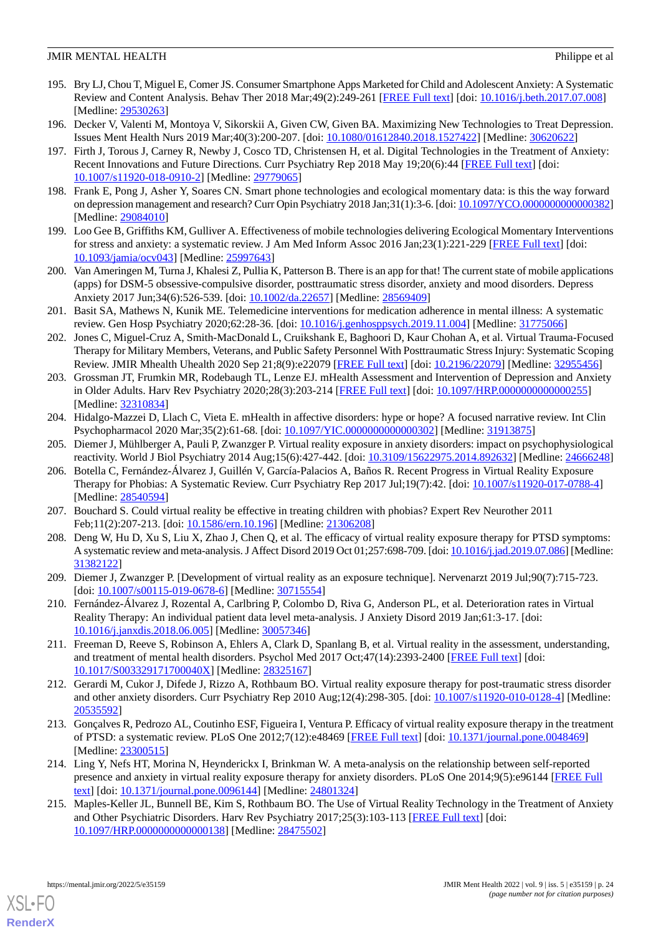- 195. Bry LJ, Chou T, Miguel E, Comer JS. Consumer Smartphone Apps Marketed for Child and Adolescent Anxiety: A Systematic Review and Content Analysis. Behav Ther 2018 Mar;49(2):249-261 [[FREE Full text](http://europepmc.org/abstract/MED/29530263)] [doi: [10.1016/j.beth.2017.07.008\]](http://dx.doi.org/10.1016/j.beth.2017.07.008) [Medline: [29530263](http://www.ncbi.nlm.nih.gov/entrez/query.fcgi?cmd=Retrieve&db=PubMed&list_uids=29530263&dopt=Abstract)]
- <span id="page-23-6"></span>196. Decker V, Valenti M, Montoya V, Sikorskii A, Given CW, Given BA. Maximizing New Technologies to Treat Depression. Issues Ment Health Nurs 2019 Mar;40(3):200-207. [doi: [10.1080/01612840.2018.1527422\]](http://dx.doi.org/10.1080/01612840.2018.1527422) [Medline: [30620622](http://www.ncbi.nlm.nih.gov/entrez/query.fcgi?cmd=Retrieve&db=PubMed&list_uids=30620622&dopt=Abstract)]
- 197. Firth J, Torous J, Carney R, Newby J, Cosco TD, Christensen H, et al. Digital Technologies in the Treatment of Anxiety: Recent Innovations and Future Directions. Curr Psychiatry Rep 2018 May 19;20(6):44 [[FREE Full text](http://europepmc.org/abstract/MED/29779065)] [doi: [10.1007/s11920-018-0910-2\]](http://dx.doi.org/10.1007/s11920-018-0910-2) [Medline: [29779065](http://www.ncbi.nlm.nih.gov/entrez/query.fcgi?cmd=Retrieve&db=PubMed&list_uids=29779065&dopt=Abstract)]
- <span id="page-23-5"></span><span id="page-23-4"></span>198. Frank E, Pong J, Asher Y, Soares CN. Smart phone technologies and ecological momentary data: is this the way forward on depression management and research? Curr Opin Psychiatry 2018 Jan;31(1):3-6. [doi: [10.1097/YCO.0000000000000382\]](http://dx.doi.org/10.1097/YCO.0000000000000382) [Medline: [29084010](http://www.ncbi.nlm.nih.gov/entrez/query.fcgi?cmd=Retrieve&db=PubMed&list_uids=29084010&dopt=Abstract)]
- <span id="page-23-7"></span>199. Loo Gee B, Griffiths KM, Gulliver A. Effectiveness of mobile technologies delivering Ecological Momentary Interventions for stress and anxiety: a systematic review. J Am Med Inform Assoc 2016 Jan;23(1):221-229 [[FREE Full text](http://europepmc.org/abstract/MED/25997643)] [doi: [10.1093/jamia/ocv043](http://dx.doi.org/10.1093/jamia/ocv043)] [Medline: [25997643](http://www.ncbi.nlm.nih.gov/entrez/query.fcgi?cmd=Retrieve&db=PubMed&list_uids=25997643&dopt=Abstract)]
- <span id="page-23-2"></span>200. Van Ameringen M, Turna J, Khalesi Z, Pullia K, Patterson B. There is an app for that! The current state of mobile applications (apps) for DSM-5 obsessive-compulsive disorder, posttraumatic stress disorder, anxiety and mood disorders. Depress Anxiety 2017 Jun;34(6):526-539. [doi: [10.1002/da.22657\]](http://dx.doi.org/10.1002/da.22657) [Medline: [28569409\]](http://www.ncbi.nlm.nih.gov/entrez/query.fcgi?cmd=Retrieve&db=PubMed&list_uids=28569409&dopt=Abstract)
- 201. Basit SA, Mathews N, Kunik ME. Telemedicine interventions for medication adherence in mental illness: A systematic review. Gen Hosp Psychiatry 2020;62:28-36. [doi: [10.1016/j.genhosppsych.2019.11.004](http://dx.doi.org/10.1016/j.genhosppsych.2019.11.004)] [Medline: [31775066\]](http://www.ncbi.nlm.nih.gov/entrez/query.fcgi?cmd=Retrieve&db=PubMed&list_uids=31775066&dopt=Abstract)
- 202. Jones C, Miguel-Cruz A, Smith-MacDonald L, Cruikshank E, Baghoori D, Kaur Chohan A, et al. Virtual Trauma-Focused Therapy for Military Members, Veterans, and Public Safety Personnel With Posttraumatic Stress Injury: Systematic Scoping Review. JMIR Mhealth Uhealth 2020 Sep 21;8(9):e22079 [[FREE Full text](https://mhealth.jmir.org/2020/9/e22079/)] [doi: [10.2196/22079\]](http://dx.doi.org/10.2196/22079) [Medline: [32955456](http://www.ncbi.nlm.nih.gov/entrez/query.fcgi?cmd=Retrieve&db=PubMed&list_uids=32955456&dopt=Abstract)]
- <span id="page-23-1"></span>203. Grossman JT, Frumkin MR, Rodebaugh TL, Lenze EJ. mHealth Assessment and Intervention of Depression and Anxiety in Older Adults. Harv Rev Psychiatry 2020;28(3):203-214 [[FREE Full text](http://europepmc.org/abstract/MED/32310834)] [doi: 10.1097/HRP.000000000000255] [Medline: [32310834](http://www.ncbi.nlm.nih.gov/entrez/query.fcgi?cmd=Retrieve&db=PubMed&list_uids=32310834&dopt=Abstract)]
- <span id="page-23-8"></span><span id="page-23-0"></span>204. Hidalgo-Mazzei D, Llach C, Vieta E. mHealth in affective disorders: hype or hope? A focused narrative review. Int Clin Psychopharmacol 2020 Mar;35(2):61-68. [doi: [10.1097/YIC.0000000000000302](http://dx.doi.org/10.1097/YIC.0000000000000302)] [Medline: [31913875\]](http://www.ncbi.nlm.nih.gov/entrez/query.fcgi?cmd=Retrieve&db=PubMed&list_uids=31913875&dopt=Abstract)
- 205. Diemer J, Mühlberger A, Pauli P, Zwanzger P. Virtual reality exposure in anxiety disorders: impact on psychophysiological reactivity. World J Biol Psychiatry 2014 Aug;15(6):427-442. [doi: [10.3109/15622975.2014.892632](http://dx.doi.org/10.3109/15622975.2014.892632)] [Medline: [24666248](http://www.ncbi.nlm.nih.gov/entrez/query.fcgi?cmd=Retrieve&db=PubMed&list_uids=24666248&dopt=Abstract)]
- <span id="page-23-13"></span><span id="page-23-9"></span>206. Botella C, Fernández-Álvarez J, Guillén V, García-Palacios A, Baños R. Recent Progress in Virtual Reality Exposure Therapy for Phobias: A Systematic Review. Curr Psychiatry Rep 2017 Jul;19(7):42. [doi: [10.1007/s11920-017-0788-4\]](http://dx.doi.org/10.1007/s11920-017-0788-4) [Medline: [28540594](http://www.ncbi.nlm.nih.gov/entrez/query.fcgi?cmd=Retrieve&db=PubMed&list_uids=28540594&dopt=Abstract)]
- 207. Bouchard S. Could virtual reality be effective in treating children with phobias? Expert Rev Neurother 2011 Feb;11(2):207-213. [doi: [10.1586/ern.10.196](http://dx.doi.org/10.1586/ern.10.196)] [Medline: [21306208](http://www.ncbi.nlm.nih.gov/entrez/query.fcgi?cmd=Retrieve&db=PubMed&list_uids=21306208&dopt=Abstract)]
- <span id="page-23-10"></span>208. Deng W, Hu D, Xu S, Liu X, Zhao J, Chen Q, et al. The efficacy of virtual reality exposure therapy for PTSD symptoms: A systematic review and meta-analysis. J Affect Disord 2019 Oct 01;257:698-709. [doi: [10.1016/j.jad.2019.07.086\]](http://dx.doi.org/10.1016/j.jad.2019.07.086) [Medline: [31382122](http://www.ncbi.nlm.nih.gov/entrez/query.fcgi?cmd=Retrieve&db=PubMed&list_uids=31382122&dopt=Abstract)]
- <span id="page-23-3"></span>209. Diemer J, Zwanzger P. [Development of virtual reality as an exposure technique]. Nervenarzt 2019 Jul;90(7):715-723. [doi: [10.1007/s00115-019-0678-6](http://dx.doi.org/10.1007/s00115-019-0678-6)] [Medline: [30715554\]](http://www.ncbi.nlm.nih.gov/entrez/query.fcgi?cmd=Retrieve&db=PubMed&list_uids=30715554&dopt=Abstract)
- <span id="page-23-11"></span>210. Fernández-Álvarez J, Rozental A, Carlbring P, Colombo D, Riva G, Anderson PL, et al. Deterioration rates in Virtual Reality Therapy: An individual patient data level meta-analysis. J Anxiety Disord 2019 Jan;61:3-17. [doi: [10.1016/j.janxdis.2018.06.005](http://dx.doi.org/10.1016/j.janxdis.2018.06.005)] [Medline: [30057346](http://www.ncbi.nlm.nih.gov/entrez/query.fcgi?cmd=Retrieve&db=PubMed&list_uids=30057346&dopt=Abstract)]
- 211. Freeman D, Reeve S, Robinson A, Ehlers A, Clark D, Spanlang B, et al. Virtual reality in the assessment, understanding, and treatment of mental health disorders. Psychol Med 2017 Oct;47(14):2393-2400 [\[FREE Full text\]](http://europepmc.org/abstract/MED/28325167) [doi: [10.1017/S003329171700040X\]](http://dx.doi.org/10.1017/S003329171700040X) [Medline: [28325167](http://www.ncbi.nlm.nih.gov/entrez/query.fcgi?cmd=Retrieve&db=PubMed&list_uids=28325167&dopt=Abstract)]
- 212. Gerardi M, Cukor J, Difede J, Rizzo A, Rothbaum BO. Virtual reality exposure therapy for post-traumatic stress disorder and other anxiety disorders. Curr Psychiatry Rep 2010 Aug;12(4):298-305. [doi: [10.1007/s11920-010-0128-4](http://dx.doi.org/10.1007/s11920-010-0128-4)] [Medline: [20535592](http://www.ncbi.nlm.nih.gov/entrez/query.fcgi?cmd=Retrieve&db=PubMed&list_uids=20535592&dopt=Abstract)]
- <span id="page-23-12"></span>213. Gonçalves R, Pedrozo AL, Coutinho ESF, Figueira I, Ventura P. Efficacy of virtual reality exposure therapy in the treatment of PTSD: a systematic review. PLoS One 2012;7(12):e48469 [\[FREE Full text\]](https://dx.plos.org/10.1371/journal.pone.0048469) [doi: [10.1371/journal.pone.0048469\]](http://dx.doi.org/10.1371/journal.pone.0048469) [Medline: [23300515](http://www.ncbi.nlm.nih.gov/entrez/query.fcgi?cmd=Retrieve&db=PubMed&list_uids=23300515&dopt=Abstract)]
- 214. Ling Y, Nefs HT, Morina N, Heynderickx I, Brinkman W. A meta-analysis on the relationship between self-reported presence and anxiety in virtual reality exposure therapy for anxiety disorders. PLoS One 2014;9(5):e96144 [[FREE Full](https://dx.plos.org/10.1371/journal.pone.0096144) [text](https://dx.plos.org/10.1371/journal.pone.0096144)] [doi: [10.1371/journal.pone.0096144\]](http://dx.doi.org/10.1371/journal.pone.0096144) [Medline: [24801324](http://www.ncbi.nlm.nih.gov/entrez/query.fcgi?cmd=Retrieve&db=PubMed&list_uids=24801324&dopt=Abstract)]
- 215. Maples-Keller JL, Bunnell BE, Kim S, Rothbaum BO. The Use of Virtual Reality Technology in the Treatment of Anxiety and Other Psychiatric Disorders. Harv Rev Psychiatry 2017;25(3):103-113 [[FREE Full text\]](http://europepmc.org/abstract/MED/28475502) [doi: [10.1097/HRP.0000000000000138\]](http://dx.doi.org/10.1097/HRP.0000000000000138) [Medline: [28475502](http://www.ncbi.nlm.nih.gov/entrez/query.fcgi?cmd=Retrieve&db=PubMed&list_uids=28475502&dopt=Abstract)]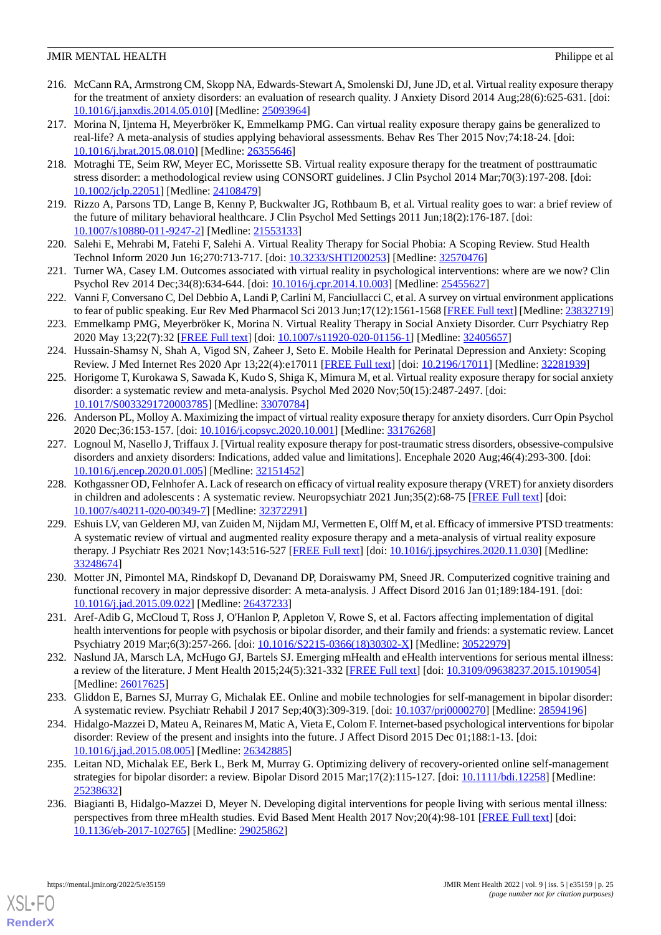- 216. McCann RA, Armstrong CM, Skopp NA, Edwards-Stewart A, Smolenski DJ, June JD, et al. Virtual reality exposure therapy for the treatment of anxiety disorders: an evaluation of research quality. J Anxiety Disord 2014 Aug;28(6):625-631. [doi: [10.1016/j.janxdis.2014.05.010](http://dx.doi.org/10.1016/j.janxdis.2014.05.010)] [Medline: [25093964](http://www.ncbi.nlm.nih.gov/entrez/query.fcgi?cmd=Retrieve&db=PubMed&list_uids=25093964&dopt=Abstract)]
- <span id="page-24-10"></span>217. Morina N, Ijntema H, Meyerbröker K, Emmelkamp PMG. Can virtual reality exposure therapy gains be generalized to real-life? A meta-analysis of studies applying behavioral assessments. Behav Res Ther 2015 Nov;74:18-24. [doi: [10.1016/j.brat.2015.08.010](http://dx.doi.org/10.1016/j.brat.2015.08.010)] [Medline: [26355646\]](http://www.ncbi.nlm.nih.gov/entrez/query.fcgi?cmd=Retrieve&db=PubMed&list_uids=26355646&dopt=Abstract)
- <span id="page-24-11"></span><span id="page-24-8"></span>218. Motraghi TE, Seim RW, Meyer EC, Morissette SB. Virtual reality exposure therapy for the treatment of posttraumatic stress disorder: a methodological review using CONSORT guidelines. J Clin Psychol 2014 Mar;70(3):197-208. [doi: [10.1002/jclp.22051](http://dx.doi.org/10.1002/jclp.22051)] [Medline: [24108479](http://www.ncbi.nlm.nih.gov/entrez/query.fcgi?cmd=Retrieve&db=PubMed&list_uids=24108479&dopt=Abstract)]
- <span id="page-24-12"></span>219. Rizzo A, Parsons TD, Lange B, Kenny P, Buckwalter JG, Rothbaum B, et al. Virtual reality goes to war: a brief review of the future of military behavioral healthcare. J Clin Psychol Med Settings 2011 Jun;18(2):176-187. [doi: [10.1007/s10880-011-9247-2\]](http://dx.doi.org/10.1007/s10880-011-9247-2) [Medline: [21553133](http://www.ncbi.nlm.nih.gov/entrez/query.fcgi?cmd=Retrieve&db=PubMed&list_uids=21553133&dopt=Abstract)]
- <span id="page-24-7"></span>220. Salehi E, Mehrabi M, Fatehi F, Salehi A. Virtual Reality Therapy for Social Phobia: A Scoping Review. Stud Health Technol Inform 2020 Jun 16;270:713-717. [doi: [10.3233/SHTI200253](http://dx.doi.org/10.3233/SHTI200253)] [Medline: [32570476\]](http://www.ncbi.nlm.nih.gov/entrez/query.fcgi?cmd=Retrieve&db=PubMed&list_uids=32570476&dopt=Abstract)
- <span id="page-24-9"></span>221. Turner WA, Casey LM. Outcomes associated with virtual reality in psychological interventions: where are we now? Clin Psychol Rev 2014 Dec;34(8):634-644. [doi: [10.1016/j.cpr.2014.10.003\]](http://dx.doi.org/10.1016/j.cpr.2014.10.003) [Medline: [25455627\]](http://www.ncbi.nlm.nih.gov/entrez/query.fcgi?cmd=Retrieve&db=PubMed&list_uids=25455627&dopt=Abstract)
- 222. Vanni F, Conversano C, Del Debbio A, Landi P, Carlini M, Fanciullacci C, et al. A survey on virtual environment applications to fear of public speaking. Eur Rev Med Pharmacol Sci 2013 Jun;17(12):1561-1568 [[FREE Full text](http://www.europeanreview.org/article/4450)] [Medline: [23832719](http://www.ncbi.nlm.nih.gov/entrez/query.fcgi?cmd=Retrieve&db=PubMed&list_uids=23832719&dopt=Abstract)]
- 223. Emmelkamp PMG, Meyerbröker K, Morina N. Virtual Reality Therapy in Social Anxiety Disorder. Curr Psychiatry Rep 2020 May 13;22(7):32 [[FREE Full text](http://europepmc.org/abstract/MED/32405657)] [doi: [10.1007/s11920-020-01156-1\]](http://dx.doi.org/10.1007/s11920-020-01156-1) [Medline: [32405657\]](http://www.ncbi.nlm.nih.gov/entrez/query.fcgi?cmd=Retrieve&db=PubMed&list_uids=32405657&dopt=Abstract)
- 224. Hussain-Shamsy N, Shah A, Vigod SN, Zaheer J, Seto E. Mobile Health for Perinatal Depression and Anxiety: Scoping Review. J Med Internet Res 2020 Apr 13;22(4):e17011 [\[FREE Full text\]](https://www.jmir.org/2020/4/e17011/) [doi: [10.2196/17011](http://dx.doi.org/10.2196/17011)] [Medline: [32281939\]](http://www.ncbi.nlm.nih.gov/entrez/query.fcgi?cmd=Retrieve&db=PubMed&list_uids=32281939&dopt=Abstract)
- 225. Horigome T, Kurokawa S, Sawada K, Kudo S, Shiga K, Mimura M, et al. Virtual reality exposure therapy for social anxiety disorder: a systematic review and meta-analysis. Psychol Med 2020 Nov;50(15):2487-2497. [doi: [10.1017/S0033291720003785](http://dx.doi.org/10.1017/S0033291720003785)] [Medline: [33070784](http://www.ncbi.nlm.nih.gov/entrez/query.fcgi?cmd=Retrieve&db=PubMed&list_uids=33070784&dopt=Abstract)]
- 226. Anderson PL, Molloy A. Maximizing the impact of virtual reality exposure therapy for anxiety disorders. Curr Opin Psychol 2020 Dec;36:153-157. [doi: [10.1016/j.copsyc.2020.10.001](http://dx.doi.org/10.1016/j.copsyc.2020.10.001)] [Medline: [33176268](http://www.ncbi.nlm.nih.gov/entrez/query.fcgi?cmd=Retrieve&db=PubMed&list_uids=33176268&dopt=Abstract)]
- 227. Lognoul M, Nasello J, Triffaux J. [Virtual reality exposure therapy for post-traumatic stress disorders, obsessive-compulsive disorders and anxiety disorders: Indications, added value and limitations]. Encephale 2020 Aug;46(4):293-300. [doi: [10.1016/j.encep.2020.01.005\]](http://dx.doi.org/10.1016/j.encep.2020.01.005) [Medline: [32151452\]](http://www.ncbi.nlm.nih.gov/entrez/query.fcgi?cmd=Retrieve&db=PubMed&list_uids=32151452&dopt=Abstract)
- <span id="page-24-1"></span>228. Kothgassner OD, Felnhofer A. Lack of research on efficacy of virtual reality exposure therapy (VRET) for anxiety disorders in children and adolescents : A systematic review. Neuropsychiatr 2021 Jun;35(2):68-75 [\[FREE Full text\]](http://europepmc.org/abstract/MED/32372291) [doi: [10.1007/s40211-020-00349-7\]](http://dx.doi.org/10.1007/s40211-020-00349-7) [Medline: [32372291\]](http://www.ncbi.nlm.nih.gov/entrez/query.fcgi?cmd=Retrieve&db=PubMed&list_uids=32372291&dopt=Abstract)
- <span id="page-24-0"></span>229. Eshuis LV, van Gelderen MJ, van Zuiden M, Nijdam MJ, Vermetten E, Olff M, et al. Efficacy of immersive PTSD treatments: A systematic review of virtual and augmented reality exposure therapy and a meta-analysis of virtual reality exposure therapy. J Psychiatr Res 2021 Nov;143:516-527 [[FREE Full text](https://linkinghub.elsevier.com/retrieve/pii/S0022-3956(20)31089-X)] [doi: [10.1016/j.jpsychires.2020.11.030\]](http://dx.doi.org/10.1016/j.jpsychires.2020.11.030) [Medline: [33248674](http://www.ncbi.nlm.nih.gov/entrez/query.fcgi?cmd=Retrieve&db=PubMed&list_uids=33248674&dopt=Abstract)]
- <span id="page-24-6"></span><span id="page-24-2"></span>230. Motter JN, Pimontel MA, Rindskopf D, Devanand DP, Doraiswamy PM, Sneed JR. Computerized cognitive training and functional recovery in major depressive disorder: A meta-analysis. J Affect Disord 2016 Jan 01;189:184-191. [doi: [10.1016/j.jad.2015.09.022\]](http://dx.doi.org/10.1016/j.jad.2015.09.022) [Medline: [26437233\]](http://www.ncbi.nlm.nih.gov/entrez/query.fcgi?cmd=Retrieve&db=PubMed&list_uids=26437233&dopt=Abstract)
- <span id="page-24-5"></span>231. Aref-Adib G, McCloud T, Ross J, O'Hanlon P, Appleton V, Rowe S, et al. Factors affecting implementation of digital health interventions for people with psychosis or bipolar disorder, and their family and friends: a systematic review. Lancet Psychiatry 2019 Mar;6(3):257-266. [doi: [10.1016/S2215-0366\(18\)30302-X\]](http://dx.doi.org/10.1016/S2215-0366(18)30302-X) [Medline: [30522979](http://www.ncbi.nlm.nih.gov/entrez/query.fcgi?cmd=Retrieve&db=PubMed&list_uids=30522979&dopt=Abstract)]
- 232. Naslund JA, Marsch LA, McHugo GJ, Bartels SJ. Emerging mHealth and eHealth interventions for serious mental illness: a review of the literature. J Ment Health 2015;24(5):321-332 [[FREE Full text](http://europepmc.org/abstract/MED/26017625)] [doi: [10.3109/09638237.2015.1019054\]](http://dx.doi.org/10.3109/09638237.2015.1019054) [Medline: [26017625](http://www.ncbi.nlm.nih.gov/entrez/query.fcgi?cmd=Retrieve&db=PubMed&list_uids=26017625&dopt=Abstract)]
- <span id="page-24-4"></span>233. Gliddon E, Barnes SJ, Murray G, Michalak EE. Online and mobile technologies for self-management in bipolar disorder: A systematic review. Psychiatr Rehabil J 2017 Sep;40(3):309-319. [doi: [10.1037/prj0000270\]](http://dx.doi.org/10.1037/prj0000270) [Medline: [28594196](http://www.ncbi.nlm.nih.gov/entrez/query.fcgi?cmd=Retrieve&db=PubMed&list_uids=28594196&dopt=Abstract)]
- <span id="page-24-3"></span>234. Hidalgo-Mazzei D, Mateu A, Reinares M, Matic A, Vieta E, Colom F. Internet-based psychological interventions for bipolar disorder: Review of the present and insights into the future. J Affect Disord 2015 Dec 01;188:1-13. [doi: [10.1016/j.jad.2015.08.005\]](http://dx.doi.org/10.1016/j.jad.2015.08.005) [Medline: [26342885\]](http://www.ncbi.nlm.nih.gov/entrez/query.fcgi?cmd=Retrieve&db=PubMed&list_uids=26342885&dopt=Abstract)
- 235. Leitan ND, Michalak EE, Berk L, Berk M, Murray G. Optimizing delivery of recovery-oriented online self-management strategies for bipolar disorder: a review. Bipolar Disord 2015 Mar;17(2):115-127. [doi: [10.1111/bdi.12258\]](http://dx.doi.org/10.1111/bdi.12258) [Medline: [25238632](http://www.ncbi.nlm.nih.gov/entrez/query.fcgi?cmd=Retrieve&db=PubMed&list_uids=25238632&dopt=Abstract)]
- 236. Biagianti B, Hidalgo-Mazzei D, Meyer N. Developing digital interventions for people living with serious mental illness: perspectives from three mHealth studies. Evid Based Ment Health 2017 Nov;20(4):98-101 [\[FREE Full text\]](http://europepmc.org/abstract/MED/29025862) [doi: [10.1136/eb-2017-102765\]](http://dx.doi.org/10.1136/eb-2017-102765) [Medline: [29025862\]](http://www.ncbi.nlm.nih.gov/entrez/query.fcgi?cmd=Retrieve&db=PubMed&list_uids=29025862&dopt=Abstract)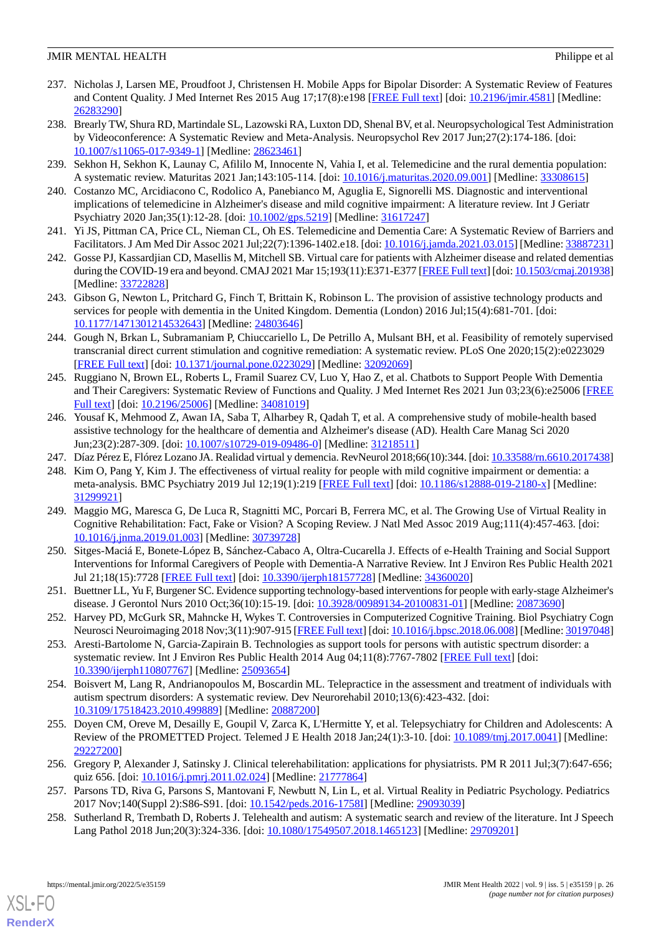- <span id="page-25-0"></span>237. Nicholas J, Larsen ME, Proudfoot J, Christensen H. Mobile Apps for Bipolar Disorder: A Systematic Review of Features and Content Quality. J Med Internet Res 2015 Aug 17;17(8):e198 [\[FREE Full text](https://www.jmir.org/2015/8/e198/)] [doi: [10.2196/jmir.4581](http://dx.doi.org/10.2196/jmir.4581)] [Medline: [26283290](http://www.ncbi.nlm.nih.gov/entrez/query.fcgi?cmd=Retrieve&db=PubMed&list_uids=26283290&dopt=Abstract)]
- <span id="page-25-8"></span>238. Brearly TW, Shura RD, Martindale SL, Lazowski RA, Luxton DD, Shenal BV, et al. Neuropsychological Test Administration by Videoconference: A Systematic Review and Meta-Analysis. Neuropsychol Rev 2017 Jun;27(2):174-186. [doi: [10.1007/s11065-017-9349-1\]](http://dx.doi.org/10.1007/s11065-017-9349-1) [Medline: [28623461](http://www.ncbi.nlm.nih.gov/entrez/query.fcgi?cmd=Retrieve&db=PubMed&list_uids=28623461&dopt=Abstract)]
- <span id="page-25-1"></span>239. Sekhon H, Sekhon K, Launay C, Afililo M, Innocente N, Vahia I, et al. Telemedicine and the rural dementia population: A systematic review. Maturitas 2021 Jan;143:105-114. [doi: [10.1016/j.maturitas.2020.09.001](http://dx.doi.org/10.1016/j.maturitas.2020.09.001)] [Medline: [33308615](http://www.ncbi.nlm.nih.gov/entrez/query.fcgi?cmd=Retrieve&db=PubMed&list_uids=33308615&dopt=Abstract)]
- 240. Costanzo MC, Arcidiacono C, Rodolico A, Panebianco M, Aguglia E, Signorelli MS. Diagnostic and interventional implications of telemedicine in Alzheimer's disease and mild cognitive impairment: A literature review. Int J Geriatr Psychiatry 2020 Jan;35(1):12-28. [doi: [10.1002/gps.5219\]](http://dx.doi.org/10.1002/gps.5219) [Medline: [31617247\]](http://www.ncbi.nlm.nih.gov/entrez/query.fcgi?cmd=Retrieve&db=PubMed&list_uids=31617247&dopt=Abstract)
- <span id="page-25-2"></span>241. Yi JS, Pittman CA, Price CL, Nieman CL, Oh ES. Telemedicine and Dementia Care: A Systematic Review of Barriers and Facilitators. J Am Med Dir Assoc 2021 Jul;22(7):1396-1402.e18. [doi: [10.1016/j.jamda.2021.03.015](http://dx.doi.org/10.1016/j.jamda.2021.03.015)] [Medline: [33887231\]](http://www.ncbi.nlm.nih.gov/entrez/query.fcgi?cmd=Retrieve&db=PubMed&list_uids=33887231&dopt=Abstract)
- <span id="page-25-16"></span>242. Gosse PJ, Kassardjian CD, Masellis M, Mitchell SB. Virtual care for patients with Alzheimer disease and related dementias during the COVID-19 era and beyond. CMAJ 2021 Mar 15;193(11):E371-E377 [\[FREE Full text](http://www.cmaj.ca/cgi/pmidlookup?view=long&pmid=33722828)] [doi: [10.1503/cmaj.201938\]](http://dx.doi.org/10.1503/cmaj.201938) [Medline: [33722828](http://www.ncbi.nlm.nih.gov/entrez/query.fcgi?cmd=Retrieve&db=PubMed&list_uids=33722828&dopt=Abstract)]
- <span id="page-25-13"></span>243. Gibson G, Newton L, Pritchard G, Finch T, Brittain K, Robinson L. The provision of assistive technology products and services for people with dementia in the United Kingdom. Dementia (London) 2016 Jul;15(4):681-701. [doi: [10.1177/1471301214532643\]](http://dx.doi.org/10.1177/1471301214532643) [Medline: [24803646\]](http://www.ncbi.nlm.nih.gov/entrez/query.fcgi?cmd=Retrieve&db=PubMed&list_uids=24803646&dopt=Abstract)
- <span id="page-25-9"></span>244. Gough N, Brkan L, Subramaniam P, Chiuccariello L, De Petrillo A, Mulsant BH, et al. Feasibility of remotely supervised transcranial direct current stimulation and cognitive remediation: A systematic review. PLoS One 2020;15(2):e0223029 [[FREE Full text](https://dx.plos.org/10.1371/journal.pone.0223029)] [doi: [10.1371/journal.pone.0223029](http://dx.doi.org/10.1371/journal.pone.0223029)] [Medline: [32092069](http://www.ncbi.nlm.nih.gov/entrez/query.fcgi?cmd=Retrieve&db=PubMed&list_uids=32092069&dopt=Abstract)]
- <span id="page-25-7"></span>245. Ruggiano N, Brown EL, Roberts L, Framil Suarez CV, Luo Y, Hao Z, et al. Chatbots to Support People With Dementia and Their Caregivers: Systematic Review of Functions and Quality. J Med Internet Res 2021 Jun 03;23(6):e25006 [\[FREE](https://www.jmir.org/2021/6/e25006/) [Full text\]](https://www.jmir.org/2021/6/e25006/) [doi: [10.2196/25006\]](http://dx.doi.org/10.2196/25006) [Medline: [34081019](http://www.ncbi.nlm.nih.gov/entrez/query.fcgi?cmd=Retrieve&db=PubMed&list_uids=34081019&dopt=Abstract)]
- <span id="page-25-11"></span><span id="page-25-5"></span>246. Yousaf K, Mehmood Z, Awan IA, Saba T, Alharbey R, Qadah T, et al. A comprehensive study of mobile-health based assistive technology for the healthcare of dementia and Alzheimer's disease (AD). Health Care Manag Sci 2020 Jun;23(2):287-309. [doi: [10.1007/s10729-019-09486-0](http://dx.doi.org/10.1007/s10729-019-09486-0)] [Medline: [31218511](http://www.ncbi.nlm.nih.gov/entrez/query.fcgi?cmd=Retrieve&db=PubMed&list_uids=31218511&dopt=Abstract)]
- <span id="page-25-6"></span>247. Díaz Pérez E, Flórez Lozano JA. Realidad virtual y demencia. RevNeurol 2018;66(10):344. [doi: [10.33588/rn.6610.2017438\]](http://dx.doi.org/10.33588/rn.6610.2017438)
- 248. Kim O, Pang Y, Kim J. The effectiveness of virtual reality for people with mild cognitive impairment or dementia: a meta-analysis. BMC Psychiatry 2019 Jul 12;19(1):219 [[FREE Full text](https://bmcpsychiatry.biomedcentral.com/articles/10.1186/s12888-019-2180-x)] [doi: [10.1186/s12888-019-2180-x](http://dx.doi.org/10.1186/s12888-019-2180-x)] [Medline: [31299921](http://www.ncbi.nlm.nih.gov/entrez/query.fcgi?cmd=Retrieve&db=PubMed&list_uids=31299921&dopt=Abstract)]
- <span id="page-25-3"></span>249. Maggio MG, Maresca G, De Luca R, Stagnitti MC, Porcari B, Ferrera MC, et al. The Growing Use of Virtual Reality in Cognitive Rehabilitation: Fact, Fake or Vision? A Scoping Review. J Natl Med Assoc 2019 Aug;111(4):457-463. [doi: [10.1016/j.jnma.2019.01.003\]](http://dx.doi.org/10.1016/j.jnma.2019.01.003) [Medline: [30739728](http://www.ncbi.nlm.nih.gov/entrez/query.fcgi?cmd=Retrieve&db=PubMed&list_uids=30739728&dopt=Abstract)]
- <span id="page-25-15"></span><span id="page-25-4"></span>250. Sitges-Maciá E, Bonete-López B, Sánchez-Cabaco A, Oltra-Cucarella J. Effects of e-Health Training and Social Support Interventions for Informal Caregivers of People with Dementia-A Narrative Review. Int J Environ Res Public Health 2021 Jul 21;18(15):7728 [[FREE Full text](https://www.mdpi.com/resolver?pii=ijerph18157728)] [doi: [10.3390/ijerph18157728\]](http://dx.doi.org/10.3390/ijerph18157728) [Medline: [34360020\]](http://www.ncbi.nlm.nih.gov/entrez/query.fcgi?cmd=Retrieve&db=PubMed&list_uids=34360020&dopt=Abstract)
- <span id="page-25-10"></span>251. Buettner LL, Yu F, Burgener SC. Evidence supporting technology-based interventions for people with early-stage Alzheimer's disease. J Gerontol Nurs 2010 Oct;36(10):15-19. [doi: [10.3928/00989134-20100831-01\]](http://dx.doi.org/10.3928/00989134-20100831-01) [Medline: [20873690](http://www.ncbi.nlm.nih.gov/entrez/query.fcgi?cmd=Retrieve&db=PubMed&list_uids=20873690&dopt=Abstract)]
- 252. Harvey PD, McGurk SR, Mahncke H, Wykes T. Controversies in Computerized Cognitive Training. Biol Psychiatry Cogn Neurosci Neuroimaging 2018 Nov;3(11):907-915 [[FREE Full text\]](https://linkinghub.elsevier.com/retrieve/pii/S2451-9022(18)30159-9) [doi: [10.1016/j.bpsc.2018.06.008](http://dx.doi.org/10.1016/j.bpsc.2018.06.008)] [Medline: [30197048\]](http://www.ncbi.nlm.nih.gov/entrez/query.fcgi?cmd=Retrieve&db=PubMed&list_uids=30197048&dopt=Abstract)
- 253. Aresti-Bartolome N, Garcia-Zapirain B. Technologies as support tools for persons with autistic spectrum disorder: a systematic review. Int J Environ Res Public Health 2014 Aug 04;11(8):7767-7802 [[FREE Full text](https://www.mdpi.com/resolver?pii=ijerph110807767)] [doi: [10.3390/ijerph110807767](http://dx.doi.org/10.3390/ijerph110807767)] [Medline: [25093654\]](http://www.ncbi.nlm.nih.gov/entrez/query.fcgi?cmd=Retrieve&db=PubMed&list_uids=25093654&dopt=Abstract)
- 254. Boisvert M, Lang R, Andrianopoulos M, Boscardin ML. Telepractice in the assessment and treatment of individuals with autism spectrum disorders: A systematic review. Dev Neurorehabil 2010;13(6):423-432. [doi: [10.3109/17518423.2010.499889\]](http://dx.doi.org/10.3109/17518423.2010.499889) [Medline: [20887200\]](http://www.ncbi.nlm.nih.gov/entrez/query.fcgi?cmd=Retrieve&db=PubMed&list_uids=20887200&dopt=Abstract)
- <span id="page-25-14"></span><span id="page-25-12"></span>255. Doyen CM, Oreve M, Desailly E, Goupil V, Zarca K, L'Hermitte Y, et al. Telepsychiatry for Children and Adolescents: A Review of the PROMETTED Project. Telemed J E Health 2018 Jan;24(1):3-10. [doi: [10.1089/tmj.2017.0041](http://dx.doi.org/10.1089/tmj.2017.0041)] [Medline: [29227200](http://www.ncbi.nlm.nih.gov/entrez/query.fcgi?cmd=Retrieve&db=PubMed&list_uids=29227200&dopt=Abstract)]
- 256. Gregory P, Alexander J, Satinsky J. Clinical telerehabilitation: applications for physiatrists. PM R 2011 Jul;3(7):647-656; quiz 656. [doi: [10.1016/j.pmrj.2011.02.024\]](http://dx.doi.org/10.1016/j.pmrj.2011.02.024) [Medline: [21777864](http://www.ncbi.nlm.nih.gov/entrez/query.fcgi?cmd=Retrieve&db=PubMed&list_uids=21777864&dopt=Abstract)]
- 257. Parsons TD, Riva G, Parsons S, Mantovani F, Newbutt N, Lin L, et al. Virtual Reality in Pediatric Psychology. Pediatrics 2017 Nov;140(Suppl 2):S86-S91. [doi: [10.1542/peds.2016-1758I\]](http://dx.doi.org/10.1542/peds.2016-1758I) [Medline: [29093039\]](http://www.ncbi.nlm.nih.gov/entrez/query.fcgi?cmd=Retrieve&db=PubMed&list_uids=29093039&dopt=Abstract)
- 258. Sutherland R, Trembath D, Roberts J. Telehealth and autism: A systematic search and review of the literature. Int J Speech Lang Pathol 2018 Jun;20(3):324-336. [doi: [10.1080/17549507.2018.1465123](http://dx.doi.org/10.1080/17549507.2018.1465123)] [Medline: [29709201\]](http://www.ncbi.nlm.nih.gov/entrez/query.fcgi?cmd=Retrieve&db=PubMed&list_uids=29709201&dopt=Abstract)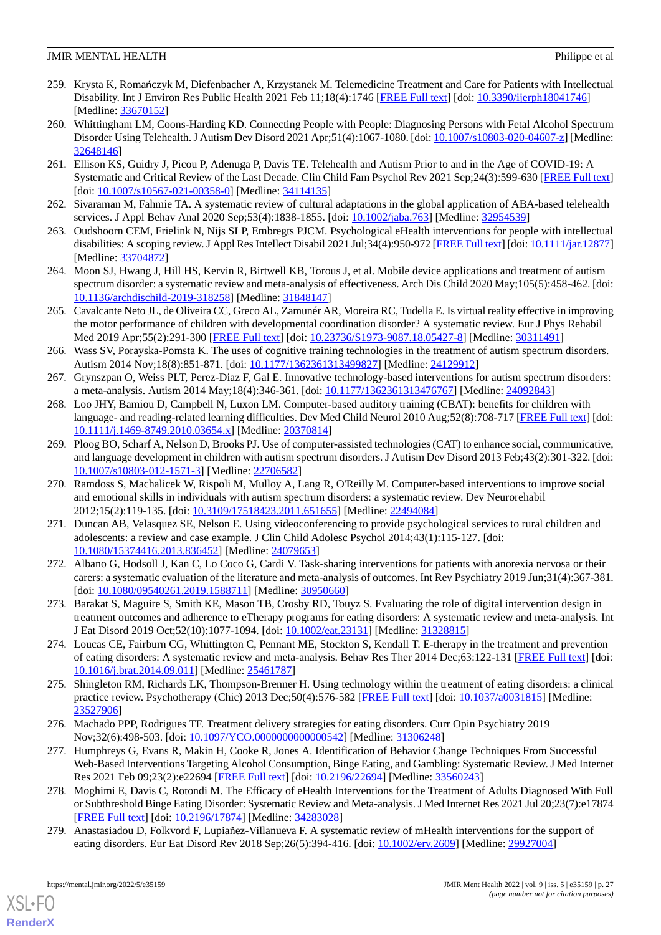- 259. Krysta K, Romańczyk M, Diefenbacher A, Krzystanek M. Telemedicine Treatment and Care for Patients with Intellectual Disability. Int J Environ Res Public Health 2021 Feb 11;18(4):1746 [\[FREE Full text\]](https://www.mdpi.com/resolver?pii=ijerph18041746) [doi: [10.3390/ijerph18041746\]](http://dx.doi.org/10.3390/ijerph18041746) [Medline: [33670152](http://www.ncbi.nlm.nih.gov/entrez/query.fcgi?cmd=Retrieve&db=PubMed&list_uids=33670152&dopt=Abstract)]
- 260. Whittingham LM, Coons-Harding KD. Connecting People with People: Diagnosing Persons with Fetal Alcohol Spectrum Disorder Using Telehealth. J Autism Dev Disord 2021 Apr;51(4):1067-1080. [doi: [10.1007/s10803-020-04607-z](http://dx.doi.org/10.1007/s10803-020-04607-z)] [Medline: [32648146](http://www.ncbi.nlm.nih.gov/entrez/query.fcgi?cmd=Retrieve&db=PubMed&list_uids=32648146&dopt=Abstract)]
- 261. Ellison KS, Guidry J, Picou P, Adenuga P, Davis TE. Telehealth and Autism Prior to and in the Age of COVID-19: A Systematic and Critical Review of the Last Decade. Clin Child Fam Psychol Rev 2021 Sep;24(3):599-630 [[FREE Full text](http://europepmc.org/abstract/MED/34114135)] [doi: [10.1007/s10567-021-00358-0](http://dx.doi.org/10.1007/s10567-021-00358-0)] [Medline: [34114135\]](http://www.ncbi.nlm.nih.gov/entrez/query.fcgi?cmd=Retrieve&db=PubMed&list_uids=34114135&dopt=Abstract)
- <span id="page-26-5"></span>262. Sivaraman M, Fahmie TA. A systematic review of cultural adaptations in the global application of ABA-based telehealth services. J Appl Behav Anal 2020 Sep;53(4):1838-1855. [doi: [10.1002/jaba.763](http://dx.doi.org/10.1002/jaba.763)] [Medline: [32954539](http://www.ncbi.nlm.nih.gov/entrez/query.fcgi?cmd=Retrieve&db=PubMed&list_uids=32954539&dopt=Abstract)]
- <span id="page-26-4"></span>263. Oudshoorn CEM, Frielink N, Nijs SLP, Embregts PJCM. Psychological eHealth interventions for people with intellectual disabilities: A scoping review. J Appl Res Intellect Disabil 2021 Jul;34(4):950-972 [\[FREE Full text\]](http://europepmc.org/abstract/MED/33704872) [doi: [10.1111/jar.12877\]](http://dx.doi.org/10.1111/jar.12877) [Medline: [33704872](http://www.ncbi.nlm.nih.gov/entrez/query.fcgi?cmd=Retrieve&db=PubMed&list_uids=33704872&dopt=Abstract)]
- <span id="page-26-2"></span>264. Moon SJ, Hwang J, Hill HS, Kervin R, Birtwell KB, Torous J, et al. Mobile device applications and treatment of autism spectrum disorder: a systematic review and meta-analysis of effectiveness. Arch Dis Child 2020 May;105(5):458-462. [doi: [10.1136/archdischild-2019-318258](http://dx.doi.org/10.1136/archdischild-2019-318258)] [Medline: [31848147](http://www.ncbi.nlm.nih.gov/entrez/query.fcgi?cmd=Retrieve&db=PubMed&list_uids=31848147&dopt=Abstract)]
- <span id="page-26-3"></span>265. Cavalcante Neto JL, de Oliveira CC, Greco AL, Zamunér AR, Moreira RC, Tudella E. Is virtual reality effective in improving the motor performance of children with developmental coordination disorder? A systematic review. Eur J Phys Rehabil Med 2019 Apr;55(2):291-300 [[FREE Full text](https://www.minervamedica.it/index2.t?show=R33Y2019N02A0291)] [doi: [10.23736/S1973-9087.18.05427-8\]](http://dx.doi.org/10.23736/S1973-9087.18.05427-8) [Medline: [30311491\]](http://www.ncbi.nlm.nih.gov/entrez/query.fcgi?cmd=Retrieve&db=PubMed&list_uids=30311491&dopt=Abstract)
- <span id="page-26-0"></span>266. Wass SV, Porayska-Pomsta K. The uses of cognitive training technologies in the treatment of autism spectrum disorders. Autism 2014 Nov;18(8):851-871. [doi: [10.1177/1362361313499827](http://dx.doi.org/10.1177/1362361313499827)] [Medline: [24129912](http://www.ncbi.nlm.nih.gov/entrez/query.fcgi?cmd=Retrieve&db=PubMed&list_uids=24129912&dopt=Abstract)]
- 267. Grynszpan O, Weiss PLT, Perez-Diaz F, Gal E. Innovative technology-based interventions for autism spectrum disorders: a meta-analysis. Autism 2014 May;18(4):346-361. [doi: [10.1177/1362361313476767](http://dx.doi.org/10.1177/1362361313476767)] [Medline: [24092843](http://www.ncbi.nlm.nih.gov/entrez/query.fcgi?cmd=Retrieve&db=PubMed&list_uids=24092843&dopt=Abstract)]
- <span id="page-26-14"></span>268. Loo JHY, Bamiou D, Campbell N, Luxon LM. Computer-based auditory training (CBAT): benefits for children with language- and reading-related learning difficulties. Dev Med Child Neurol 2010 Aug;52(8):708-717 [[FREE Full text](https://doi.org/10.1111/j.1469-8749.2010.03654.x)] [doi: [10.1111/j.1469-8749.2010.03654.x\]](http://dx.doi.org/10.1111/j.1469-8749.2010.03654.x) [Medline: [20370814\]](http://www.ncbi.nlm.nih.gov/entrez/query.fcgi?cmd=Retrieve&db=PubMed&list_uids=20370814&dopt=Abstract)
- <span id="page-26-1"></span>269. Ploog BO, Scharf A, Nelson D, Brooks PJ. Use of computer-assisted technologies (CAT) to enhance social, communicative, and language development in children with autism spectrum disorders. J Autism Dev Disord 2013 Feb;43(2):301-322. [doi: [10.1007/s10803-012-1571-3\]](http://dx.doi.org/10.1007/s10803-012-1571-3) [Medline: [22706582](http://www.ncbi.nlm.nih.gov/entrez/query.fcgi?cmd=Retrieve&db=PubMed&list_uids=22706582&dopt=Abstract)]
- <span id="page-26-10"></span>270. Ramdoss S, Machalicek W, Rispoli M, Mulloy A, Lang R, O'Reilly M. Computer-based interventions to improve social and emotional skills in individuals with autism spectrum disorders: a systematic review. Dev Neurorehabil 2012;15(2):119-135. [doi: [10.3109/17518423.2011.651655\]](http://dx.doi.org/10.3109/17518423.2011.651655) [Medline: [22494084\]](http://www.ncbi.nlm.nih.gov/entrez/query.fcgi?cmd=Retrieve&db=PubMed&list_uids=22494084&dopt=Abstract)
- <span id="page-26-8"></span>271. Duncan AB, Velasquez SE, Nelson E. Using videoconferencing to provide psychological services to rural children and adolescents: a review and case example. J Clin Child Adolesc Psychol 2014;43(1):115-127. [doi: [10.1080/15374416.2013.836452\]](http://dx.doi.org/10.1080/15374416.2013.836452) [Medline: [24079653\]](http://www.ncbi.nlm.nih.gov/entrez/query.fcgi?cmd=Retrieve&db=PubMed&list_uids=24079653&dopt=Abstract)
- <span id="page-26-13"></span><span id="page-26-12"></span>272. Albano G, Hodsoll J, Kan C, Lo Coco G, Cardi V. Task-sharing interventions for patients with anorexia nervosa or their carers: a systematic evaluation of the literature and meta-analysis of outcomes. Int Rev Psychiatry 2019 Jun;31(4):367-381. [doi: [10.1080/09540261.2019.1588711](http://dx.doi.org/10.1080/09540261.2019.1588711)] [Medline: [30950660\]](http://www.ncbi.nlm.nih.gov/entrez/query.fcgi?cmd=Retrieve&db=PubMed&list_uids=30950660&dopt=Abstract)
- 273. Barakat S, Maguire S, Smith KE, Mason TB, Crosby RD, Touyz S. Evaluating the role of digital intervention design in treatment outcomes and adherence to eTherapy programs for eating disorders: A systematic review and meta-analysis. Int J Eat Disord 2019 Oct;52(10):1077-1094. [doi: [10.1002/eat.23131\]](http://dx.doi.org/10.1002/eat.23131) [Medline: [31328815\]](http://www.ncbi.nlm.nih.gov/entrez/query.fcgi?cmd=Retrieve&db=PubMed&list_uids=31328815&dopt=Abstract)
- <span id="page-26-6"></span>274. Loucas CE, Fairburn CG, Whittington C, Pennant ME, Stockton S, Kendall T. E-therapy in the treatment and prevention of eating disorders: A systematic review and meta-analysis. Behav Res Ther 2014 Dec;63:122-131 [[FREE Full text](https://linkinghub.elsevier.com/retrieve/pii/S0005-7967(14)00162-4)] [doi: [10.1016/j.brat.2014.09.011](http://dx.doi.org/10.1016/j.brat.2014.09.011)] [Medline: [25461787\]](http://www.ncbi.nlm.nih.gov/entrez/query.fcgi?cmd=Retrieve&db=PubMed&list_uids=25461787&dopt=Abstract)
- <span id="page-26-11"></span>275. Shingleton RM, Richards LK, Thompson-Brenner H. Using technology within the treatment of eating disorders: a clinical practice review. Psychotherapy (Chic) 2013 Dec;50(4):576-582 [\[FREE Full text](http://europepmc.org/abstract/MED/23527906)] [doi: [10.1037/a0031815](http://dx.doi.org/10.1037/a0031815)] [Medline: [23527906](http://www.ncbi.nlm.nih.gov/entrez/query.fcgi?cmd=Retrieve&db=PubMed&list_uids=23527906&dopt=Abstract)]
- <span id="page-26-9"></span>276. Machado PPP, Rodrigues TF. Treatment delivery strategies for eating disorders. Curr Opin Psychiatry 2019 Nov;32(6):498-503. [doi: [10.1097/YCO.0000000000000542](http://dx.doi.org/10.1097/YCO.0000000000000542)] [Medline: [31306248](http://www.ncbi.nlm.nih.gov/entrez/query.fcgi?cmd=Retrieve&db=PubMed&list_uids=31306248&dopt=Abstract)]
- <span id="page-26-7"></span>277. Humphreys G, Evans R, Makin H, Cooke R, Jones A. Identification of Behavior Change Techniques From Successful Web-Based Interventions Targeting Alcohol Consumption, Binge Eating, and Gambling: Systematic Review. J Med Internet Res 2021 Feb 09;23(2):e22694 [\[FREE Full text\]](https://www.jmir.org/2021/2/e22694/) [doi: [10.2196/22694](http://dx.doi.org/10.2196/22694)] [Medline: [33560243](http://www.ncbi.nlm.nih.gov/entrez/query.fcgi?cmd=Retrieve&db=PubMed&list_uids=33560243&dopt=Abstract)]
- 278. Moghimi E, Davis C, Rotondi M. The Efficacy of eHealth Interventions for the Treatment of Adults Diagnosed With Full or Subthreshold Binge Eating Disorder: Systematic Review and Meta-analysis. J Med Internet Res 2021 Jul 20;23(7):e17874 [[FREE Full text](https://www.jmir.org/2021/7/e17874/)] [doi: [10.2196/17874\]](http://dx.doi.org/10.2196/17874) [Medline: [34283028\]](http://www.ncbi.nlm.nih.gov/entrez/query.fcgi?cmd=Retrieve&db=PubMed&list_uids=34283028&dopt=Abstract)
- 279. Anastasiadou D, Folkvord F, Lupiañez-Villanueva F. A systematic review of mHealth interventions for the support of eating disorders. Eur Eat Disord Rev 2018 Sep;26(5):394-416. [doi: [10.1002/erv.2609](http://dx.doi.org/10.1002/erv.2609)] [Medline: [29927004](http://www.ncbi.nlm.nih.gov/entrez/query.fcgi?cmd=Retrieve&db=PubMed&list_uids=29927004&dopt=Abstract)]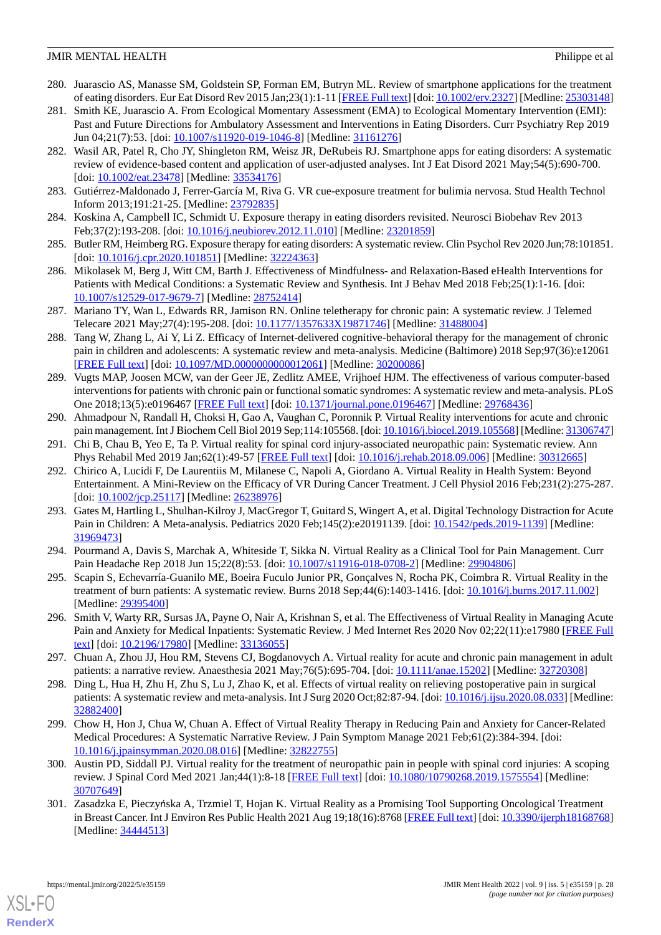- <span id="page-27-8"></span>280. Juarascio AS, Manasse SM, Goldstein SP, Forman EM, Butryn ML. Review of smartphone applications for the treatment of eating disorders. Eur Eat Disord Rev 2015 Jan;23(1):1-11 [\[FREE Full text](http://europepmc.org/abstract/MED/25303148)] [doi: [10.1002/erv.2327\]](http://dx.doi.org/10.1002/erv.2327) [Medline: [25303148](http://www.ncbi.nlm.nih.gov/entrez/query.fcgi?cmd=Retrieve&db=PubMed&list_uids=25303148&dopt=Abstract)]
- 281. Smith KE, Juarascio A. From Ecological Momentary Assessment (EMA) to Ecological Momentary Intervention (EMI): Past and Future Directions for Ambulatory Assessment and Interventions in Eating Disorders. Curr Psychiatry Rep 2019 Jun 04;21(7):53. [doi: [10.1007/s11920-019-1046-8\]](http://dx.doi.org/10.1007/s11920-019-1046-8) [Medline: [31161276](http://www.ncbi.nlm.nih.gov/entrez/query.fcgi?cmd=Retrieve&db=PubMed&list_uids=31161276&dopt=Abstract)]
- <span id="page-27-2"></span>282. Wasil AR, Patel R, Cho JY, Shingleton RM, Weisz JR, DeRubeis RJ. Smartphone apps for eating disorders: A systematic review of evidence-based content and application of user-adjusted analyses. Int J Eat Disord 2021 May;54(5):690-700. [doi: [10.1002/eat.23478](http://dx.doi.org/10.1002/eat.23478)] [Medline: [33534176](http://www.ncbi.nlm.nih.gov/entrez/query.fcgi?cmd=Retrieve&db=PubMed&list_uids=33534176&dopt=Abstract)]
- <span id="page-27-10"></span><span id="page-27-0"></span>283. Gutiérrez-Maldonado J, Ferrer-García M, Riva G. VR cue-exposure treatment for bulimia nervosa. Stud Health Technol Inform 2013;191:21-25. [Medline: [23792835\]](http://www.ncbi.nlm.nih.gov/entrez/query.fcgi?cmd=Retrieve&db=PubMed&list_uids=23792835&dopt=Abstract)
- <span id="page-27-1"></span>284. Koskina A, Campbell IC, Schmidt U. Exposure therapy in eating disorders revisited. Neurosci Biobehav Rev 2013 Feb;37(2):193-208. [doi: [10.1016/j.neubiorev.2012.11.010\]](http://dx.doi.org/10.1016/j.neubiorev.2012.11.010) [Medline: [23201859](http://www.ncbi.nlm.nih.gov/entrez/query.fcgi?cmd=Retrieve&db=PubMed&list_uids=23201859&dopt=Abstract)]
- <span id="page-27-5"></span>285. Butler RM, Heimberg RG. Exposure therapy for eating disorders: A systematic review. Clin Psychol Rev 2020 Jun;78:101851. [doi: <u>10.1016/j.cpr.2020.101851</u>] [Medline: [32224363\]](http://www.ncbi.nlm.nih.gov/entrez/query.fcgi?cmd=Retrieve&db=PubMed&list_uids=32224363&dopt=Abstract)
- <span id="page-27-7"></span>286. Mikolasek M, Berg J, Witt CM, Barth J. Effectiveness of Mindfulness- and Relaxation-Based eHealth Interventions for Patients with Medical Conditions: a Systematic Review and Synthesis. Int J Behav Med 2018 Feb;25(1):1-16. [doi: [10.1007/s12529-017-9679-7\]](http://dx.doi.org/10.1007/s12529-017-9679-7) [Medline: [28752414](http://www.ncbi.nlm.nih.gov/entrez/query.fcgi?cmd=Retrieve&db=PubMed&list_uids=28752414&dopt=Abstract)]
- 287. Mariano TY, Wan L, Edwards RR, Jamison RN. Online teletherapy for chronic pain: A systematic review. J Telemed Telecare 2021 May;27(4):195-208. [doi: [10.1177/1357633X19871746](http://dx.doi.org/10.1177/1357633X19871746)] [Medline: [31488004\]](http://www.ncbi.nlm.nih.gov/entrez/query.fcgi?cmd=Retrieve&db=PubMed&list_uids=31488004&dopt=Abstract)
- <span id="page-27-6"></span>288. Tang W, Zhang L, Ai Y, Li Z. Efficacy of Internet-delivered cognitive-behavioral therapy for the management of chronic pain in children and adolescents: A systematic review and meta-analysis. Medicine (Baltimore) 2018 Sep;97(36):e12061 [[FREE Full text](https://doi.org/10.1097/MD.0000000000012061)] [doi: [10.1097/MD.0000000000012061](http://dx.doi.org/10.1097/MD.0000000000012061)] [Medline: [30200086](http://www.ncbi.nlm.nih.gov/entrez/query.fcgi?cmd=Retrieve&db=PubMed&list_uids=30200086&dopt=Abstract)]
- <span id="page-27-3"></span>289. Vugts MAP, Joosen MCW, van der Geer JE, Zedlitz AMEE, Vrijhoef HJM. The effectiveness of various computer-based interventions for patients with chronic pain or functional somatic syndromes: A systematic review and meta-analysis. PLoS One 2018;13(5):e0196467 [\[FREE Full text\]](https://dx.plos.org/10.1371/journal.pone.0196467) [doi: [10.1371/journal.pone.0196467\]](http://dx.doi.org/10.1371/journal.pone.0196467) [Medline: [29768436\]](http://www.ncbi.nlm.nih.gov/entrez/query.fcgi?cmd=Retrieve&db=PubMed&list_uids=29768436&dopt=Abstract)
- <span id="page-27-11"></span><span id="page-27-9"></span>290. Ahmadpour N, Randall H, Choksi H, Gao A, Vaughan C, Poronnik P. Virtual Reality interventions for acute and chronic pain management. Int J Biochem Cell Biol 2019 Sep;114:105568. [doi: [10.1016/j.biocel.2019.105568\]](http://dx.doi.org/10.1016/j.biocel.2019.105568) [Medline: [31306747\]](http://www.ncbi.nlm.nih.gov/entrez/query.fcgi?cmd=Retrieve&db=PubMed&list_uids=31306747&dopt=Abstract)
- 291. Chi B, Chau B, Yeo E, Ta P. Virtual reality for spinal cord injury-associated neuropathic pain: Systematic review. Ann Phys Rehabil Med 2019 Jan;62(1):49-57 [\[FREE Full text\]](https://linkinghub.elsevier.com/retrieve/pii/S1877-0657(18)31453-2) [doi: [10.1016/j.rehab.2018.09.006\]](http://dx.doi.org/10.1016/j.rehab.2018.09.006) [Medline: [30312665](http://www.ncbi.nlm.nih.gov/entrez/query.fcgi?cmd=Retrieve&db=PubMed&list_uids=30312665&dopt=Abstract)]
- 292. Chirico A, Lucidi F, De Laurentiis M, Milanese C, Napoli A, Giordano A. Virtual Reality in Health System: Beyond Entertainment. A Mini-Review on the Efficacy of VR During Cancer Treatment. J Cell Physiol 2016 Feb;231(2):275-287. [doi: [10.1002/jcp.25117\]](http://dx.doi.org/10.1002/jcp.25117) [Medline: [26238976\]](http://www.ncbi.nlm.nih.gov/entrez/query.fcgi?cmd=Retrieve&db=PubMed&list_uids=26238976&dopt=Abstract)
- <span id="page-27-13"></span><span id="page-27-12"></span>293. Gates M, Hartling L, Shulhan-Kilroy J, MacGregor T, Guitard S, Wingert A, et al. Digital Technology Distraction for Acute Pain in Children: A Meta-analysis. Pediatrics 2020 Feb;145(2):e20191139. [doi: [10.1542/peds.2019-1139\]](http://dx.doi.org/10.1542/peds.2019-1139) [Medline: [31969473](http://www.ncbi.nlm.nih.gov/entrez/query.fcgi?cmd=Retrieve&db=PubMed&list_uids=31969473&dopt=Abstract)]
- 294. Pourmand A, Davis S, Marchak A, Whiteside T, Sikka N. Virtual Reality as a Clinical Tool for Pain Management. Curr Pain Headache Rep 2018 Jun 15;22(8):53. [doi: [10.1007/s11916-018-0708-2\]](http://dx.doi.org/10.1007/s11916-018-0708-2) [Medline: [29904806\]](http://www.ncbi.nlm.nih.gov/entrez/query.fcgi?cmd=Retrieve&db=PubMed&list_uids=29904806&dopt=Abstract)
- 295. Scapin S, Echevarría-Guanilo ME, Boeira Fuculo Junior PR, Gonçalves N, Rocha PK, Coimbra R. Virtual Reality in the treatment of burn patients: A systematic review. Burns 2018 Sep;44(6):1403-1416. [doi: [10.1016/j.burns.2017.11.002](http://dx.doi.org/10.1016/j.burns.2017.11.002)] [Medline: [29395400](http://www.ncbi.nlm.nih.gov/entrez/query.fcgi?cmd=Retrieve&db=PubMed&list_uids=29395400&dopt=Abstract)]
- 296. Smith V, Warty RR, Sursas JA, Payne O, Nair A, Krishnan S, et al. The Effectiveness of Virtual Reality in Managing Acute Pain and Anxiety for Medical Inpatients: Systematic Review. J Med Internet Res 2020 Nov 02;22(11):e17980 [[FREE Full](https://www.jmir.org/2020/11/e17980/) [text](https://www.jmir.org/2020/11/e17980/)] [doi: [10.2196/17980\]](http://dx.doi.org/10.2196/17980) [Medline: [33136055\]](http://www.ncbi.nlm.nih.gov/entrez/query.fcgi?cmd=Retrieve&db=PubMed&list_uids=33136055&dopt=Abstract)
- 297. Chuan A, Zhou JJ, Hou RM, Stevens CJ, Bogdanovych A. Virtual reality for acute and chronic pain management in adult patients: a narrative review. Anaesthesia 2021 May;76(5):695-704. [doi: [10.1111/anae.15202](http://dx.doi.org/10.1111/anae.15202)] [Medline: [32720308](http://www.ncbi.nlm.nih.gov/entrez/query.fcgi?cmd=Retrieve&db=PubMed&list_uids=32720308&dopt=Abstract)]
- 298. Ding L, Hua H, Zhu H, Zhu S, Lu J, Zhao K, et al. Effects of virtual reality on relieving postoperative pain in surgical patients: A systematic review and meta-analysis. Int J Surg 2020 Oct;82:87-94. [doi: 10.1016/j.jisu.2020.08.033] [Medline: [32882400](http://www.ncbi.nlm.nih.gov/entrez/query.fcgi?cmd=Retrieve&db=PubMed&list_uids=32882400&dopt=Abstract)]
- <span id="page-27-4"></span>299. Chow H, Hon J, Chua W, Chuan A. Effect of Virtual Reality Therapy in Reducing Pain and Anxiety for Cancer-Related Medical Procedures: A Systematic Narrative Review. J Pain Symptom Manage 2021 Feb;61(2):384-394. [doi: [10.1016/j.jpainsymman.2020.08.016\]](http://dx.doi.org/10.1016/j.jpainsymman.2020.08.016) [Medline: [32822755](http://www.ncbi.nlm.nih.gov/entrez/query.fcgi?cmd=Retrieve&db=PubMed&list_uids=32822755&dopt=Abstract)]
- 300. Austin PD, Siddall PJ. Virtual reality for the treatment of neuropathic pain in people with spinal cord injuries: A scoping review. J Spinal Cord Med 2021 Jan;44(1):8-18 [[FREE Full text\]](http://europepmc.org/abstract/MED/30707649) [doi: [10.1080/10790268.2019.1575554\]](http://dx.doi.org/10.1080/10790268.2019.1575554) [Medline: [30707649](http://www.ncbi.nlm.nih.gov/entrez/query.fcgi?cmd=Retrieve&db=PubMed&list_uids=30707649&dopt=Abstract)]
- 301. Zasadzka E, Pieczyńska A, Trzmiel T, Hojan K. Virtual Reality as a Promising Tool Supporting Oncological Treatment in Breast Cancer. Int J Environ Res Public Health 2021 Aug 19;18(16):8768 [\[FREE Full text](https://www.mdpi.com/resolver?pii=ijerph18168768)] [doi: [10.3390/ijerph18168768](http://dx.doi.org/10.3390/ijerph18168768)] [Medline: [34444513](http://www.ncbi.nlm.nih.gov/entrez/query.fcgi?cmd=Retrieve&db=PubMed&list_uids=34444513&dopt=Abstract)]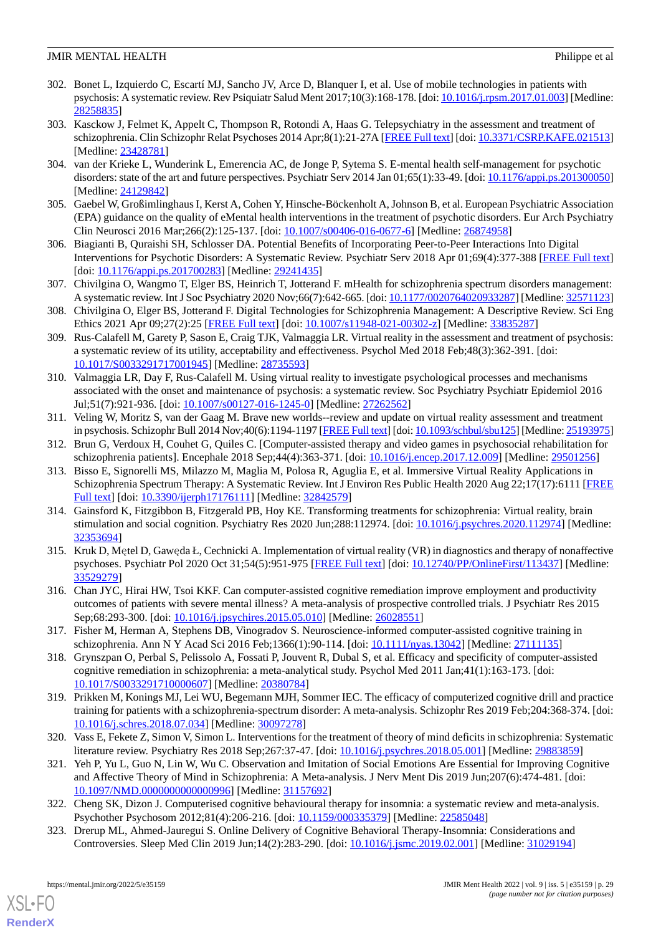- <span id="page-28-5"></span>302. Bonet L, Izquierdo C, Escartí MJ, Sancho JV, Arce D, Blanquer I, et al. Use of mobile technologies in patients with psychosis: A systematic review. Rev Psiquiatr Salud Ment 2017;10(3):168-178. [doi: [10.1016/j.rpsm.2017.01.003\]](http://dx.doi.org/10.1016/j.rpsm.2017.01.003) [Medline: [28258835](http://www.ncbi.nlm.nih.gov/entrez/query.fcgi?cmd=Retrieve&db=PubMed&list_uids=28258835&dopt=Abstract)]
- 303. Kasckow J, Felmet K, Appelt C, Thompson R, Rotondi A, Haas G. Telepsychiatry in the assessment and treatment of schizophrenia. Clin Schizophr Relat Psychoses 2014 Apr;8(1):21-27A [[FREE Full text](http://europepmc.org/abstract/MED/23428781)] [doi: [10.3371/CSRP.KAFE.021513\]](http://dx.doi.org/10.3371/CSRP.KAFE.021513) [Medline: [23428781](http://www.ncbi.nlm.nih.gov/entrez/query.fcgi?cmd=Retrieve&db=PubMed&list_uids=23428781&dopt=Abstract)]
- <span id="page-28-9"></span><span id="page-28-6"></span>304. van der Krieke L, Wunderink L, Emerencia AC, de Jonge P, Sytema S. E-mental health self-management for psychotic disorders: state of the art and future perspectives. Psychiatr Serv 2014 Jan 01;65(1):33-49. [doi: [10.1176/appi.ps.201300050\]](http://dx.doi.org/10.1176/appi.ps.201300050) [Medline: [24129842](http://www.ncbi.nlm.nih.gov/entrez/query.fcgi?cmd=Retrieve&db=PubMed&list_uids=24129842&dopt=Abstract)]
- <span id="page-28-10"></span>305. Gaebel W, Großimlinghaus I, Kerst A, Cohen Y, Hinsche-Böckenholt A, Johnson B, et al. European Psychiatric Association (EPA) guidance on the quality of eMental health interventions in the treatment of psychotic disorders. Eur Arch Psychiatry Clin Neurosci 2016 Mar;266(2):125-137. [doi: [10.1007/s00406-016-0677-6](http://dx.doi.org/10.1007/s00406-016-0677-6)] [Medline: [26874958\]](http://www.ncbi.nlm.nih.gov/entrez/query.fcgi?cmd=Retrieve&db=PubMed&list_uids=26874958&dopt=Abstract)
- <span id="page-28-7"></span>306. Biagianti B, Quraishi SH, Schlosser DA. Potential Benefits of Incorporating Peer-to-Peer Interactions Into Digital Interventions for Psychotic Disorders: A Systematic Review. Psychiatr Serv 2018 Apr 01;69(4):377-388 [\[FREE Full text](http://europepmc.org/abstract/MED/29241435)] [doi: [10.1176/appi.ps.201700283](http://dx.doi.org/10.1176/appi.ps.201700283)] [Medline: [29241435](http://www.ncbi.nlm.nih.gov/entrez/query.fcgi?cmd=Retrieve&db=PubMed&list_uids=29241435&dopt=Abstract)]
- <span id="page-28-8"></span>307. Chivilgina O, Wangmo T, Elger BS, Heinrich T, Jotterand F. mHealth for schizophrenia spectrum disorders management: A systematic review. Int J Soc Psychiatry 2020 Nov;66(7):642-665. [doi: [10.1177/0020764020933287](http://dx.doi.org/10.1177/0020764020933287)] [Medline: [32571123\]](http://www.ncbi.nlm.nih.gov/entrez/query.fcgi?cmd=Retrieve&db=PubMed&list_uids=32571123&dopt=Abstract)
- <span id="page-28-3"></span>308. Chivilgina O, Elger BS, Jotterand F. Digital Technologies for Schizophrenia Management: A Descriptive Review. Sci Eng Ethics 2021 Apr 09;27(2):25 [[FREE Full text](http://europepmc.org/abstract/MED/33835287)] [doi: [10.1007/s11948-021-00302-z\]](http://dx.doi.org/10.1007/s11948-021-00302-z) [Medline: [33835287\]](http://www.ncbi.nlm.nih.gov/entrez/query.fcgi?cmd=Retrieve&db=PubMed&list_uids=33835287&dopt=Abstract)
- <span id="page-28-13"></span>309. Rus-Calafell M, Garety P, Sason E, Craig TJK, Valmaggia LR. Virtual reality in the assessment and treatment of psychosis: a systematic review of its utility, acceptability and effectiveness. Psychol Med 2018 Feb;48(3):362-391. [doi: [10.1017/S0033291717001945](http://dx.doi.org/10.1017/S0033291717001945)] [Medline: [28735593](http://www.ncbi.nlm.nih.gov/entrez/query.fcgi?cmd=Retrieve&db=PubMed&list_uids=28735593&dopt=Abstract)]
- <span id="page-28-14"></span>310. Valmaggia LR, Day F, Rus-Calafell M. Using virtual reality to investigate psychological processes and mechanisms associated with the onset and maintenance of psychosis: a systematic review. Soc Psychiatry Psychiatr Epidemiol 2016 Jul;51(7):921-936. [doi: [10.1007/s00127-016-1245-0](http://dx.doi.org/10.1007/s00127-016-1245-0)] [Medline: [27262562](http://www.ncbi.nlm.nih.gov/entrez/query.fcgi?cmd=Retrieve&db=PubMed&list_uids=27262562&dopt=Abstract)]
- <span id="page-28-0"></span>311. Veling W, Moritz S, van der Gaag M. Brave new worlds--review and update on virtual reality assessment and treatment in psychosis. Schizophr Bull 2014 Nov;40(6):1194-1197 [[FREE Full text\]](http://europepmc.org/abstract/MED/25193975) [doi: [10.1093/schbul/sbu125\]](http://dx.doi.org/10.1093/schbul/sbu125) [Medline: [25193975\]](http://www.ncbi.nlm.nih.gov/entrez/query.fcgi?cmd=Retrieve&db=PubMed&list_uids=25193975&dopt=Abstract)
- 312. Brun G, Verdoux H, Couhet G, Quiles C. [Computer-assisted therapy and video games in psychosocial rehabilitation for schizophrenia patients]. Encephale 2018 Sep;44(4):363-371. [doi: [10.1016/j.encep.2017.12.009\]](http://dx.doi.org/10.1016/j.encep.2017.12.009) [Medline: [29501256\]](http://www.ncbi.nlm.nih.gov/entrez/query.fcgi?cmd=Retrieve&db=PubMed&list_uids=29501256&dopt=Abstract)
- 313. Bisso E, Signorelli MS, Milazzo M, Maglia M, Polosa R, Aguglia E, et al. Immersive Virtual Reality Applications in Schizophrenia Spectrum Therapy: A Systematic Review. Int J Environ Res Public Health 2020 Aug 22;17(17):6111 [\[FREE](https://www.mdpi.com/resolver?pii=ijerph17176111) [Full text\]](https://www.mdpi.com/resolver?pii=ijerph17176111) [doi: [10.3390/ijerph17176111\]](http://dx.doi.org/10.3390/ijerph17176111) [Medline: [32842579\]](http://www.ncbi.nlm.nih.gov/entrez/query.fcgi?cmd=Retrieve&db=PubMed&list_uids=32842579&dopt=Abstract)
- <span id="page-28-4"></span>314. Gainsford K, Fitzgibbon B, Fitzgerald PB, Hoy KE. Transforming treatments for schizophrenia: Virtual reality, brain stimulation and social cognition. Psychiatry Res 2020 Jun;288:112974. [doi: [10.1016/j.psychres.2020.112974\]](http://dx.doi.org/10.1016/j.psychres.2020.112974) [Medline: [32353694](http://www.ncbi.nlm.nih.gov/entrez/query.fcgi?cmd=Retrieve&db=PubMed&list_uids=32353694&dopt=Abstract)]
- <span id="page-28-1"></span>315. Kruk D, Mętel D, Gawęda Ł, Cechnicki A. Implementation of virtual reality (VR) in diagnostics and therapy of nonaffective psychoses. Psychiatr Pol 2020 Oct 31;54(5):951-975 [[FREE Full text\]](https://doi.org/10.12740/PP/OnlineFirst/113437) [doi: [10.12740/PP/OnlineFirst/113437\]](http://dx.doi.org/10.12740/PP/OnlineFirst/113437) [Medline: [33529279](http://www.ncbi.nlm.nih.gov/entrez/query.fcgi?cmd=Retrieve&db=PubMed&list_uids=33529279&dopt=Abstract)]
- <span id="page-28-15"></span>316. Chan JYC, Hirai HW, Tsoi KKF. Can computer-assisted cognitive remediation improve employment and productivity outcomes of patients with severe mental illness? A meta-analysis of prospective controlled trials. J Psychiatr Res 2015 Sep;68:293-300. [doi: [10.1016/j.jpsychires.2015.05.010](http://dx.doi.org/10.1016/j.jpsychires.2015.05.010)] [Medline: [26028551](http://www.ncbi.nlm.nih.gov/entrez/query.fcgi?cmd=Retrieve&db=PubMed&list_uids=26028551&dopt=Abstract)]
- 317. Fisher M, Herman A, Stephens DB, Vinogradov S. Neuroscience-informed computer-assisted cognitive training in schizophrenia. Ann N Y Acad Sci 2016 Feb;1366(1):90-114. [doi: [10.1111/nyas.13042\]](http://dx.doi.org/10.1111/nyas.13042) [Medline: [27111135](http://www.ncbi.nlm.nih.gov/entrez/query.fcgi?cmd=Retrieve&db=PubMed&list_uids=27111135&dopt=Abstract)]
- 318. Grynszpan O, Perbal S, Pelissolo A, Fossati P, Jouvent R, Dubal S, et al. Efficacy and specificity of computer-assisted cognitive remediation in schizophrenia: a meta-analytical study. Psychol Med 2011 Jan;41(1):163-173. [doi: [10.1017/S0033291710000607](http://dx.doi.org/10.1017/S0033291710000607)] [Medline: [20380784](http://www.ncbi.nlm.nih.gov/entrez/query.fcgi?cmd=Retrieve&db=PubMed&list_uids=20380784&dopt=Abstract)]
- <span id="page-28-2"></span>319. Prikken M, Konings MJ, Lei WU, Begemann MJH, Sommer IEC. The efficacy of computerized cognitive drill and practice training for patients with a schizophrenia-spectrum disorder: A meta-analysis. Schizophr Res 2019 Feb;204:368-374. [doi: [10.1016/j.schres.2018.07.034\]](http://dx.doi.org/10.1016/j.schres.2018.07.034) [Medline: [30097278](http://www.ncbi.nlm.nih.gov/entrez/query.fcgi?cmd=Retrieve&db=PubMed&list_uids=30097278&dopt=Abstract)]
- <span id="page-28-12"></span><span id="page-28-11"></span>320. Vass E, Fekete Z, Simon V, Simon L. Interventions for the treatment of theory of mind deficits in schizophrenia: Systematic literature review. Psychiatry Res 2018 Sep;267:37-47. [doi: [10.1016/j.psychres.2018.05.001](http://dx.doi.org/10.1016/j.psychres.2018.05.001)] [Medline: [29883859](http://www.ncbi.nlm.nih.gov/entrez/query.fcgi?cmd=Retrieve&db=PubMed&list_uids=29883859&dopt=Abstract)]
- 321. Yeh P, Yu L, Guo N, Lin W, Wu C. Observation and Imitation of Social Emotions Are Essential for Improving Cognitive and Affective Theory of Mind in Schizophrenia: A Meta-analysis. J Nerv Ment Dis 2019 Jun;207(6):474-481. [doi: [10.1097/NMD.0000000000000996\]](http://dx.doi.org/10.1097/NMD.0000000000000996) [Medline: [31157692](http://www.ncbi.nlm.nih.gov/entrez/query.fcgi?cmd=Retrieve&db=PubMed&list_uids=31157692&dopt=Abstract)]
- 322. Cheng SK, Dizon J. Computerised cognitive behavioural therapy for insomnia: a systematic review and meta-analysis. Psychother Psychosom 2012;81(4):206-216. [doi: [10.1159/000335379\]](http://dx.doi.org/10.1159/000335379) [Medline: [22585048](http://www.ncbi.nlm.nih.gov/entrez/query.fcgi?cmd=Retrieve&db=PubMed&list_uids=22585048&dopt=Abstract)]
- 323. Drerup ML, Ahmed-Jauregui S. Online Delivery of Cognitive Behavioral Therapy-Insomnia: Considerations and Controversies. Sleep Med Clin 2019 Jun;14(2):283-290. [doi: [10.1016/j.jsmc.2019.02.001](http://dx.doi.org/10.1016/j.jsmc.2019.02.001)] [Medline: [31029194](http://www.ncbi.nlm.nih.gov/entrez/query.fcgi?cmd=Retrieve&db=PubMed&list_uids=31029194&dopt=Abstract)]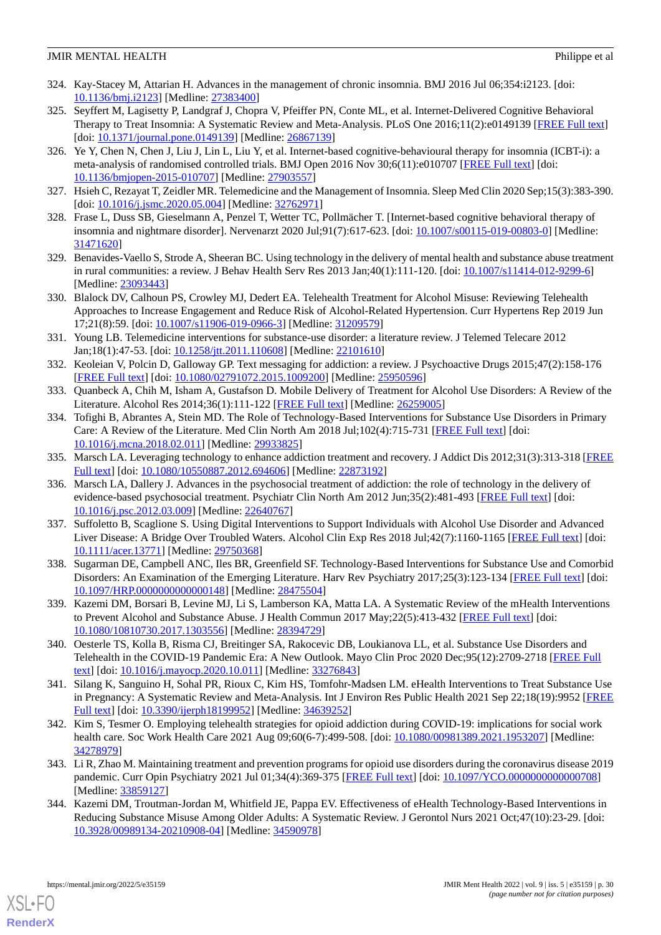- 324. Kay-Stacey M, Attarian H. Advances in the management of chronic insomnia. BMJ 2016 Jul 06;354:i2123. [doi: [10.1136/bmj.i2123\]](http://dx.doi.org/10.1136/bmj.i2123) [Medline: [27383400](http://www.ncbi.nlm.nih.gov/entrez/query.fcgi?cmd=Retrieve&db=PubMed&list_uids=27383400&dopt=Abstract)]
- 325. Seyffert M, Lagisetty P, Landgraf J, Chopra V, Pfeiffer PN, Conte ML, et al. Internet-Delivered Cognitive Behavioral Therapy to Treat Insomnia: A Systematic Review and Meta-Analysis. PLoS One 2016;11(2):e0149139 [\[FREE Full text](https://dx.plos.org/10.1371/journal.pone.0149139)] [doi: [10.1371/journal.pone.0149139\]](http://dx.doi.org/10.1371/journal.pone.0149139) [Medline: [26867139\]](http://www.ncbi.nlm.nih.gov/entrez/query.fcgi?cmd=Retrieve&db=PubMed&list_uids=26867139&dopt=Abstract)
- <span id="page-29-7"></span>326. Ye Y, Chen N, Chen J, Liu J, Lin L, Liu Y, et al. Internet-based cognitive-behavioural therapy for insomnia (ICBT-i): a meta-analysis of randomised controlled trials. BMJ Open 2016 Nov 30;6(11):e010707 [[FREE Full text](https://bmjopen.bmj.com/lookup/pmidlookup?view=long&pmid=27903557)] [doi: [10.1136/bmjopen-2015-010707\]](http://dx.doi.org/10.1136/bmjopen-2015-010707) [Medline: [27903557](http://www.ncbi.nlm.nih.gov/entrez/query.fcgi?cmd=Retrieve&db=PubMed&list_uids=27903557&dopt=Abstract)]
- <span id="page-29-0"></span>327. Hsieh C, Rezayat T, Zeidler MR. Telemedicine and the Management of Insomnia. Sleep Med Clin 2020 Sep;15(3):383-390. [doi: [10.1016/j.jsmc.2020.05.004\]](http://dx.doi.org/10.1016/j.jsmc.2020.05.004) [Medline: [32762971\]](http://www.ncbi.nlm.nih.gov/entrez/query.fcgi?cmd=Retrieve&db=PubMed&list_uids=32762971&dopt=Abstract)
- <span id="page-29-5"></span>328. Frase L, Duss SB, Gieselmann A, Penzel T, Wetter TC, Pollmächer T. [Internet-based cognitive behavioral therapy of insomnia and nightmare disorder]. Nervenarzt 2020 Jul;91(7):617-623. [doi: [10.1007/s00115-019-00803-0\]](http://dx.doi.org/10.1007/s00115-019-00803-0) [Medline: [31471620](http://www.ncbi.nlm.nih.gov/entrez/query.fcgi?cmd=Retrieve&db=PubMed&list_uids=31471620&dopt=Abstract)]
- <span id="page-29-6"></span>329. Benavides-Vaello S, Strode A, Sheeran BC. Using technology in the delivery of mental health and substance abuse treatment in rural communities: a review. J Behav Health Serv Res 2013 Jan;40(1):111-120. [doi: [10.1007/s11414-012-9299-6\]](http://dx.doi.org/10.1007/s11414-012-9299-6) [Medline: [23093443](http://www.ncbi.nlm.nih.gov/entrez/query.fcgi?cmd=Retrieve&db=PubMed&list_uids=23093443&dopt=Abstract)]
- 330. Blalock DV, Calhoun PS, Crowley MJ, Dedert EA. Telehealth Treatment for Alcohol Misuse: Reviewing Telehealth Approaches to Increase Engagement and Reduce Risk of Alcohol-Related Hypertension. Curr Hypertens Rep 2019 Jun 17;21(8):59. [doi: [10.1007/s11906-019-0966-3](http://dx.doi.org/10.1007/s11906-019-0966-3)] [Medline: [31209579](http://www.ncbi.nlm.nih.gov/entrez/query.fcgi?cmd=Retrieve&db=PubMed&list_uids=31209579&dopt=Abstract)]
- <span id="page-29-4"></span>331. Young LB. Telemedicine interventions for substance-use disorder: a literature review. J Telemed Telecare 2012 Jan;18(1):47-53. [doi: [10.1258/jtt.2011.110608](http://dx.doi.org/10.1258/jtt.2011.110608)] [Medline: [22101610](http://www.ncbi.nlm.nih.gov/entrez/query.fcgi?cmd=Retrieve&db=PubMed&list_uids=22101610&dopt=Abstract)]
- <span id="page-29-8"></span><span id="page-29-1"></span>332. Keoleian V, Polcin D, Galloway GP. Text messaging for addiction: a review. J Psychoactive Drugs 2015;47(2):158-176 [[FREE Full text](http://europepmc.org/abstract/MED/25950596)] [doi: [10.1080/02791072.2015.1009200\]](http://dx.doi.org/10.1080/02791072.2015.1009200) [Medline: [25950596](http://www.ncbi.nlm.nih.gov/entrez/query.fcgi?cmd=Retrieve&db=PubMed&list_uids=25950596&dopt=Abstract)]
- 333. Quanbeck A, Chih M, Isham A, Gustafson D. Mobile Delivery of Treatment for Alcohol Use Disorders: A Review of the Literature. Alcohol Res 2014;36(1):111-122 [[FREE Full text\]](http://europepmc.org/abstract/MED/26259005) [Medline: [26259005\]](http://www.ncbi.nlm.nih.gov/entrez/query.fcgi?cmd=Retrieve&db=PubMed&list_uids=26259005&dopt=Abstract)
- 334. Tofighi B, Abrantes A, Stein MD. The Role of Technology-Based Interventions for Substance Use Disorders in Primary Care: A Review of the Literature. Med Clin North Am 2018 Jul;102(4):715-731 [\[FREE Full text\]](http://europepmc.org/abstract/MED/29933825) [doi: [10.1016/j.mcna.2018.02.011](http://dx.doi.org/10.1016/j.mcna.2018.02.011)] [Medline: [29933825](http://www.ncbi.nlm.nih.gov/entrez/query.fcgi?cmd=Retrieve&db=PubMed&list_uids=29933825&dopt=Abstract)]
- 335. Marsch LA. Leveraging technology to enhance addiction treatment and recovery. J Addict Dis 2012;31(3):313-318 [\[FREE](http://europepmc.org/abstract/MED/22873192) [Full text\]](http://europepmc.org/abstract/MED/22873192) [doi: [10.1080/10550887.2012.694606\]](http://dx.doi.org/10.1080/10550887.2012.694606) [Medline: [22873192](http://www.ncbi.nlm.nih.gov/entrez/query.fcgi?cmd=Retrieve&db=PubMed&list_uids=22873192&dopt=Abstract)]
- 336. Marsch LA, Dallery J. Advances in the psychosocial treatment of addiction: the role of technology in the delivery of evidence-based psychosocial treatment. Psychiatr Clin North Am 2012 Jun;35(2):481-493 [[FREE Full text](http://europepmc.org/abstract/MED/22640767)] [doi: [10.1016/j.psc.2012.03.009\]](http://dx.doi.org/10.1016/j.psc.2012.03.009) [Medline: [22640767\]](http://www.ncbi.nlm.nih.gov/entrez/query.fcgi?cmd=Retrieve&db=PubMed&list_uids=22640767&dopt=Abstract)
- 337. Suffoletto B, Scaglione S. Using Digital Interventions to Support Individuals with Alcohol Use Disorder and Advanced Liver Disease: A Bridge Over Troubled Waters. Alcohol Clin Exp Res 2018 Jul;42(7):1160-1165 [[FREE Full text](http://europepmc.org/abstract/MED/29750368)] [doi: [10.1111/acer.13771](http://dx.doi.org/10.1111/acer.13771)] [Medline: [29750368](http://www.ncbi.nlm.nih.gov/entrez/query.fcgi?cmd=Retrieve&db=PubMed&list_uids=29750368&dopt=Abstract)]
- <span id="page-29-2"></span>338. Sugarman DE, Campbell ANC, Iles BR, Greenfield SF. Technology-Based Interventions for Substance Use and Comorbid Disorders: An Examination of the Emerging Literature. Harv Rev Psychiatry 2017;25(3):123-134 [[FREE Full text](http://europepmc.org/abstract/MED/28475504)] [doi: [10.1097/HRP.0000000000000148\]](http://dx.doi.org/10.1097/HRP.0000000000000148) [Medline: [28475504](http://www.ncbi.nlm.nih.gov/entrez/query.fcgi?cmd=Retrieve&db=PubMed&list_uids=28475504&dopt=Abstract)]
- 339. Kazemi DM, Borsari B, Levine MJ, Li S, Lamberson KA, Matta LA. A Systematic Review of the mHealth Interventions to Prevent Alcohol and Substance Abuse. J Health Commun 2017 May;22(5):413-432 [[FREE Full text](http://europepmc.org/abstract/MED/28394729)] [doi: [10.1080/10810730.2017.1303556\]](http://dx.doi.org/10.1080/10810730.2017.1303556) [Medline: [28394729\]](http://www.ncbi.nlm.nih.gov/entrez/query.fcgi?cmd=Retrieve&db=PubMed&list_uids=28394729&dopt=Abstract)
- 340. Oesterle TS, Kolla B, Risma CJ, Breitinger SA, Rakocevic DB, Loukianova LL, et al. Substance Use Disorders and Telehealth in the COVID-19 Pandemic Era: A New Outlook. Mayo Clin Proc 2020 Dec;95(12):2709-2718 [\[FREE Full](http://europepmc.org/abstract/MED/33276843) [text](http://europepmc.org/abstract/MED/33276843)] [doi: [10.1016/j.mayocp.2020.10.011](http://dx.doi.org/10.1016/j.mayocp.2020.10.011)] [Medline: [33276843](http://www.ncbi.nlm.nih.gov/entrez/query.fcgi?cmd=Retrieve&db=PubMed&list_uids=33276843&dopt=Abstract)]
- 341. Silang K, Sanguino H, Sohal PR, Rioux C, Kim HS, Tomfohr-Madsen LM. eHealth Interventions to Treat Substance Use in Pregnancy: A Systematic Review and Meta-Analysis. Int J Environ Res Public Health 2021 Sep 22;18(19):9952 [\[FREE](https://www.mdpi.com/resolver?pii=ijerph18199952) [Full text\]](https://www.mdpi.com/resolver?pii=ijerph18199952) [doi: [10.3390/ijerph18199952\]](http://dx.doi.org/10.3390/ijerph18199952) [Medline: [34639252\]](http://www.ncbi.nlm.nih.gov/entrez/query.fcgi?cmd=Retrieve&db=PubMed&list_uids=34639252&dopt=Abstract)
- <span id="page-29-3"></span>342. Kim S, Tesmer O. Employing telehealth strategies for opioid addiction during COVID-19: implications for social work health care. Soc Work Health Care 2021 Aug 09;60(6-7):499-508. [doi: [10.1080/00981389.2021.1953207](http://dx.doi.org/10.1080/00981389.2021.1953207)] [Medline: [34278979](http://www.ncbi.nlm.nih.gov/entrez/query.fcgi?cmd=Retrieve&db=PubMed&list_uids=34278979&dopt=Abstract)]
- 343. Li R, Zhao M. Maintaining treatment and prevention programs for opioid use disorders during the coronavirus disease 2019 pandemic. Curr Opin Psychiatry 2021 Jul 01;34(4):369-375 [[FREE Full text\]](http://europepmc.org/abstract/MED/33859127) [doi: [10.1097/YCO.0000000000000708](http://dx.doi.org/10.1097/YCO.0000000000000708)] [Medline: [33859127](http://www.ncbi.nlm.nih.gov/entrez/query.fcgi?cmd=Retrieve&db=PubMed&list_uids=33859127&dopt=Abstract)]
- 344. Kazemi DM, Troutman-Jordan M, Whitfield JE, Pappa EV. Effectiveness of eHealth Technology-Based Interventions in Reducing Substance Misuse Among Older Adults: A Systematic Review. J Gerontol Nurs 2021 Oct;47(10):23-29. [doi: [10.3928/00989134-20210908-04](http://dx.doi.org/10.3928/00989134-20210908-04)] [Medline: [34590978](http://www.ncbi.nlm.nih.gov/entrez/query.fcgi?cmd=Retrieve&db=PubMed&list_uids=34590978&dopt=Abstract)]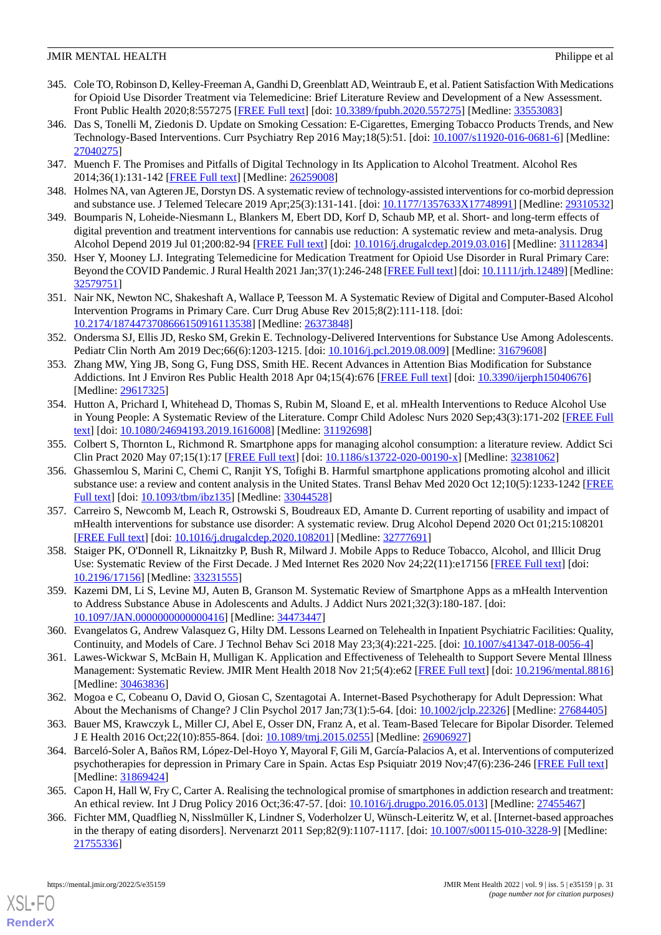- <span id="page-30-4"></span>345. Cole TO, Robinson D, Kelley-Freeman A, Gandhi D, Greenblatt AD, Weintraub E, et al. Patient Satisfaction With Medications for Opioid Use Disorder Treatment via Telemedicine: Brief Literature Review and Development of a New Assessment. Front Public Health 2020;8:557275 [\[FREE Full text\]](https://doi.org/10.3389/fpubh.2020.557275) [doi: [10.3389/fpubh.2020.557275\]](http://dx.doi.org/10.3389/fpubh.2020.557275) [Medline: [33553083](http://www.ncbi.nlm.nih.gov/entrez/query.fcgi?cmd=Retrieve&db=PubMed&list_uids=33553083&dopt=Abstract)]
- <span id="page-30-0"></span>346. Das S, Tonelli M, Ziedonis D. Update on Smoking Cessation: E-Cigarettes, Emerging Tobacco Products Trends, and New Technology-Based Interventions. Curr Psychiatry Rep 2016 May;18(5):51. [doi: [10.1007/s11920-016-0681-6](http://dx.doi.org/10.1007/s11920-016-0681-6)] [Medline: [27040275](http://www.ncbi.nlm.nih.gov/entrez/query.fcgi?cmd=Retrieve&db=PubMed&list_uids=27040275&dopt=Abstract)]
- <span id="page-30-1"></span>347. Muench F. The Promises and Pitfalls of Digital Technology in Its Application to Alcohol Treatment. Alcohol Res 2014;36(1):131-142 [[FREE Full text](http://europepmc.org/abstract/MED/26259008)] [Medline: [26259008](http://www.ncbi.nlm.nih.gov/entrez/query.fcgi?cmd=Retrieve&db=PubMed&list_uids=26259008&dopt=Abstract)]
- <span id="page-30-7"></span>348. Holmes NA, van Agteren JE, Dorstyn DS. A systematic review of technology-assisted interventions for co-morbid depression and substance use. J Telemed Telecare 2019 Apr;25(3):131-141. [doi: [10.1177/1357633X17748991](http://dx.doi.org/10.1177/1357633X17748991)] [Medline: [29310532](http://www.ncbi.nlm.nih.gov/entrez/query.fcgi?cmd=Retrieve&db=PubMed&list_uids=29310532&dopt=Abstract)]
- 349. Boumparis N, Loheide-Niesmann L, Blankers M, Ebert DD, Korf D, Schaub MP, et al. Short- and long-term effects of digital prevention and treatment interventions for cannabis use reduction: A systematic review and meta-analysis. Drug Alcohol Depend 2019 Jul 01;200:82-94 [\[FREE Full text\]](https://linkinghub.elsevier.com/retrieve/pii/S0376-8716(19)30149-8) [doi: [10.1016/j.drugalcdep.2019.03.016](http://dx.doi.org/10.1016/j.drugalcdep.2019.03.016)] [Medline: [31112834](http://www.ncbi.nlm.nih.gov/entrez/query.fcgi?cmd=Retrieve&db=PubMed&list_uids=31112834&dopt=Abstract)]
- <span id="page-30-13"></span>350. Hser Y, Mooney LJ. Integrating Telemedicine for Medication Treatment for Opioid Use Disorder in Rural Primary Care: Beyond the COVID Pandemic. J Rural Health 2021 Jan;37(1):246-248 [\[FREE Full text](http://europepmc.org/abstract/MED/32579751)] [doi: [10.1111/jrh.12489](http://dx.doi.org/10.1111/jrh.12489)] [Medline: [32579751](http://www.ncbi.nlm.nih.gov/entrez/query.fcgi?cmd=Retrieve&db=PubMed&list_uids=32579751&dopt=Abstract)]
- 351. Nair NK, Newton NC, Shakeshaft A, Wallace P, Teesson M. A Systematic Review of Digital and Computer-Based Alcohol Intervention Programs in Primary Care. Curr Drug Abuse Rev 2015;8(2):111-118. [doi: [10.2174/1874473708666150916113538\]](http://dx.doi.org/10.2174/1874473708666150916113538) [Medline: [26373848\]](http://www.ncbi.nlm.nih.gov/entrez/query.fcgi?cmd=Retrieve&db=PubMed&list_uids=26373848&dopt=Abstract)
- <span id="page-30-12"></span>352. Ondersma SJ, Ellis JD, Resko SM, Grekin E. Technology-Delivered Interventions for Substance Use Among Adolescents. Pediatr Clin North Am 2019 Dec;66(6):1203-1215. [doi: [10.1016/j.pcl.2019.08.009](http://dx.doi.org/10.1016/j.pcl.2019.08.009)] [Medline: [31679608](http://www.ncbi.nlm.nih.gov/entrez/query.fcgi?cmd=Retrieve&db=PubMed&list_uids=31679608&dopt=Abstract)]
- <span id="page-30-2"></span>353. Zhang MW, Ying JB, Song G, Fung DSS, Smith HE. Recent Advances in Attention Bias Modification for Substance Addictions. Int J Environ Res Public Health 2018 Apr 04;15(4):676 [\[FREE Full text\]](https://www.mdpi.com/resolver?pii=ijerph15040676) [doi: [10.3390/ijerph15040676](http://dx.doi.org/10.3390/ijerph15040676)] [Medline: [29617325](http://www.ncbi.nlm.nih.gov/entrez/query.fcgi?cmd=Retrieve&db=PubMed&list_uids=29617325&dopt=Abstract)]
- 354. Hutton A, Prichard I, Whitehead D, Thomas S, Rubin M, Sloand E, et al. mHealth Interventions to Reduce Alcohol Use in Young People: A Systematic Review of the Literature. Compr Child Adolesc Nurs 2020 Sep;43(3):171-202 [[FREE Full](http://europepmc.org/abstract/MED/31192698) [text](http://europepmc.org/abstract/MED/31192698)] [doi: [10.1080/24694193.2019.1616008\]](http://dx.doi.org/10.1080/24694193.2019.1616008) [Medline: [31192698\]](http://www.ncbi.nlm.nih.gov/entrez/query.fcgi?cmd=Retrieve&db=PubMed&list_uids=31192698&dopt=Abstract)
- <span id="page-30-11"></span>355. Colbert S, Thornton L, Richmond R. Smartphone apps for managing alcohol consumption: a literature review. Addict Sci Clin Pract 2020 May 07;15(1):17 [[FREE Full text](https://ascpjournal.biomedcentral.com/articles/10.1186/s13722-020-00190-x)] [doi: [10.1186/s13722-020-00190-x](http://dx.doi.org/10.1186/s13722-020-00190-x)] [Medline: [32381062](http://www.ncbi.nlm.nih.gov/entrez/query.fcgi?cmd=Retrieve&db=PubMed&list_uids=32381062&dopt=Abstract)]
- 356. Ghassemlou S, Marini C, Chemi C, Ranjit YS, Tofighi B. Harmful smartphone applications promoting alcohol and illicit substance use: a review and content analysis in the United States. Transl Behav Med 2020 Oct 12;10(5):1233-1242 [\[FREE](http://europepmc.org/abstract/MED/33044528) [Full text\]](http://europepmc.org/abstract/MED/33044528) [doi: [10.1093/tbm/ibz135](http://dx.doi.org/10.1093/tbm/ibz135)] [Medline: [33044528\]](http://www.ncbi.nlm.nih.gov/entrez/query.fcgi?cmd=Retrieve&db=PubMed&list_uids=33044528&dopt=Abstract)
- 357. Carreiro S, Newcomb M, Leach R, Ostrowski S, Boudreaux ED, Amante D. Current reporting of usability and impact of mHealth interventions for substance use disorder: A systematic review. Drug Alcohol Depend 2020 Oct 01;215:108201 [[FREE Full text](http://europepmc.org/abstract/MED/32777691)] [doi: [10.1016/j.drugalcdep.2020.108201](http://dx.doi.org/10.1016/j.drugalcdep.2020.108201)] [Medline: [32777691](http://www.ncbi.nlm.nih.gov/entrez/query.fcgi?cmd=Retrieve&db=PubMed&list_uids=32777691&dopt=Abstract)]
- <span id="page-30-5"></span><span id="page-30-3"></span>358. Staiger PK, O'Donnell R, Liknaitzky P, Bush R, Milward J. Mobile Apps to Reduce Tobacco, Alcohol, and Illicit Drug Use: Systematic Review of the First Decade. J Med Internet Res 2020 Nov 24;22(11):e17156 [[FREE Full text\]](https://www.jmir.org/2020/11/e17156/) [doi: [10.2196/17156\]](http://dx.doi.org/10.2196/17156) [Medline: [33231555\]](http://www.ncbi.nlm.nih.gov/entrez/query.fcgi?cmd=Retrieve&db=PubMed&list_uids=33231555&dopt=Abstract)
- <span id="page-30-6"></span>359. Kazemi DM, Li S, Levine MJ, Auten B, Granson M. Systematic Review of Smartphone Apps as a mHealth Intervention to Address Substance Abuse in Adolescents and Adults. J Addict Nurs 2021;32(3):180-187. [doi: [10.1097/JAN.0000000000000416](http://dx.doi.org/10.1097/JAN.0000000000000416)] [Medline: [34473447\]](http://www.ncbi.nlm.nih.gov/entrez/query.fcgi?cmd=Retrieve&db=PubMed&list_uids=34473447&dopt=Abstract)
- <span id="page-30-8"></span>360. Evangelatos G, Andrew Valasquez G, Hilty DM. Lessons Learned on Telehealth in Inpatient Psychiatric Facilities: Quality, Continuity, and Models of Care. J Technol Behav Sci 2018 May 23;3(4):221-225. [doi: [10.1007/s41347-018-0056-4](http://dx.doi.org/10.1007/s41347-018-0056-4)]
- <span id="page-30-10"></span><span id="page-30-9"></span>361. Lawes-Wickwar S, McBain H, Mulligan K. Application and Effectiveness of Telehealth to Support Severe Mental Illness Management: Systematic Review. JMIR Ment Health 2018 Nov 21;5(4):e62 [[FREE Full text](https://mental.jmir.org/2018/4/e62/)] [doi: [10.2196/mental.8816](http://dx.doi.org/10.2196/mental.8816)] [Medline: [30463836](http://www.ncbi.nlm.nih.gov/entrez/query.fcgi?cmd=Retrieve&db=PubMed&list_uids=30463836&dopt=Abstract)]
- 362. Mogoa e C, Cobeanu O, David O, Giosan C, Szentagotai A. Internet-Based Psychotherapy for Adult Depression: What About the Mechanisms of Change? J Clin Psychol 2017 Jan;73(1):5-64. [doi: [10.1002/jclp.22326\]](http://dx.doi.org/10.1002/jclp.22326) [Medline: [27684405\]](http://www.ncbi.nlm.nih.gov/entrez/query.fcgi?cmd=Retrieve&db=PubMed&list_uids=27684405&dopt=Abstract)
- 363. Bauer MS, Krawczyk L, Miller CJ, Abel E, Osser DN, Franz A, et al. Team-Based Telecare for Bipolar Disorder. Telemed J E Health 2016 Oct;22(10):855-864. [doi: [10.1089/tmj.2015.0255](http://dx.doi.org/10.1089/tmj.2015.0255)] [Medline: [26906927\]](http://www.ncbi.nlm.nih.gov/entrez/query.fcgi?cmd=Retrieve&db=PubMed&list_uids=26906927&dopt=Abstract)
- 364. Barceló-Soler A, Baños RM, López-Del-Hoyo Y, Mayoral F, Gili M, García-Palacios A, et al. Interventions of computerized psychotherapies for depression in Primary Care in Spain. Actas Esp Psiquiatr 2019 Nov;47(6):236-246 [\[FREE Full text](https://www.actaspsiquiatria.es/repositorio//21/122/ENG/21-122-ENG-236-46-459497.pdf)] [Medline: [31869424](http://www.ncbi.nlm.nih.gov/entrez/query.fcgi?cmd=Retrieve&db=PubMed&list_uids=31869424&dopt=Abstract)]
- 365. Capon H, Hall W, Fry C, Carter A. Realising the technological promise of smartphones in addiction research and treatment: An ethical review. Int J Drug Policy 2016 Oct;36:47-57. [doi: [10.1016/j.drugpo.2016.05.013](http://dx.doi.org/10.1016/j.drugpo.2016.05.013)] [Medline: [27455467\]](http://www.ncbi.nlm.nih.gov/entrez/query.fcgi?cmd=Retrieve&db=PubMed&list_uids=27455467&dopt=Abstract)
- 366. Fichter MM, Quadflieg N, Nisslmüller K, Lindner S, Voderholzer U, Wünsch-Leiteritz W, et al. [Internet-based approaches in the therapy of eating disorders]. Nervenarzt 2011 Sep;82(9):1107-1117. [doi: [10.1007/s00115-010-3228-9](http://dx.doi.org/10.1007/s00115-010-3228-9)] [Medline: [21755336](http://www.ncbi.nlm.nih.gov/entrez/query.fcgi?cmd=Retrieve&db=PubMed&list_uids=21755336&dopt=Abstract)]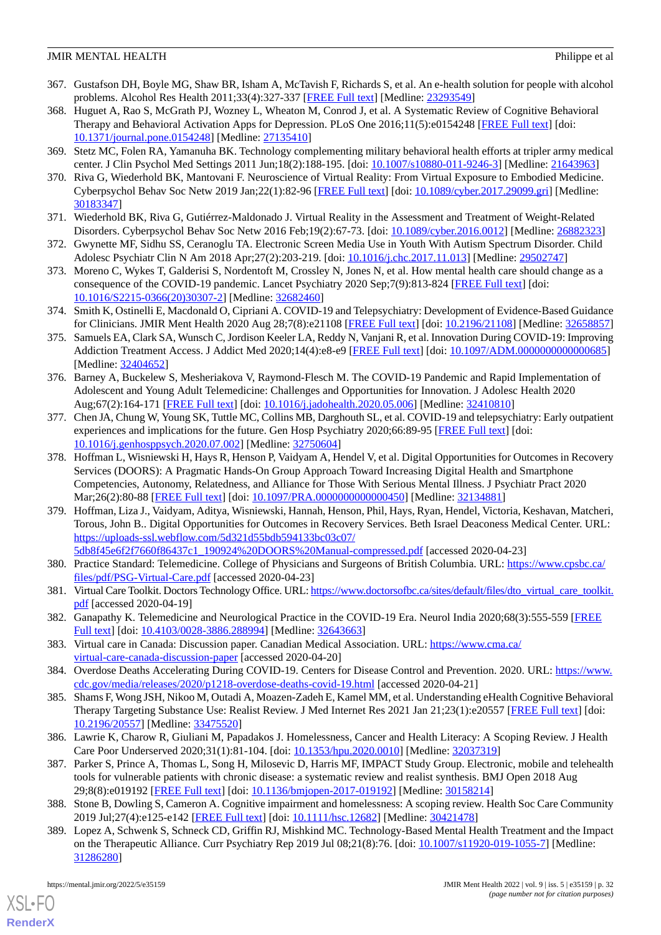- <span id="page-31-0"></span>367. Gustafson DH, Boyle MG, Shaw BR, Isham A, McTavish F, Richards S, et al. An e-health solution for people with alcohol problems. Alcohol Res Health 2011;33(4):327-337 [\[FREE Full text\]](http://europepmc.org/abstract/MED/23293549) [Medline: [23293549\]](http://www.ncbi.nlm.nih.gov/entrez/query.fcgi?cmd=Retrieve&db=PubMed&list_uids=23293549&dopt=Abstract)
- <span id="page-31-1"></span>368. Huguet A, Rao S, McGrath PJ, Wozney L, Wheaton M, Conrod J, et al. A Systematic Review of Cognitive Behavioral Therapy and Behavioral Activation Apps for Depression. PLoS One 2016;11(5):e0154248 [[FREE Full text](https://dx.plos.org/10.1371/journal.pone.0154248)] [doi: [10.1371/journal.pone.0154248\]](http://dx.doi.org/10.1371/journal.pone.0154248) [Medline: [27135410](http://www.ncbi.nlm.nih.gov/entrez/query.fcgi?cmd=Retrieve&db=PubMed&list_uids=27135410&dopt=Abstract)]
- <span id="page-31-3"></span><span id="page-31-2"></span>369. Stetz MC, Folen RA, Yamanuha BK. Technology complementing military behavioral health efforts at tripler army medical center. J Clin Psychol Med Settings 2011 Jun;18(2):188-195. [doi: [10.1007/s10880-011-9246-3\]](http://dx.doi.org/10.1007/s10880-011-9246-3) [Medline: [21643963](http://www.ncbi.nlm.nih.gov/entrez/query.fcgi?cmd=Retrieve&db=PubMed&list_uids=21643963&dopt=Abstract)]
- <span id="page-31-4"></span>370. Riva G, Wiederhold BK, Mantovani F. Neuroscience of Virtual Reality: From Virtual Exposure to Embodied Medicine. Cyberpsychol Behav Soc Netw 2019 Jan;22(1):82-96 [\[FREE Full text\]](http://europepmc.org/abstract/MED/30183347) [doi: [10.1089/cyber.2017.29099.gri](http://dx.doi.org/10.1089/cyber.2017.29099.gri)] [Medline: [30183347](http://www.ncbi.nlm.nih.gov/entrez/query.fcgi?cmd=Retrieve&db=PubMed&list_uids=30183347&dopt=Abstract)]
- <span id="page-31-5"></span>371. Wiederhold BK, Riva G, Gutiérrez-Maldonado J. Virtual Reality in the Assessment and Treatment of Weight-Related Disorders. Cyberpsychol Behav Soc Netw 2016 Feb;19(2):67-73. [doi: [10.1089/cyber.2016.0012](http://dx.doi.org/10.1089/cyber.2016.0012)] [Medline: [26882323\]](http://www.ncbi.nlm.nih.gov/entrez/query.fcgi?cmd=Retrieve&db=PubMed&list_uids=26882323&dopt=Abstract)
- <span id="page-31-6"></span>372. Gwynette MF, Sidhu SS, Ceranoglu TA. Electronic Screen Media Use in Youth With Autism Spectrum Disorder. Child Adolesc Psychiatr Clin N Am 2018 Apr;27(2):203-219. [doi: [10.1016/j.chc.2017.11.013](http://dx.doi.org/10.1016/j.chc.2017.11.013)] [Medline: [29502747](http://www.ncbi.nlm.nih.gov/entrez/query.fcgi?cmd=Retrieve&db=PubMed&list_uids=29502747&dopt=Abstract)]
- 373. Moreno C, Wykes T, Galderisi S, Nordentoft M, Crossley N, Jones N, et al. How mental health care should change as a consequence of the COVID-19 pandemic. Lancet Psychiatry 2020 Sep;7(9):813-824 [[FREE Full text](http://europepmc.org/abstract/MED/32682460)] [doi: [10.1016/S2215-0366\(20\)30307-2\]](http://dx.doi.org/10.1016/S2215-0366(20)30307-2) [Medline: [32682460](http://www.ncbi.nlm.nih.gov/entrez/query.fcgi?cmd=Retrieve&db=PubMed&list_uids=32682460&dopt=Abstract)]
- 374. Smith K, Ostinelli E, Macdonald O, Cipriani A. COVID-19 and Telepsychiatry: Development of Evidence-Based Guidance for Clinicians. JMIR Ment Health 2020 Aug 28;7(8):e21108 [[FREE Full text](https://mental.jmir.org/2020/8/e21108/)] [doi: [10.2196/21108\]](http://dx.doi.org/10.2196/21108) [Medline: [32658857](http://www.ncbi.nlm.nih.gov/entrez/query.fcgi?cmd=Retrieve&db=PubMed&list_uids=32658857&dopt=Abstract)]
- 375. Samuels EA, Clark SA, Wunsch C, Jordison Keeler LA, Reddy N, Vanjani R, et al. Innovation During COVID-19: Improving Addiction Treatment Access. J Addict Med 2020;14(4):e8-e9 [[FREE Full text](http://europepmc.org/abstract/MED/32404652)] [doi: [10.1097/ADM.0000000000000685](http://dx.doi.org/10.1097/ADM.0000000000000685)] [Medline: [32404652](http://www.ncbi.nlm.nih.gov/entrez/query.fcgi?cmd=Retrieve&db=PubMed&list_uids=32404652&dopt=Abstract)]
- <span id="page-31-7"></span>376. Barney A, Buckelew S, Mesheriakova V, Raymond-Flesch M. The COVID-19 Pandemic and Rapid Implementation of Adolescent and Young Adult Telemedicine: Challenges and Opportunities for Innovation. J Adolesc Health 2020 Aug;67(2):164-171 [\[FREE Full text](http://europepmc.org/abstract/MED/32410810)] [doi: [10.1016/j.jadohealth.2020.05.006](http://dx.doi.org/10.1016/j.jadohealth.2020.05.006)] [Medline: [32410810](http://www.ncbi.nlm.nih.gov/entrez/query.fcgi?cmd=Retrieve&db=PubMed&list_uids=32410810&dopt=Abstract)]
- <span id="page-31-8"></span>377. Chen JA, Chung W, Young SK, Tuttle MC, Collins MB, Darghouth SL, et al. COVID-19 and telepsychiatry: Early outpatient experiences and implications for the future. Gen Hosp Psychiatry 2020;66:89-95 [[FREE Full text](http://europepmc.org/abstract/MED/32750604)] [doi: [10.1016/j.genhosppsych.2020.07.002](http://dx.doi.org/10.1016/j.genhosppsych.2020.07.002)] [Medline: [32750604](http://www.ncbi.nlm.nih.gov/entrez/query.fcgi?cmd=Retrieve&db=PubMed&list_uids=32750604&dopt=Abstract)]
- 378. Hoffman L, Wisniewski H, Hays R, Henson P, Vaidyam A, Hendel V, et al. Digital Opportunities for Outcomes in Recovery Services (DOORS): A Pragmatic Hands-On Group Approach Toward Increasing Digital Health and Smartphone Competencies, Autonomy, Relatedness, and Alliance for Those With Serious Mental Illness. J Psychiatr Pract 2020 Mar;26(2):80-88 [[FREE Full text\]](http://europepmc.org/abstract/MED/32134881) [doi: [10.1097/PRA.0000000000000450](http://dx.doi.org/10.1097/PRA.0000000000000450)] [Medline: [32134881](http://www.ncbi.nlm.nih.gov/entrez/query.fcgi?cmd=Retrieve&db=PubMed&list_uids=32134881&dopt=Abstract)]
- 379. Hoffman, Liza J., Vaidyam, Aditya, Wisniewski, Hannah, Henson, Phil, Hays, Ryan, Hendel, Victoria, Keshavan, Matcheri, Torous, John B.. Digital Opportunities for Outcomes in Recovery Services. Beth Israel Deaconess Medical Center. URL: [https://uploads-ssl.webflow.com/5d321d55bdb594133bc03c07/](https://uploads-ssl.webflow.com/5d321d55bdb594133bc03c07/5db8f45e6f2f7660f86437c1_190924%20DOORS%20Manual-compressed.pdf) [5db8f45e6f2f7660f86437c1\\_190924%20DOORS%20Manual-compressed.pdf](https://uploads-ssl.webflow.com/5d321d55bdb594133bc03c07/5db8f45e6f2f7660f86437c1_190924%20DOORS%20Manual-compressed.pdf) [accessed 2020-04-23]
- 380. Practice Standard: Telemedicine. College of Physicians and Surgeons of British Columbia. URL: [https://www.cpsbc.ca/](https://www.cpsbc.ca/files/pdf/PSG-Virtual-Care.pdf) [files/pdf/PSG-Virtual-Care.pdf](https://www.cpsbc.ca/files/pdf/PSG-Virtual-Care.pdf) [accessed 2020-04-23]
- <span id="page-31-9"></span>381. Virtual Care Toolkit. Doctors Technology Office. URL: [https://www.doctorsofbc.ca/sites/default/files/dto\\_virtual\\_care\\_toolkit.](https://www.doctorsofbc.ca/sites/default/files/dto_virtual_care_toolkit.pdf) [pdf](https://www.doctorsofbc.ca/sites/default/files/dto_virtual_care_toolkit.pdf) [accessed 2020-04-19]
- <span id="page-31-11"></span><span id="page-31-10"></span>382. Ganapathy K. Telemedicine and Neurological Practice in the COVID-19 Era. Neurol India 2020;68(3):555-559 [[FREE](http://www.neurologyindia.com/article.asp?issn=0028-3886;year=2020;volume=68;issue=3;spage=555;epage=559;aulast=Ganapathy) [Full text\]](http://www.neurologyindia.com/article.asp?issn=0028-3886;year=2020;volume=68;issue=3;spage=555;epage=559;aulast=Ganapathy) [doi: [10.4103/0028-3886.288994](http://dx.doi.org/10.4103/0028-3886.288994)] [Medline: [32643663](http://www.ncbi.nlm.nih.gov/entrez/query.fcgi?cmd=Retrieve&db=PubMed&list_uids=32643663&dopt=Abstract)]
- 383. Virtual care in Canada: Discussion paper. Canadian Medical Association. URL: [https://www.cma.ca/](https://www.cma.ca/virtual-care-canada-discussion-paper) [virtual-care-canada-discussion-paper](https://www.cma.ca/virtual-care-canada-discussion-paper) [accessed 2020-04-20]
- <span id="page-31-12"></span>384. Overdose Deaths Accelerating During COVID-19. Centers for Disease Control and Prevention. 2020. URL: [https://www.](https://www.cdc.gov/media/releases/2020/p1218-overdose-deaths-covid-19.html) [cdc.gov/media/releases/2020/p1218-overdose-deaths-covid-19.html](https://www.cdc.gov/media/releases/2020/p1218-overdose-deaths-covid-19.html) [accessed 2020-04-21]
- 385. Shams F, Wong JSH, Nikoo M, Outadi A, Moazen-Zadeh E, Kamel MM, et al. Understanding eHealth Cognitive Behavioral Therapy Targeting Substance Use: Realist Review. J Med Internet Res 2021 Jan 21;23(1):e20557 [\[FREE Full text\]](https://www.jmir.org/2021/1/e20557/) [doi: [10.2196/20557\]](http://dx.doi.org/10.2196/20557) [Medline: [33475520\]](http://www.ncbi.nlm.nih.gov/entrez/query.fcgi?cmd=Retrieve&db=PubMed&list_uids=33475520&dopt=Abstract)
- <span id="page-31-14"></span><span id="page-31-13"></span>386. Lawrie K, Charow R, Giuliani M, Papadakos J. Homelessness, Cancer and Health Literacy: A Scoping Review. J Health Care Poor Underserved 2020;31(1):81-104. [doi: [10.1353/hpu.2020.0010\]](http://dx.doi.org/10.1353/hpu.2020.0010) [Medline: [32037319\]](http://www.ncbi.nlm.nih.gov/entrez/query.fcgi?cmd=Retrieve&db=PubMed&list_uids=32037319&dopt=Abstract)
- 387. Parker S, Prince A, Thomas L, Song H, Milosevic D, Harris MF, IMPACT Study Group. Electronic, mobile and telehealth tools for vulnerable patients with chronic disease: a systematic review and realist synthesis. BMJ Open 2018 Aug 29;8(8):e019192 [\[FREE Full text](https://bmjopen.bmj.com/lookup/pmidlookup?view=long&pmid=30158214)] [doi: [10.1136/bmjopen-2017-019192\]](http://dx.doi.org/10.1136/bmjopen-2017-019192) [Medline: [30158214](http://www.ncbi.nlm.nih.gov/entrez/query.fcgi?cmd=Retrieve&db=PubMed&list_uids=30158214&dopt=Abstract)]
- 388. Stone B, Dowling S, Cameron A. Cognitive impairment and homelessness: A scoping review. Health Soc Care Community 2019 Jul;27(4):e125-e142 [[FREE Full text](http://europepmc.org/abstract/MED/30421478)] [doi: [10.1111/hsc.12682\]](http://dx.doi.org/10.1111/hsc.12682) [Medline: [30421478\]](http://www.ncbi.nlm.nih.gov/entrez/query.fcgi?cmd=Retrieve&db=PubMed&list_uids=30421478&dopt=Abstract)
- 389. Lopez A, Schwenk S, Schneck CD, Griffin RJ, Mishkind MC. Technology-Based Mental Health Treatment and the Impact on the Therapeutic Alliance. Curr Psychiatry Rep 2019 Jul 08;21(8):76. [doi: [10.1007/s11920-019-1055-7\]](http://dx.doi.org/10.1007/s11920-019-1055-7) [Medline: [31286280](http://www.ncbi.nlm.nih.gov/entrez/query.fcgi?cmd=Retrieve&db=PubMed&list_uids=31286280&dopt=Abstract)]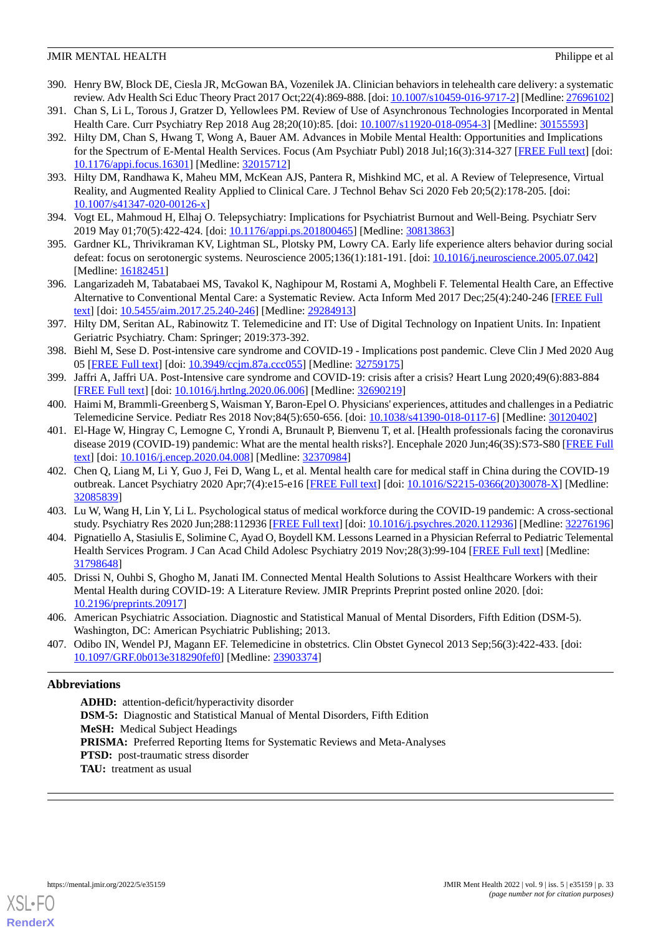- <span id="page-32-0"></span>390. Henry BW, Block DE, Ciesla JR, McGowan BA, Vozenilek JA. Clinician behaviors in telehealth care delivery: a systematic review. Adv Health Sci Educ Theory Pract 2017 Oct;22(4):869-888. [doi: [10.1007/s10459-016-9717-2](http://dx.doi.org/10.1007/s10459-016-9717-2)] [Medline: [27696102\]](http://www.ncbi.nlm.nih.gov/entrez/query.fcgi?cmd=Retrieve&db=PubMed&list_uids=27696102&dopt=Abstract)
- <span id="page-32-1"></span>391. Chan S, Li L, Torous J, Gratzer D, Yellowlees PM. Review of Use of Asynchronous Technologies Incorporated in Mental Health Care. Curr Psychiatry Rep 2018 Aug 28;20(10):85. [doi: [10.1007/s11920-018-0954-3\]](http://dx.doi.org/10.1007/s11920-018-0954-3) [Medline: [30155593](http://www.ncbi.nlm.nih.gov/entrez/query.fcgi?cmd=Retrieve&db=PubMed&list_uids=30155593&dopt=Abstract)]
- 392. Hilty DM, Chan S, Hwang T, Wong A, Bauer AM. Advances in Mobile Mental Health: Opportunities and Implications for the Spectrum of E-Mental Health Services. Focus (Am Psychiatr Publ) 2018 Jul;16(3):314-327 [[FREE Full text](http://europepmc.org/abstract/MED/32015712)] [doi: [10.1176/appi.focus.16301\]](http://dx.doi.org/10.1176/appi.focus.16301) [Medline: [32015712](http://www.ncbi.nlm.nih.gov/entrez/query.fcgi?cmd=Retrieve&db=PubMed&list_uids=32015712&dopt=Abstract)]
- <span id="page-32-3"></span><span id="page-32-2"></span>393. Hilty DM, Randhawa K, Maheu MM, McKean AJS, Pantera R, Mishkind MC, et al. A Review of Telepresence, Virtual Reality, and Augmented Reality Applied to Clinical Care. J Technol Behav Sci 2020 Feb 20;5(2):178-205. [doi: [10.1007/s41347-020-00126-x\]](http://dx.doi.org/10.1007/s41347-020-00126-x)
- <span id="page-32-4"></span>394. Vogt EL, Mahmoud H, Elhaj O. Telepsychiatry: Implications for Psychiatrist Burnout and Well-Being. Psychiatr Serv 2019 May 01;70(5):422-424. [doi: [10.1176/appi.ps.201800465](http://dx.doi.org/10.1176/appi.ps.201800465)] [Medline: [30813863\]](http://www.ncbi.nlm.nih.gov/entrez/query.fcgi?cmd=Retrieve&db=PubMed&list_uids=30813863&dopt=Abstract)
- <span id="page-32-5"></span>395. Gardner KL, Thrivikraman KV, Lightman SL, Plotsky PM, Lowry CA. Early life experience alters behavior during social defeat: focus on serotonergic systems. Neuroscience 2005;136(1):181-191. [doi: [10.1016/j.neuroscience.2005.07.042](http://dx.doi.org/10.1016/j.neuroscience.2005.07.042)] [Medline: [16182451](http://www.ncbi.nlm.nih.gov/entrez/query.fcgi?cmd=Retrieve&db=PubMed&list_uids=16182451&dopt=Abstract)]
- <span id="page-32-6"></span>396. Langarizadeh M, Tabatabaei MS, Tavakol K, Naghipour M, Rostami A, Moghbeli F. Telemental Health Care, an Effective Alternative to Conventional Mental Care: a Systematic Review. Acta Inform Med 2017 Dec;25(4):240-246 [[FREE Full](http://europepmc.org/abstract/MED/29284913) [text](http://europepmc.org/abstract/MED/29284913)] [doi: [10.5455/aim.2017.25.240-246\]](http://dx.doi.org/10.5455/aim.2017.25.240-246) [Medline: [29284913\]](http://www.ncbi.nlm.nih.gov/entrez/query.fcgi?cmd=Retrieve&db=PubMed&list_uids=29284913&dopt=Abstract)
- <span id="page-32-7"></span>397. Hilty DM, Seritan AL, Rabinowitz T. Telemedicine and IT: Use of Digital Technology on Inpatient Units. In: Inpatient Geriatric Psychiatry. Cham: Springer; 2019:373-392.
- <span id="page-32-9"></span><span id="page-32-8"></span>398. Biehl M, Sese D. Post-intensive care syndrome and COVID-19 - Implications post pandemic. Cleve Clin J Med 2020 Aug 05 [\[FREE Full text\]](https://www.ccjm.org/cgi/pmidlookup?view=long&pmid=32759175) [doi: [10.3949/ccjm.87a.ccc055](http://dx.doi.org/10.3949/ccjm.87a.ccc055)] [Medline: [32759175](http://www.ncbi.nlm.nih.gov/entrez/query.fcgi?cmd=Retrieve&db=PubMed&list_uids=32759175&dopt=Abstract)]
- <span id="page-32-10"></span>399. Jaffri A, Jaffri UA. Post-Intensive care syndrome and COVID-19: crisis after a crisis? Heart Lung 2020;49(6):883-884 [[FREE Full text](http://europepmc.org/abstract/MED/32690219)] [doi: [10.1016/j.hrtlng.2020.06.006](http://dx.doi.org/10.1016/j.hrtlng.2020.06.006)] [Medline: [32690219](http://www.ncbi.nlm.nih.gov/entrez/query.fcgi?cmd=Retrieve&db=PubMed&list_uids=32690219&dopt=Abstract)]
- 400. Haimi M, Brammli-Greenberg S, Waisman Y, Baron-Epel O. Physicians' experiences, attitudes and challenges in a Pediatric Telemedicine Service. Pediatr Res 2018 Nov;84(5):650-656. [doi: [10.1038/s41390-018-0117-6\]](http://dx.doi.org/10.1038/s41390-018-0117-6) [Medline: [30120402](http://www.ncbi.nlm.nih.gov/entrez/query.fcgi?cmd=Retrieve&db=PubMed&list_uids=30120402&dopt=Abstract)]
- <span id="page-32-12"></span>401. El-Hage W, Hingray C, Lemogne C, Yrondi A, Brunault P, Bienvenu T, et al. [Health professionals facing the coronavirus disease 2019 (COVID-19) pandemic: What are the mental health risks?]. Encephale 2020 Jun;46(3S):S73-S80 [[FREE Full](http://europepmc.org/abstract/MED/32370984) [text](http://europepmc.org/abstract/MED/32370984)] [doi: [10.1016/j.encep.2020.04.008\]](http://dx.doi.org/10.1016/j.encep.2020.04.008) [Medline: [32370984\]](http://www.ncbi.nlm.nih.gov/entrez/query.fcgi?cmd=Retrieve&db=PubMed&list_uids=32370984&dopt=Abstract)
- <span id="page-32-13"></span><span id="page-32-11"></span>402. Chen Q, Liang M, Li Y, Guo J, Fei D, Wang L, et al. Mental health care for medical staff in China during the COVID-19 outbreak. Lancet Psychiatry 2020 Apr;7(4):e15-e16 [\[FREE Full text\]](http://europepmc.org/abstract/MED/32085839) [doi: [10.1016/S2215-0366\(20\)30078-X](http://dx.doi.org/10.1016/S2215-0366(20)30078-X)] [Medline: [32085839](http://www.ncbi.nlm.nih.gov/entrez/query.fcgi?cmd=Retrieve&db=PubMed&list_uids=32085839&dopt=Abstract)]
- <span id="page-32-14"></span>403. Lu W, Wang H, Lin Y, Li L. Psychological status of medical workforce during the COVID-19 pandemic: A cross-sectional study. Psychiatry Res 2020 Jun;288:112936 [[FREE Full text](http://europepmc.org/abstract/MED/32276196)] [doi: [10.1016/j.psychres.2020.112936](http://dx.doi.org/10.1016/j.psychres.2020.112936)] [Medline: [32276196](http://www.ncbi.nlm.nih.gov/entrez/query.fcgi?cmd=Retrieve&db=PubMed&list_uids=32276196&dopt=Abstract)]
- <span id="page-32-15"></span>404. Pignatiello A, Stasiulis E, Solimine C, Ayad O, Boydell KM. Lessons Learned in a Physician Referral to Pediatric Telemental Health Services Program. J Can Acad Child Adolesc Psychiatry 2019 Nov;28(3):99-104 [[FREE Full text](http://europepmc.org/abstract/MED/31798648)] [Medline: [31798648](http://www.ncbi.nlm.nih.gov/entrez/query.fcgi?cmd=Retrieve&db=PubMed&list_uids=31798648&dopt=Abstract)]
- <span id="page-32-16"></span>405. Drissi N, Ouhbi S, Ghogho M, Janati IM. Connected Mental Health Solutions to Assist Healthcare Workers with their Mental Health during COVID-19: A Literature Review. JMIR Preprints Preprint posted online 2020. [doi: [10.2196/preprints.20917\]](http://dx.doi.org/10.2196/preprints.20917)
- 406. American Psychiatric Association. Diagnostic and Statistical Manual of Mental Disorders, Fifth Edition (DSM-5). Washington, DC: American Psychiatric Publishing; 2013.
- 407. Odibo IN, Wendel PJ, Magann EF. Telemedicine in obstetrics. Clin Obstet Gynecol 2013 Sep;56(3):422-433. [doi: [10.1097/GRF.0b013e318290fef0](http://dx.doi.org/10.1097/GRF.0b013e318290fef0)] [Medline: [23903374](http://www.ncbi.nlm.nih.gov/entrez/query.fcgi?cmd=Retrieve&db=PubMed&list_uids=23903374&dopt=Abstract)]

# **Abbreviations**

**ADHD:** attention-deficit/hyperactivity disorder **DSM-5:** Diagnostic and Statistical Manual of Mental Disorders, Fifth Edition **MeSH:** Medical Subject Headings PRISMA: Preferred Reporting Items for Systematic Reviews and Meta-Analyses **PTSD:** post-traumatic stress disorder **TAU:** treatment as usual